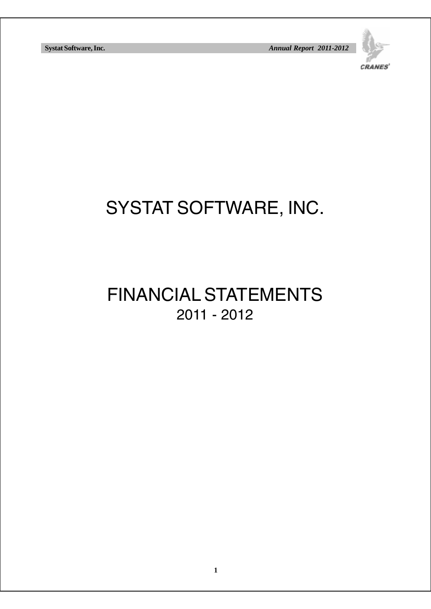

# SYSTAT SOFTWARE, INC.

# FINANCIAL STATEMENTS 2011 - 2012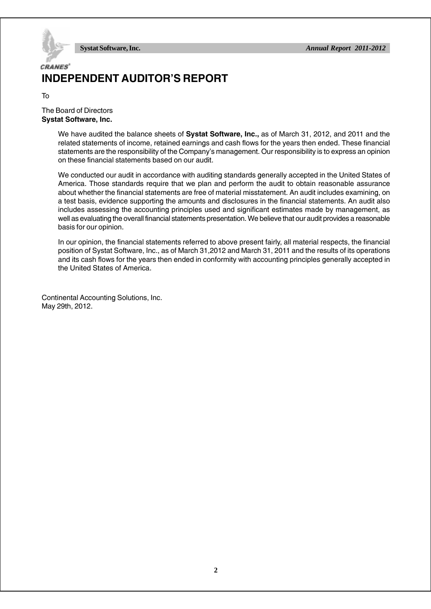

**Systat Software, Inc.**

# *CRANES* **INDEPENDENT AUDITOR'S REPORT**

To

# The Board of Directors **Systat Software, Inc.**

We have audited the balance sheets of **Systat Software, Inc.,** as of March 31, 2012, and 2011 and the related statements of income, retained earnings and cash flows for the years then ended. These financial statements are the responsibility of the Company's management. Our responsibility is to express an opinion on these financial statements based on our audit.

We conducted our audit in accordance with auditing standards generally accepted in the United States of America. Those standards require that we plan and perform the audit to obtain reasonable assurance about whether the financial statements are free of material misstatement. An audit includes examining, on a test basis, evidence supporting the amounts and disclosures in the financial statements. An audit also includes assessing the accounting principles used and significant estimates made by management, as well as evaluating the overall financial statements presentation. We believe that our audit provides a reasonable basis for our opinion.

In our opinion, the financial statements referred to above present fairly, all material respects, the financial position of Systat Software, Inc., as of March 31,2012 and March 31, 2011 and the results of its operations and its cash flows for the years then ended in conformity with accounting principles generally accepted in the United States of America.

Continental Accounting Solutions, Inc. May 29th, 2012.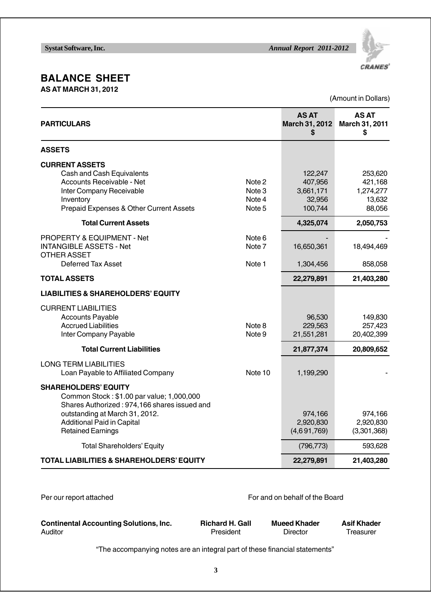

(Amount in Dollars)

# **BALANCE SHEET**

**AS AT MARCH 31, 2012**

| <b>PARTICULARS</b>                                                                                                                                                                                                                                               |                                        | <b>AS AT</b><br>March 31, 2012<br>\$                 | <b>AS AT</b><br>March 31, 2011<br>\$                |
|------------------------------------------------------------------------------------------------------------------------------------------------------------------------------------------------------------------------------------------------------------------|----------------------------------------|------------------------------------------------------|-----------------------------------------------------|
| <b>ASSETS</b>                                                                                                                                                                                                                                                    |                                        |                                                      |                                                     |
| <b>CURRENT ASSETS</b><br>Cash and Cash Equivalents<br>Accounts Receivable - Net<br>Inter Company Receivable<br>Inventory<br>Prepaid Expenses & Other Current Assets                                                                                              | Note 2<br>Note 3<br>Note 4<br>Note 5   | 122,247<br>407,956<br>3,661,171<br>32,956<br>100,744 | 253,620<br>421,168<br>1,274,277<br>13,632<br>88,056 |
| <b>Total Current Assets</b>                                                                                                                                                                                                                                      |                                        | 4,325,074                                            | 2,050,753                                           |
| <b>PROPERTY &amp; EQUIPMENT - Net</b><br><b>INTANGIBLE ASSETS - Net</b><br><b>OTHER ASSET</b>                                                                                                                                                                    | Note <sub>6</sub><br>Note <sub>7</sub> | 16,650,361                                           | 18,494,469                                          |
| Deferred Tax Asset                                                                                                                                                                                                                                               | Note 1                                 | 1,304,456                                            | 858,058                                             |
| <b>TOTAL ASSETS</b>                                                                                                                                                                                                                                              |                                        | 22,279,891                                           | 21,403,280                                          |
| <b>LIABILITIES &amp; SHAREHOLDERS' EQUITY</b>                                                                                                                                                                                                                    |                                        |                                                      |                                                     |
| <b>CURRENT LIABILITIES</b><br><b>Accounts Payable</b><br><b>Accrued Liabilities</b><br>Inter Company Payable                                                                                                                                                     | Note 8<br>Note 9                       | 96,530<br>229,563<br>21,551,281                      | 149,830<br>257,423<br>20,402,399                    |
| <b>Total Current Liabilities</b>                                                                                                                                                                                                                                 |                                        | 21,877,374                                           | 20,809,652                                          |
| LONG TERM LIABILITIES<br>Loan Payable to Affiliated Company                                                                                                                                                                                                      | Note 10                                | 1,199,290                                            |                                                     |
| <b>SHAREHOLDERS' EQUITY</b><br>Common Stock: \$1.00 par value; 1,000,000<br>Shares Authorized: 974,166 shares issued and<br>outstanding at March 31, 2012.<br><b>Additional Paid in Capital</b><br><b>Retained Earnings</b><br><b>Total Shareholders' Equity</b> |                                        | 974,166<br>2,920,830<br>(4,691,769)                  | 974,166<br>2,920,830<br>(3,301,368)<br>593,628      |
| <b>TOTAL LIABILITIES &amp; SHAREHOLDERS' EQUITY</b>                                                                                                                                                                                                              |                                        | (796, 773)<br>22,279,891                             | 21,403,280                                          |
|                                                                                                                                                                                                                                                                  |                                        |                                                      |                                                     |

# Per our report attached For and on behalf of the Board

| <b>Continental Accounting Solutions, Inc.</b> | <b>Richard H. Gall</b> | <b>Mueed Khader</b> | <b>Asif Khader</b> |
|-----------------------------------------------|------------------------|---------------------|--------------------|
| Auditor                                       | President              | Director            | Treasurer          |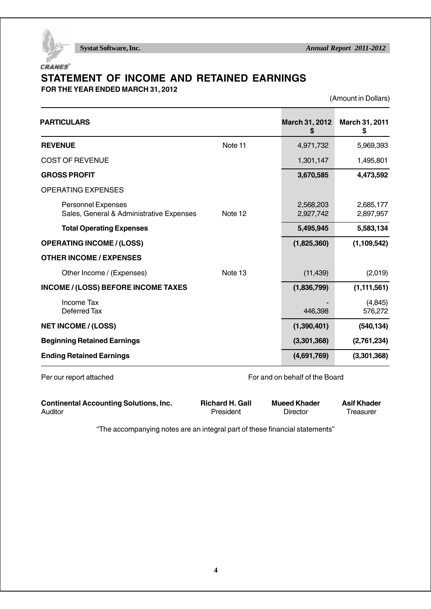**Systat Software, Inc.**

# **CRANES**<sup>\*</sup>

# **STATEMENT OF INCOME AND RETAINED EARNINGS**

**FOR THE YEAR ENDED MARCH 31, 2012**

(Amount in Dollars)

| <b>PARTICULARS</b>                                                    |         | March 31, 2012<br>S    | March 31, 2011         |
|-----------------------------------------------------------------------|---------|------------------------|------------------------|
| <b>REVENUE</b>                                                        | Note 11 | 4,971,732              | S<br>5,969,393         |
| <b>COST OF REVENUE</b>                                                |         | 1,301,147              | 1,495,801              |
| <b>GROSS PROFIT</b>                                                   |         | 3,670,585              | 4,473,592              |
| <b>OPERATING EXPENSES</b>                                             |         |                        |                        |
| <b>Personnel Expenses</b><br>Sales, General & Administrative Expenses | Note 12 | 2,568,203<br>2,927,742 | 2,685,177<br>2,897,957 |
| <b>Total Operating Expenses</b>                                       |         | 5,495,945              | 5,583,134              |
| <b>OPERATING INCOME / (LOSS)</b>                                      |         | (1,825,360)            | (1, 109, 542)          |
| <b>OTHER INCOME / EXPENSES</b>                                        |         |                        |                        |
| Other Income / (Expenses)                                             | Note 13 | (11, 439)              | (2,019)                |
| INCOME / (LOSS) BEFORE INCOME TAXES                                   |         | (1,836,799)            | (1, 111, 561)          |
| Income Tax<br>Deferred Tax                                            |         | 446,398                | (4,845)<br>576,272     |
| <b>NET INCOME / (LOSS)</b>                                            |         | (1,390,401)            | (540, 134)             |
| <b>Beginning Retained Earnings</b>                                    |         | (3,301,368)            | (2,761,234)            |
| <b>Ending Retained Earnings</b>                                       |         | (4,691,769)            | (3,301,368)            |

Per our report attached For and on behalf of the Board

| <b>Continental Accounting Solutions, Inc.</b> | <b>Richard H. Gall</b> | <b>Mueed Khader</b> | Asif Khader |
|-----------------------------------------------|------------------------|---------------------|-------------|
| Auditor                                       | President              | Director            | Treasurer   |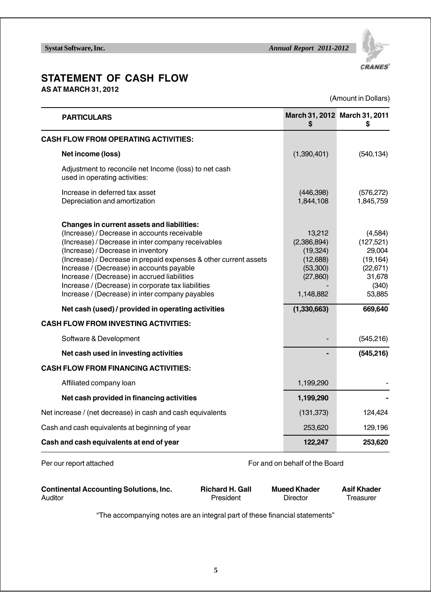

# **STATEMENT OF CASH FLOW AS AT MARCH 31, 2012**

(Amount in Dollars)

| <b>PARTICULARS</b>                                                                                                                                                                                                                                                                                                                                                                                                                                                      | S                                                                                    | March 31, 2012 March 31, 2011<br>S                                                     |
|-------------------------------------------------------------------------------------------------------------------------------------------------------------------------------------------------------------------------------------------------------------------------------------------------------------------------------------------------------------------------------------------------------------------------------------------------------------------------|--------------------------------------------------------------------------------------|----------------------------------------------------------------------------------------|
| <b>CASH FLOW FROM OPERATING ACTIVITIES:</b>                                                                                                                                                                                                                                                                                                                                                                                                                             |                                                                                      |                                                                                        |
| Net income (loss)                                                                                                                                                                                                                                                                                                                                                                                                                                                       | (1,390,401)                                                                          | (540, 134)                                                                             |
| Adjustment to reconcile net Income (loss) to net cash<br>used in operating activities:                                                                                                                                                                                                                                                                                                                                                                                  |                                                                                      |                                                                                        |
| Increase in deferred tax asset<br>Depreciation and amortization                                                                                                                                                                                                                                                                                                                                                                                                         | (446,398)<br>1,844,108                                                               | (576, 272)<br>1,845,759                                                                |
| <b>Changes in current assets and liabilities:</b><br>(Increase) / Decrease in accounts receivable<br>(Increase) / Decrease in inter company receivables<br>(Increase) / Decrease in inventory<br>(Increase) / Decrease in prepaid expenses & other current assets<br>Increase / (Decrease) in accounts payable<br>Increase / (Decrease) in accrued liabilities<br>Increase / (Decrease) in corporate tax liabilities<br>Increase / (Decrease) in inter company payables | 13,212<br>(2,386,894)<br>(19, 324)<br>(12,688)<br>(53,300)<br>(27, 860)<br>1,148,882 | (4,584)<br>(127, 521)<br>29,004<br>(19, 164)<br>(22, 671)<br>31,678<br>(340)<br>53,885 |
| Net cash (used) / provided in operating activities                                                                                                                                                                                                                                                                                                                                                                                                                      | (1,330,663)                                                                          | 669,640                                                                                |
| <b>CASH FLOW FROM INVESTING ACTIVITIES:</b>                                                                                                                                                                                                                                                                                                                                                                                                                             |                                                                                      |                                                                                        |
| Software & Development                                                                                                                                                                                                                                                                                                                                                                                                                                                  |                                                                                      | (545,216)                                                                              |
| Net cash used in investing activities                                                                                                                                                                                                                                                                                                                                                                                                                                   |                                                                                      | (545, 216)                                                                             |
| <b>CASH FLOW FROM FINANCING ACTIVITIES:</b>                                                                                                                                                                                                                                                                                                                                                                                                                             |                                                                                      |                                                                                        |
| Affiliated company loan                                                                                                                                                                                                                                                                                                                                                                                                                                                 | 1,199,290                                                                            |                                                                                        |
| Net cash provided in financing activities                                                                                                                                                                                                                                                                                                                                                                                                                               | 1,199,290                                                                            |                                                                                        |
| Net increase / (net decrease) in cash and cash equivalents                                                                                                                                                                                                                                                                                                                                                                                                              | (131, 373)                                                                           | 124,424                                                                                |
| Cash and cash equivalents at beginning of year                                                                                                                                                                                                                                                                                                                                                                                                                          | 253,620                                                                              | 129,196                                                                                |
| Cash and cash equivalents at end of year                                                                                                                                                                                                                                                                                                                                                                                                                                | 122,247                                                                              | 253,620                                                                                |
| Per our report attached                                                                                                                                                                                                                                                                                                                                                                                                                                                 | For and on behalf of the Board                                                       |                                                                                        |

| <b>Continental Accounting Solutions, Inc.</b> | <b>Richard H. Gall</b> | <b>Mueed Khader</b> | Asif Khader |
|-----------------------------------------------|------------------------|---------------------|-------------|
| <b>Auditor</b>                                | President              | Director            | Treasurer   |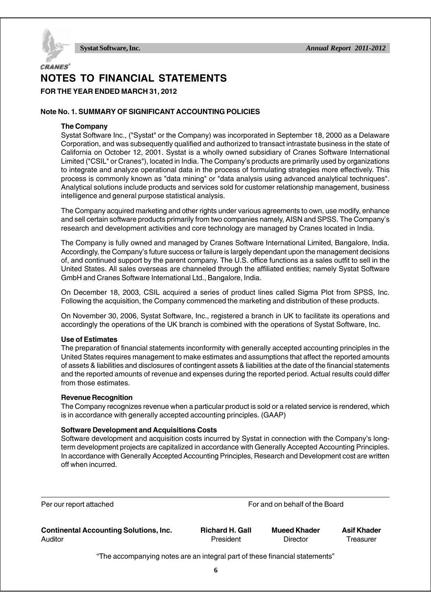

# **NOTES TO FINANCIAL STATEMENTS**

# **FOR THE YEAR ENDED MARCH 31, 2012**

# **Note No. 1. SUMMARY OF SIGNIFICANT ACCOUNTING POLICIES**

# **The Company**

Systat Software Inc., ("Systat" or the Company) was incorporated in September 18, 2000 as a Delaware Corporation, and was subsequently qualified and authorized to transact intrastate business in the state of California on October 12, 2001. Systat is a wholly owned subsidiary of Cranes Software International Limited ("CSIL" or Cranes"), located in India. The Company's products are primarily used by organizations to integrate and analyze operational data in the process of formulating strategies more effectively. This process is commonly known as "data mining" or "data analysis using advanced analytical techniques". Analytical solutions include products and services sold for customer relationship management, business intelligence and general purpose statistical analysis.

The Company acquired marketing and other rights under various agreements to own, use modify, enhance and sell certain software products primarily from two companies namely, AISN and SPSS. The Company's research and development activities and core technology are managed by Cranes located in India.

The Company is fully owned and managed by Cranes Software International Limited, Bangalore, India. Accordingly, the Company's future success or failure is largely dependant upon the management decisions of, and continued support by the parent company. The U.S. office functions as a sales outfit to sell in the United States. All sales overseas are channeled through the affiliated entities; namely Systat Software GmbH and Cranes Software International Ltd., Bangalore, India.

On December 18, 2003, CSIL acquired a series of product lines called Sigma Plot from SPSS, Inc. Following the acquisition, the Company commenced the marketing and distribution of these products.

On November 30, 2006, Systat Software, Inc., registered a branch in UK to facilitate its operations and accordingly the operations of the UK branch is combined with the operations of Systat Software, Inc.

# **Use of Estimates**

The preparation of financial statements inconformity with generally accepted accounting principles in the United States requires management to make estimates and assumptions that affect the reported amounts of assets & liabilities and disclosures of contingent assets & liabilities at the date of the financial statements and the reported amounts of revenue and expenses during the reported period. Actual results could differ from those estimates.

# **Revenue Recognition**

The Company recognizes revenue when a particular product is sold or a related service is rendered, which is in accordance with generally accepted accounting principles. (GAAP)

# **Software Development and Acquisitions Costs**

Software development and acquisition costs incurred by Systat in connection with the Company's longterm development projects are capitalized in accordance with Generally Accepted Accounting Principles. In accordance with Generally Accepted Accounting Principles, Research and Development cost are written off when incurred.

Per our report attached For and on behalf of the Board

| <b>Continental Accounting Solutions, Inc.</b> | <b>Richard H. Gall</b> | <b>Mueed Khader</b> | <b>Asif Khade</b> |
|-----------------------------------------------|------------------------|---------------------|-------------------|
| Auditor                                       | President              | Director            | Treasurer         |

**Continent Accounting Continues Accounting Accounting Accounting Accounting Accounting Accounting Muercy Accounting Muercy Accounting Muercy Accounting Muega Accounting Muele Accounting Muele Accounting Muele Accounting Mu**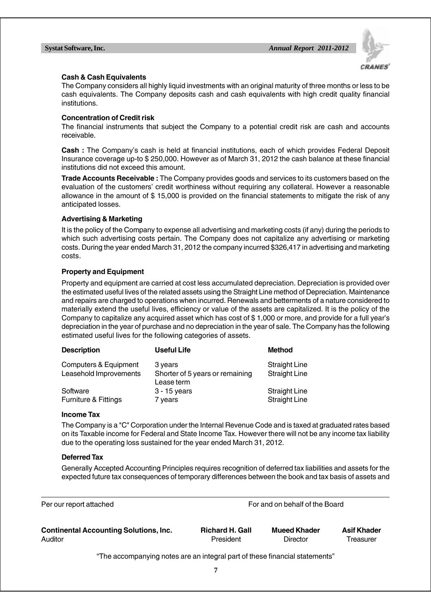#### **Systat Software, Inc.**

*Annual Report 2011-2012*



# **Cash & Cash Equivalents**

The Company considers all highly liquid investments with an original maturity of three months or less to be cash equivalents. The Company deposits cash and cash equivalents with high credit quality financial institutions.

# **Concentration of Credit risk**

The financial instruments that subject the Company to a potential credit risk are cash and accounts receivable.

**Cash :** The Company's cash is held at financial institutions, each of which provides Federal Deposit Insurance coverage up-to \$ 250,000. However as of March 31, 2012 the cash balance at these financial institutions did not exceed this amount.

**Trade Accounts Receivable :** The Company provides goods and services to its customers based on the evaluation of the customers' credit worthiness without requiring any collateral. However a reasonable allowance in the amount of \$ 15,000 is provided on the financial statements to mitigate the risk of any anticipated losses.

# **Advertising & Marketing**

It is the policy of the Company to expense all advertising and marketing costs (if any) during the periods to which such advertising costs pertain. The Company does not capitalize any advertising or marketing costs. During the year ended March 31, 2012 the company incurred \$326,417 in advertising and marketing costs.

# **Property and Equipment**

Property and equipment are carried at cost less accumulated depreciation. Depreciation is provided over the estimated useful lives of the related assets using the Straight Line method of Depreciation. Maintenance and repairs are charged to operations when incurred. Renewals and betterments of a nature considered to materially extend the useful lives, efficiency or value of the assets are capitalized. It is the policy of the Company to capitalize any acquired asset which has cost of \$ 1,000 or more, and provide for a full year's depreciation in the year of purchase and no depreciation in the year of sale. The Company has the following estimated useful lives for the following categories of assets.

| <b>Description</b>                              | Useful Life                                              | <b>Method</b>                                |
|-------------------------------------------------|----------------------------------------------------------|----------------------------------------------|
| Computers & Equipment<br>Leasehold Improvements | 3 years<br>Shorter of 5 years or remaining<br>Lease term | <b>Straight Line</b><br><b>Straight Line</b> |
| Software<br><b>Furniture &amp; Fittings</b>     | $3 - 15$ years<br>7 years                                | <b>Straight Line</b><br><b>Straight Line</b> |

# **Income Tax**

The Company is a "C" Corporation under the Internal Revenue Code and is taxed at graduated rates based on its Taxable income for Federal and State Income Tax. However there will not be any income tax liability due to the operating loss sustained for the year ended March 31, 2012.

# **Deferred Tax**

Generally Accepted Accounting Principles requires recognition of deferred tax liabilities and assets for the expected future tax consequences of temporary differences between the book and tax basis of assets and

Per our report attached For and on behalf of the Board

| <b>Continental Accounting Solutions, Inc.</b> | <b>Richard H. Gall</b> | <b>Mueed Khader</b> | <b>Asif Khader</b> |
|-----------------------------------------------|------------------------|---------------------|--------------------|
| Auditor                                       | President              | Director            | Treasurer          |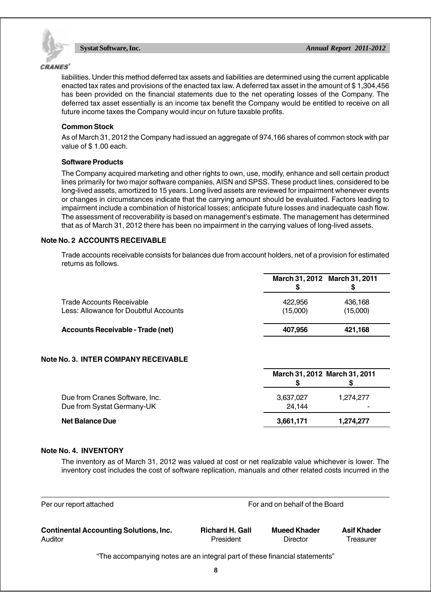

**Systat Software, Inc.**

# *CRANES*

liabilities. Under this method deferred tax assets and liabilities are determined using the current applicable enacted tax rates and provisions of the enacted tax law. A deferred tax asset in the amount of \$ 1,304,456 has been provided on the financial statements due to the net operating losses of the Company. The deferred tax asset essentially is an income tax benefit the Company would be entitled to receive on all future income taxes the Company would incur on future taxable profits.

# **Common Stock**

As of March 31, 2012 the Company had issued an aggregate of 974,166 shares of common stock with par value of \$ 1.00 each.

# **Software Products**

The Company acquired marketing and other rights to own, use, modify, enhance and sell certain product lines primarily for two major software companies, AISN and SPSS. These product lines, considered to be long-lived assets, amortized to 15 years. Long lived assets are reviewed for impairment whenever events or changes in circumstances indicate that the carrying amount should be evaluated. Factors leading to impairment include a combination of historical losses; anticipate future losses and inadequate cash flow. The assessment of recoverability is based on management's estimate. The management has determined that as of March 31, 2012 there has been no impairment in the carrying values of long-lived assets.

# **Note No. 2 ACCOUNTS RECEIVABLE**

Trade accounts receivable consists for balances due from account holders, net of a provision for estimated returns as follows.

|                                                                    |                     | March 31, 2012 March 31, 2011 |
|--------------------------------------------------------------------|---------------------|-------------------------------|
| Trade Accounts Receivable<br>Less: Allowance for Doubtful Accounts | 422.956<br>(15,000) | 436.168<br>(15,000)           |
| <b>Accounts Receivable - Trade (net)</b>                           | 407,956             | 421,168                       |

# **Note No. 3. INTER COMPANY RECEIVABLE**

|                                | March 31, 2012 March 31, 2011 |           |  |
|--------------------------------|-------------------------------|-----------|--|
|                                |                               |           |  |
| Due from Cranes Software, Inc. | 3,637,027                     | 1,274,277 |  |
| Due from Systat Germany-UK     | 24.144                        |           |  |
| <b>Net Balance Due</b>         | 3,661,171                     | 1,274,277 |  |

# **Note No. 4. INVENTORY**

The inventory as of March 31, 2012 was valued at cost or net realizable value whichever is lower. The inventory cost includes the cost of software replication, manuals and other related costs incurred in the

Per our report attached For and on behalf of the Board **Continental Accounting Solutions, Inc.** Richard H. Gall Mueed Khader Auditor Auditor Auditor Auditor Auditor Auditor<br>President Director Treasurer Auditor **President Director Director** President Director President Director President Auditor President Automobili "The accompanying notes are an integral part of these financial statements"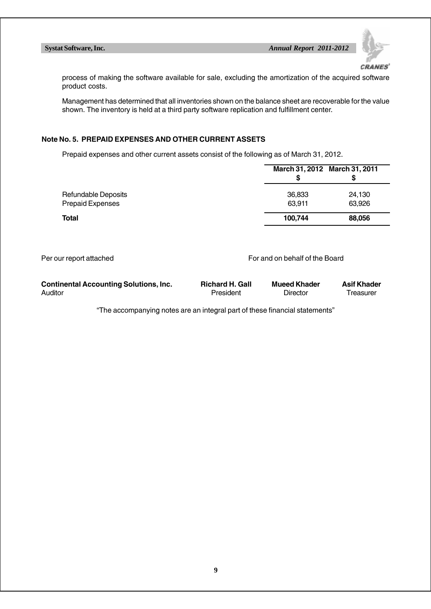

process of making the software available for sale, excluding the amortization of the acquired software product costs.

Management has determined that all inventories shown on the balance sheet are recoverable for the value shown. The inventory is held at a third party software replication and fulfillment center.

# **Note No. 5. PREPAID EXPENSES AND OTHER CURRENT ASSETS**

Prepaid expenses and other current assets consist of the following as of March 31, 2012.

|                                                       | March 31, 2012 March 31, 2011<br>æ |                  |
|-------------------------------------------------------|------------------------------------|------------------|
| <b>Refundable Deposits</b><br><b>Prepaid Expenses</b> | 36,833<br>63,911                   | 24,130<br>63.926 |
| <b>Total</b>                                          | 100.744                            | 88,056           |

|  | Per our report attached |
|--|-------------------------|
|--|-------------------------|

**Systat Software, Inc.**

For and on behalf of the Board

| <b>Continental Accounting Solutions, Inc.</b> | <b>Richard H. Gall</b> | <b>Mueed Khader</b> | <b>Asif Khader</b> |
|-----------------------------------------------|------------------------|---------------------|--------------------|
| Auditor                                       | President              | Director            | Treasurer          |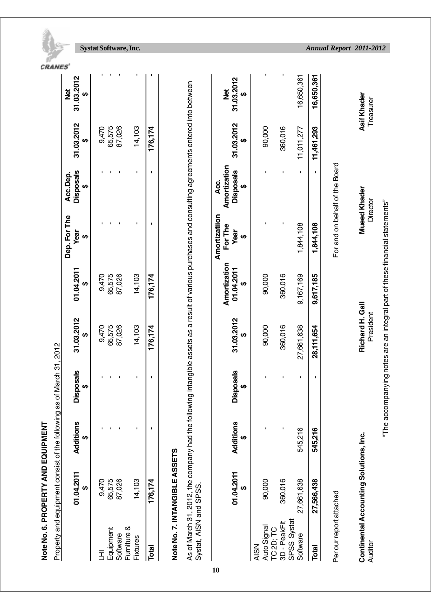| ŗ |
|---|
| Ï |
|   |
|   |
|   |
| ē |
|   |
|   |
|   |
|   |
|   |
|   |
|   |
|   |
|   |
|   |
|   |
|   |
|   |
|   |
|   |
|   |
|   |
|   |
|   |

|                                           | Property and equipment consist of the following as of March 31, 2012 |                  |          |            |            |                     |                       |            |                       |
|-------------------------------------------|----------------------------------------------------------------------|------------------|----------|------------|------------|---------------------|-----------------------|------------|-----------------------|
|                                           | 01.04.2011                                                           | <b>Additions</b> | isposals | 31.03.2012 | 01.04.2011 | Dep.For The<br>Year | Jisposals<br>Acc.Dep. | 31.03.2012 | 31.03.2012<br>ี<br>2ี |
|                                           |                                                                      |                  |          |            |            |                     |                       | <u>မ</u>   |                       |
|                                           | 9,470                                                                |                  |          | 9,470      | 9,470      |                     |                       | 9,470      |                       |
| iquipment                                 | 65,575                                                               |                  |          | 65,575     | 65,575     |                     |                       | 65,575     |                       |
| Software                                  | 87,026                                                               |                  |          | 87,026     | 87,026     |                     |                       | 87,026     |                       |
| <b>Jurniture &amp;</b><br><b>Fixtures</b> | 14,103                                                               |                  |          | 14,103     | 14,103     |                     |                       | 14,103     |                       |
| Total                                     | 176,174                                                              |                  |          | 176,174    | 176,174    |                     |                       | 176,174    |                       |
|                                           |                                                                      |                  |          |            |            |                     |                       |            |                       |

**Systat Software, Inc.**

**CRANES** 

# Note No. 7. INTANGIBLE ASSETS **Note No. 7. INTANGIBLE ASSETS**

**10**

As of March 31, 2012, the company had the following intangible assets as a result of various purchases and consulting agreements entered into between<br>Systat, AISN and SPSS. As of March 31, 2012, the company had the following intangible assets as a result of various purchases and consulting agreements entered into between Systat, AlSN and SPSS.

|                         |            |           |              |            |              | Amortizatiion | cc.<br>Ac                      |            |            |
|-------------------------|------------|-----------|--------------|------------|--------------|---------------|--------------------------------|------------|------------|
|                         |            |           |              |            | Amortization | For The       | Amortization                   |            | ี<br>2ี    |
|                         | 01.04.2011 | Additions | sposals<br>ō | 31.03.2012 | 01.04.2011   | Year          | <b>Disposals</b>               | 31.03.2012 | 31.03.2012 |
| <b>AISN</b>             |            |           |              |            |              |               |                                |            |            |
| <b>Auto Signal</b>      | 90,000     |           |              | 90,000     | 90,000       |               |                                | 90,000     |            |
| TC 2D; TC               |            |           |              |            |              |               |                                |            |            |
| 3D - PeakFit            | 360,016    |           |              | 360,016    | 360,016      |               |                                | 360,016    |            |
| SPSS Systat             |            |           |              |            |              |               |                                |            |            |
| Software                | 27,661,638 | 545,216   |              | 27,661,638 | 9,167,169    | 1,844,108     |                                | 11,011,277 | 16,650,361 |
| Total                   | 27,566,438 | 545.216   |              | 28,111,654 | 9,617,185    | 1,844,108     |                                | 11,461,293 | 16.650.361 |
|                         |            |           |              |            |              |               |                                |            |            |
| Per our report attached |            |           |              |            |              |               | For and on behalf of the Board |            |            |
|                         |            |           |              |            |              |               |                                |            |            |

Per our report attached

For and on behalf of the Board

**Continental Accounting Solutions, Inc. Richard H. Gall Mueed Khader Asif Khader** Auditor President Director Treasurer Continental Accounting Solutions, Inc.<br>Auditor

**Richard H. Gall**<br>President

"The accompanying notes are an integral part of these financial statements"

"The accompanying notes are an integral part of these financial statements"

**Mueed Khader**<br>Director

**Asif Khader**<br>Treasurer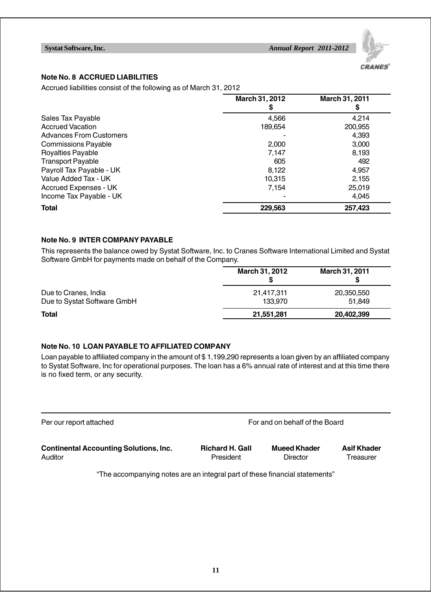

# **Note No. 8 ACCRUED LIABILITIES**

Accrued liabilities consist of the following as of March 31, 2012

|                                | March 31, 2012 | March 31, 2011 |
|--------------------------------|----------------|----------------|
|                                |                | Φ              |
| Sales Tax Payable              | 4,566          | 4,214          |
| <b>Accrued Vacation</b>        | 189.654        | 200,955        |
| <b>Advances From Customers</b> |                | 4,393          |
| <b>Commissions Payable</b>     | 2.000          | 3.000          |
| Royalties Payable              | 7.147          | 8,193          |
| <b>Transport Payable</b>       | 605            | 492            |
| Payroll Tax Payable - UK       | 8,122          | 4,957          |
| Value Added Tax - UK           | 10.315         | 2,155          |
| Accrued Expenses - UK          | 7.154          | 25,019         |
| Income Tax Payable - UK        |                | 4.045          |
| <b>Total</b>                   | 229,563        | 257,423        |

# **Note No. 9 INTER COMPANY PAYABLE**

This represents the balance owed by Systat Software, Inc. to Cranes Software International Limited and Systat Software GmbH for payments made on behalf of the Company.

|                             | March 31, 2012 | <b>March 31, 2011</b> |
|-----------------------------|----------------|-----------------------|
| Due to Cranes, India        | 21,417,311     | 20,350,550            |
| Due to Systat Software GmbH | 133.970        | 51.849                |
| Total                       | 21,551,281     | 20,402,399            |

# **Note No. 10 LOAN PAYABLE TO AFFILIATED COMPANY**

Loan payable to affiliated company in the amount of  $$1,199,290$  represents a loan given by an affiliated company to Systat Software, Inc for operational purposes. The loan has a 6% annual rate of interest and at this time there is no fixed term, or any security.

| Per our report attached                                                     |                                     | For and on behalf of the Board  |                                 |
|-----------------------------------------------------------------------------|-------------------------------------|---------------------------------|---------------------------------|
| <b>Continental Accounting Solutions, Inc.</b><br>Auditor                    | <b>Richard H. Gall</b><br>President | <b>Mueed Khader</b><br>Director | <b>Asif Khader</b><br>Treasurer |
| "The accompanying notes are an integral part of these financial statements" |                                     |                                 |                                 |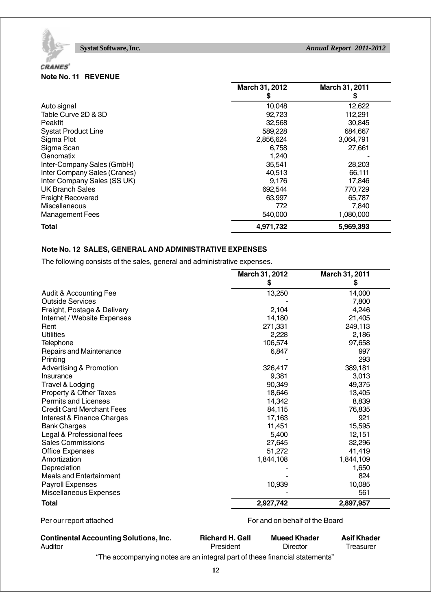**Systat Software, Inc.**

*Annual Report 2011-2012*

# **CRANES**

# **Note No. 11 REVENUE**

|                              | March 31, 2012 | March 31, 2011 |
|------------------------------|----------------|----------------|
|                              | Φ              | Ψ              |
| Auto signal                  | 10,048         | 12,622         |
| Table Curve 2D & 3D          | 92.723         | 112,291        |
| Peakfit                      | 32,568         | 30,845         |
| <b>Systat Product Line</b>   | 589,228        | 684,667        |
| Sigma Plot                   | 2,856,624      | 3,064,791      |
| Sigma Scan                   | 6,758          | 27,661         |
| Genomatix                    | 1.240          |                |
| Inter-Company Sales (GmbH)   | 35,541         | 28,203         |
| Inter Company Sales (Cranes) | 40,513         | 66,111         |
| Inter Company Sales (SS UK)  | 9.176          | 17.846         |
| <b>UK Branch Sales</b>       | 692,544        | 770,729        |
| <b>Freight Recovered</b>     | 63,997         | 65,787         |
| Miscellaneous                | 772            | 7.840          |
| <b>Management Fees</b>       | 540,000        | 1,080,000      |
| <b>Total</b>                 | 4,971,732      | 5,969,393      |

# **Note No. 12 SALES, GENERAL AND ADMINISTRATIVE EXPENSES**

The following consists of the sales, general and administrative expenses.

|                                    | March 31, 2012<br>S            | March 31, 2011<br>S |
|------------------------------------|--------------------------------|---------------------|
| Audit & Accounting Fee             | 13,250                         | 14,000              |
| <b>Outside Services</b>            |                                | 7,800               |
| Freight, Postage & Delivery        | 2,104                          | 4,246               |
| Internet / Website Expenses        | 14,180                         | 21,405              |
| Rent                               | 271,331                        | 249,113             |
| <b>Utilities</b>                   | 2.228                          | 2,186               |
| <b>Telephone</b>                   | 106,574                        | 97,658              |
| Repairs and Maintenance            | 6,847                          | 997                 |
| Printing                           |                                | 293                 |
| <b>Advertising &amp; Promotion</b> | 326,417                        | 389,181             |
| Insurance                          | 9,381                          | 3,013               |
| Travel & Lodging                   | 90,349                         | 49,375              |
| Property & Other Taxes             | 18,646                         | 13,405              |
| <b>Permits and Licenses</b>        | 14,342                         | 8,839               |
| <b>Credit Card Merchant Fees</b>   | 84,115                         | 76,835              |
| Interest & Finance Charges         | 17,163                         | 921                 |
| <b>Bank Charges</b>                | 11,451                         | 15,595              |
| Legal & Professional fees          | 5,400                          | 12,151              |
| <b>Sales Commissions</b>           | 27,645                         | 32,296              |
| <b>Office Expenses</b>             | 51.272                         | 41,419              |
| Amortization                       | 1,844,108                      | 1,844,109           |
| Depreciation                       |                                | 1,650               |
| <b>Meals and Entertainment</b>     |                                | 824                 |
| Payroll Expenses                   | 10,939                         | 10,085              |
| Miscellaneous Expenses             |                                | 561                 |
| <b>Total</b>                       | 2,927,742                      | 2,897,957           |
| Per our report attached            | For and on behalf of the Board |                     |

| <b>Continental Accounting Solutions, Inc.</b>                               | <b>Richard H. Gall</b> | Mueed Khader | <b>Asif Khader</b> |
|-----------------------------------------------------------------------------|------------------------|--------------|--------------------|
| Auditor                                                                     | President              | Director     | Treasurer          |
| "The accompanying notes are an integral part of these financial statements" |                        |              |                    |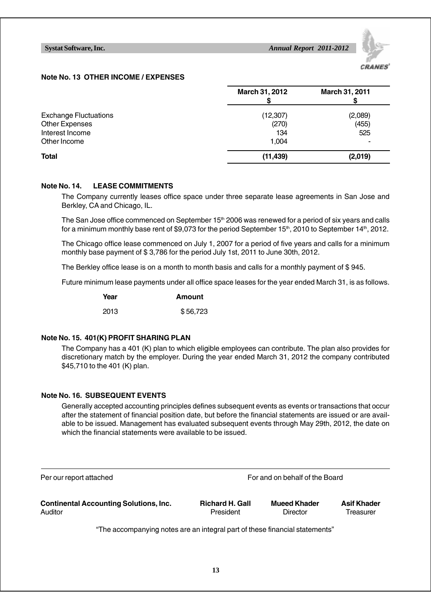

# **Note No. 13 OTHER INCOME / EXPENSES**

|                              | March 31, 2012 | March 31, 2011 |
|------------------------------|----------------|----------------|
| <b>Exchange Fluctuations</b> | (12, 307)      | (2,089)        |
| Other Expenses               | (270)          | (455)          |
| Interest Income              | 134            | 525            |
| Other Income                 | 1.004          | -              |
| <b>Total</b>                 | (11, 439)      | (2,019)        |

# **Note No. 14. LEASE COMMITMENTS**

The Company currently leases office space under three separate lease agreements in San Jose and Berkley, CA and Chicago, IL.

The San Jose office commenced on September 15<sup>th</sup> 2006 was renewed for a period of six years and calls for a minimum monthly base rent of \$9,073 for the period September 15th, 2010 to September 14th, 2012.

The Chicago office lease commenced on July 1, 2007 for a period of five years and calls for a minimum monthly base payment of \$ 3,786 for the period July 1st, 2011 to June 30th, 2012.

The Berkley office lease is on a month to month basis and calls for a monthly payment of \$ 945.

Future minimum lease payments under all office space leases for the year ended March 31, is as follows.

| Year | Amount   |
|------|----------|
| 2013 | \$56,723 |

# **Note No. 15. 401(K) PROFIT SHARING PLAN**

The Company has a 401 (K) plan to which eligible employees can contribute. The plan also provides for discretionary match by the employer. During the year ended March 31, 2012 the company contributed \$45,710 to the 401 (K) plan.

# **Note No. 16. SUBSEQUENT EVENTS**

Generally accepted accounting principles defines subsequent events as events or transactions that occur after the statement of financial position date, but before the financial statements are issued or are available to be issued. Management has evaluated subsequent events through May 29th, 2012, the date on which the financial statements were available to be issued.

Per our report attached For and on behalf of the Board

| <b>Continental Accounting Solutions, Inc.</b> | <b>Richard H. Gall</b> | <b>Mueed Khader</b> | Asif Khader |
|-----------------------------------------------|------------------------|---------------------|-------------|
| Auditor                                       | President              | Director            | Treasurer   |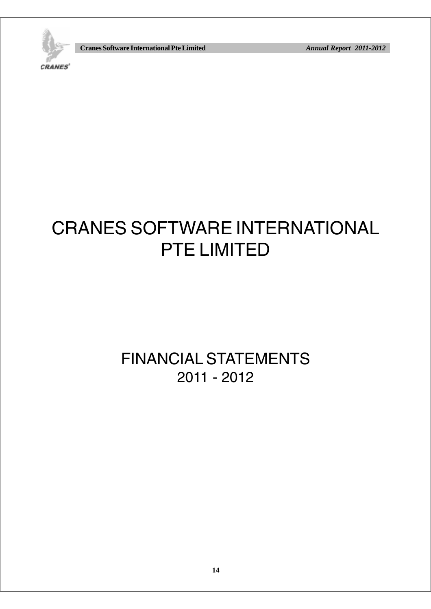

**Cranes Software International Pte Limited**

*Annual Report 2011-2012*

# CRANES SOFTWARE INTERNATIONAL PTE LIMITED

# FINANCIAL STATEMENTS 2011 - 2012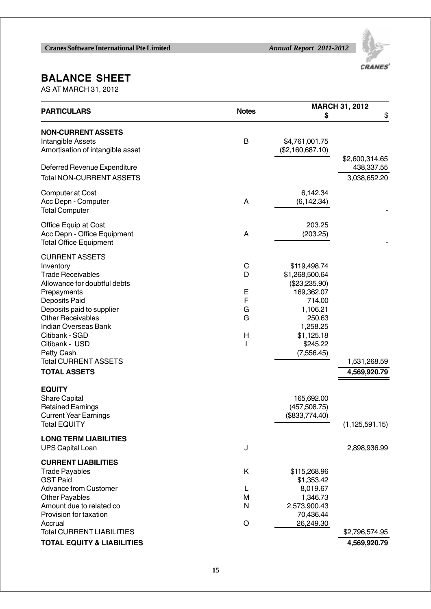

# **BALANCE SHEET**

AS AT MARCH 31, 2012

|                                                                                                                                                                                                                                                                                                                                |                                                | <b>MARCH 31, 2012</b>                                                                                                                             |                                              |
|--------------------------------------------------------------------------------------------------------------------------------------------------------------------------------------------------------------------------------------------------------------------------------------------------------------------------------|------------------------------------------------|---------------------------------------------------------------------------------------------------------------------------------------------------|----------------------------------------------|
| <b>PARTICULARS</b>                                                                                                                                                                                                                                                                                                             | <b>Notes</b>                                   | \$                                                                                                                                                | \$                                           |
| <b>NON-CURRENT ASSETS</b><br>Intangible Assets<br>Amortisation of intangible asset                                                                                                                                                                                                                                             | B                                              | \$4,761,001.75<br>(\$2,160,687.10)                                                                                                                |                                              |
| Deferred Revenue Expenditure<br><b>Total NON-CURRENT ASSETS</b>                                                                                                                                                                                                                                                                |                                                |                                                                                                                                                   | \$2,600,314.65<br>438,337.55<br>3,038,652.20 |
| <b>Computer at Cost</b><br>Acc Depn - Computer<br><b>Total Computer</b>                                                                                                                                                                                                                                                        | A                                              | 6,142.34<br>(6, 142.34)                                                                                                                           |                                              |
| Office Equip at Cost<br>Acc Depn - Office Equipment<br><b>Total Office Equipment</b>                                                                                                                                                                                                                                           | A                                              | 203.25<br>(203.25)                                                                                                                                |                                              |
| <b>CURRENT ASSETS</b><br>Inventory<br><b>Trade Receivables</b><br>Allowance for doubtful debts<br>Prepayments<br>Deposits Paid<br>Deposits paid to supplier<br><b>Other Receivables</b><br><b>Indian Overseas Bank</b><br>Citibank - SGD<br>Citibank - USD<br>Petty Cash<br><b>Total CURRENT ASSETS</b><br><b>TOTAL ASSETS</b> | $\mathsf C$<br>D<br>E<br>F<br>G<br>G<br>H<br>I | \$119,498.74<br>\$1,268,500.64<br>(\$23,235.90)<br>169,362.07<br>714.00<br>1,106.21<br>250.63<br>1,258.25<br>\$1,125.18<br>\$245.22<br>(7,556.45) | 1,531,268.59<br>4,569,920.79                 |
| <b>EQUITY</b><br><b>Share Capital</b><br><b>Retained Earnings</b><br><b>Current Year Earnings</b><br><b>Total EQUITY</b>                                                                                                                                                                                                       |                                                | 165,692.00<br>(457, 508.75)<br>(\$833,774.40)                                                                                                     | (1, 125, 591.15)                             |
| <b>LONG TERM LIABILITIES</b><br><b>UPS Capital Loan</b>                                                                                                                                                                                                                                                                        | J                                              |                                                                                                                                                   | 2,898,936.99                                 |
| <b>CURRENT LIABILITIES</b><br><b>Trade Payables</b><br><b>GST Paid</b><br><b>Advance from Customer</b><br><b>Other Payables</b><br>Amount due to related co<br>Provision for taxation<br>Accrual<br><b>Total CURRENT LIABILITIES</b>                                                                                           | K<br>L<br>M<br>N<br>O                          | \$115,268.96<br>\$1,353.42<br>8,019.67<br>1,346.73<br>2,573,900.43<br>70,436.44<br>26,249.30                                                      | \$2,796,574.95                               |
| <b>TOTAL EQUITY &amp; LIABILITIES</b>                                                                                                                                                                                                                                                                                          |                                                |                                                                                                                                                   | 4,569,920.79                                 |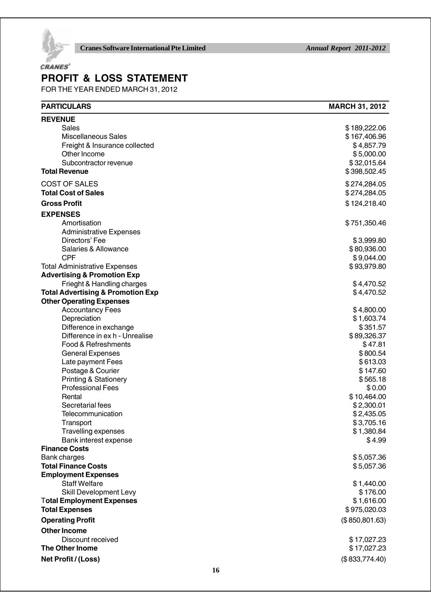

# **CRANES**

# **PROFIT & LOSS STATEMENT**

FOR THE YEAR ENDED MARCH 31, 2012

| <b>PARTICULARS</b>                           | <b>MARCH 31, 2012</b> |
|----------------------------------------------|-----------------------|
| <b>REVENUE</b>                               |                       |
| Sales                                        | \$189,222.06          |
| Miscellaneous Sales                          | \$167,406.96          |
| Freight & Insurance collected                | \$4,857.79            |
| Other Income                                 | \$5,000.00            |
| Subcontractor revenue                        | \$32,015.64           |
| <b>Total Revenue</b>                         | \$398,502.45          |
| <b>COST OF SALES</b>                         | \$274,284.05          |
| <b>Total Cost of Sales</b>                   | \$274,284.05          |
| <b>Gross Profit</b>                          | \$124,218.40          |
| <b>EXPENSES</b>                              |                       |
| Amortisation                                 | \$751,350.46          |
| <b>Administrative Expenses</b>               |                       |
| Directors' Fee                               | \$3,999.80            |
| Salaries & Allowance                         | \$80,936.00           |
| <b>CPF</b>                                   | \$9,044.00            |
| <b>Total Administrative Expenses</b>         | \$93,979.80           |
| <b>Advertising &amp; Promotion Exp</b>       |                       |
| Frieght & Handling charges                   | \$4,470.52            |
| <b>Total Advertising &amp; Promotion Exp</b> | \$4,470.52            |
| <b>Other Operating Expenses</b>              |                       |
| <b>Accountancy Fees</b>                      | \$4,800.00            |
| Depreciation                                 | \$1,603.74            |
| Difference in exchange                       | \$351.57              |
| Difference in ex h - Unrealise               | \$89,326.37           |
| Food & Refreshments                          | \$47.81               |
| <b>General Expenses</b>                      | \$800.54              |
| Late payment Fees                            | \$613.03              |
| Postage & Courier                            | \$147.60              |
| <b>Printing &amp; Stationery</b>             | \$565.18              |
| <b>Professional Fees</b>                     | \$0.00                |
| Rental                                       | \$10,464.00           |
| Secretarial fees                             | \$2,300.01            |
| Telecommunication                            | \$2,435.05            |
| Transport                                    | \$3,705.16            |
| Travelling expenses<br>Bank interest expense | \$1,380.84<br>\$4.99  |
| <b>Finance Costs</b>                         |                       |
| <b>Bank charges</b>                          | \$5,057.36            |
| <b>Total Finance Costs</b>                   | \$5,057.36            |
| <b>Employment Expenses</b>                   |                       |
| <b>Staff Welfare</b>                         | \$1,440.00            |
| Skill Development Levy                       | \$176.00              |
| <b>Total Employment Expenses</b>             | \$1,616.00            |
| <b>Total Expenses</b>                        | \$975,020.03          |
| <b>Operating Profit</b>                      | (\$850, 801.63)       |
| <b>Other Income</b>                          |                       |
| Discount received                            | \$17,027.23           |
| <b>The Other Inome</b>                       | \$17,027.23           |
| Net Profit / (Loss)                          | (\$833,774.40)        |
|                                              |                       |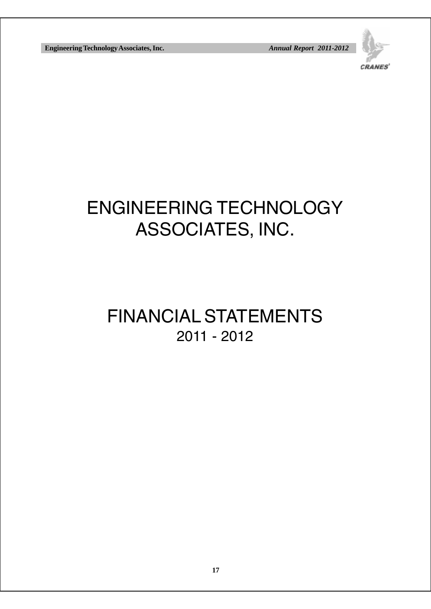*Annual Report 2011-2012*



# ENGINEERING TECHNOLOGY ASSOCIATES, INC.

# FINANCIAL STATEMENTS 2011 - 2012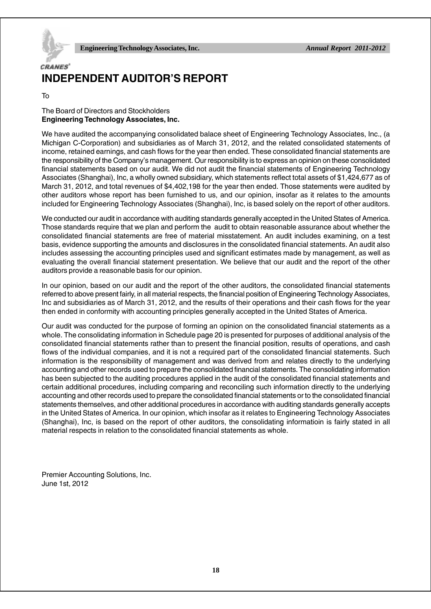

# **INDEPENDENT AUDITOR'S REPORT**

# To

# The Board of Directors and Stockholders **Engineering Technology Associates, Inc.**

We have audited the accompanying consolidated balace sheet of Engineering Technology Associates, Inc., (a Michigan C-Corporation) and subsidiaries as of March 31, 2012, and the related consolidated statements of income, retained earnings, and cash flows for the year then ended. These consolidated financial statements are the responsibility of the Company's management. Our responsibility is to express an opinion on these consolidated financial statements based on our audit. We did not audit the financial statements of Engineering Technology Associates (Shanghai), Inc, a wholly owned subsidiary, which statements reflect total assets of \$1,424,677 as of March 31, 2012, and total revenues of \$4,402,198 for the year then ended. Those statements were audited by other auditors whose report has been furnished to us, and our opinion, insofar as it relates to the amounts included for Engineering Technology Associates (Shanghai), Inc, is based solely on the report of other auditors.

We conducted our audit in accordance with auditing standards generally accepted in the United States of America. Those standards require that we plan and perform the audit to obtain reasonable assurance about whether the consolidated financial statements are free of material misstatement. An audit includes examining, on a test basis, evidence supporting the amounts and disclosures in the consolidated financial statements. An audit also includes assessing the accounting principles used and significant estimates made by management, as well as evaluating the overall financial statement presentation. We believe that our audit and the report of the other auditors provide a reasonable basis for our opinion.

In our opinion, based on our audit and the report of the other auditors, the consolidated financial statements referred to above present fairly, in all material respects, the financial position of Engineering Technology Associates, Inc and subsidiaries as of March 31, 2012, and the results of their operations and their cash flows for the year then ended in conformity with accounting principles generally accepted in the United States of America.

Our audit was conducted for the purpose of forming an opinion on the consolidated financial statements as a whole. The consolidating information in Schedule page 20 is presented for purposes of additional analysis of the consolidated financial statements rather than to present the financial position, results of operations, and cash flows of the individual companies, and it is not a required part of the consolidated financial statements. Such information is the responsibility of management and was derived from and relates directly to the underlying accounting and other records used to prepare the consolidated financial statements. The consolidating information has been subjected to the auditing procedures applied in the audit of the consolidated financial statements and certain additional procedures, including comparing and reconciling such information directly to the underlying accounting and other records used to prepare the consolidated financial statements or to the consolidated financial statements themselves, and other additional procedures in accordance with auditing standards generally accepts in the United States of America. In our opinion, which insofar as it relates to Engineering Technology Associates (Shanghai), Inc, is based on the report of other auditors, the consolidating informatioin is fairly stated in all material respects in relation to the consolidated financial statements as whole.

Premier Accounting Solutions, Inc. June 1st, 2012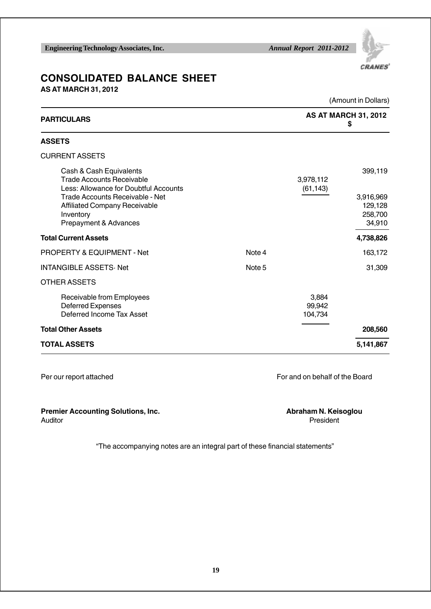*Annual Report 2011-2012*



# **CONSOLIDATED BALANCE SHEET AS AT MARCH 31, 2012**

|                                                                                                                                                                                                                |        |                            | (Amount in Dollars)                                  |
|----------------------------------------------------------------------------------------------------------------------------------------------------------------------------------------------------------------|--------|----------------------------|------------------------------------------------------|
| <b>PARTICULARS</b>                                                                                                                                                                                             |        |                            | <b>AS AT MARCH 31, 2012</b><br>\$                    |
| <b>ASSETS</b>                                                                                                                                                                                                  |        |                            |                                                      |
| <b>CURRENT ASSETS</b>                                                                                                                                                                                          |        |                            |                                                      |
| Cash & Cash Equivalents<br><b>Trade Accounts Receivable</b><br>Less: Allowance for Doubtful Accounts<br>Trade Accounts Receivable - Net<br>Affiliated Company Receivable<br>Inventory<br>Prepayment & Advances |        | 3,978,112<br>(61, 143)     | 399,119<br>3,916,969<br>129,128<br>258,700<br>34,910 |
| <b>Total Current Assets</b>                                                                                                                                                                                    |        |                            | 4,738,826                                            |
| <b>PROPERTY &amp; EQUIPMENT - Net</b>                                                                                                                                                                          | Note 4 |                            | 163,172                                              |
| <b>INTANGIBLE ASSETS Net</b>                                                                                                                                                                                   | Note 5 |                            | 31,309                                               |
| OTHER ASSETS                                                                                                                                                                                                   |        |                            |                                                      |
| Receivable from Employees<br><b>Deferred Expenses</b><br>Deferred Income Tax Asset                                                                                                                             |        | 3,884<br>99,942<br>104,734 |                                                      |
| <b>Total Other Assets</b>                                                                                                                                                                                      |        |                            | 208,560                                              |
| <b>TOTAL ASSETS</b>                                                                                                                                                                                            |        |                            | 5,141,867                                            |

Per our report attached For and on behalf of the Board

**Premier Accounting Solutions, Inc. Abraham N. Keisoglou Auditor Abraham N. Keisoglou**<br>Auditor **President** Auditor President (1999) and the contract of the contract of the contract of the contract of the contract of the contract of the contract of the contract of the contract of the contract of the contract of the contract of t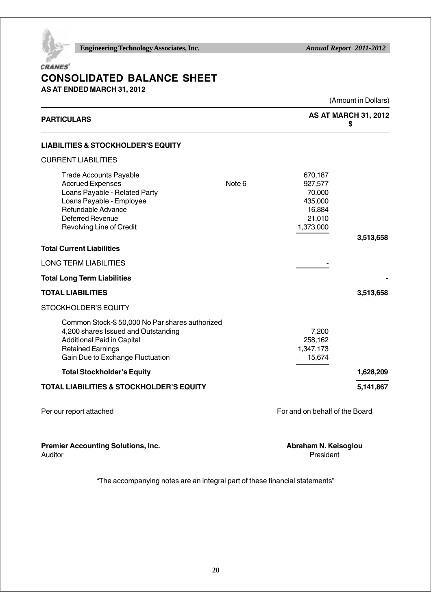

*Annual Report 2011-2012*

# **CRANES CONSOLIDATED BALANCE SHEET AS AT ENDED MARCH 31, 2012**

|                                                                                                                                                                                                    |                                                     | (Amount in Dollars)                                                      |                                   |
|----------------------------------------------------------------------------------------------------------------------------------------------------------------------------------------------------|-----------------------------------------------------|--------------------------------------------------------------------------|-----------------------------------|
| <b>PARTICULARS</b>                                                                                                                                                                                 |                                                     |                                                                          | <b>AS AT MARCH 31, 2012</b><br>\$ |
| <b>LIABILITIES &amp; STOCKHOLDER'S EQUITY</b>                                                                                                                                                      |                                                     |                                                                          |                                   |
| <b>CURRENT LIABILITIES</b>                                                                                                                                                                         |                                                     |                                                                          |                                   |
| <b>Trade Accounts Payable</b><br><b>Accrued Expenses</b><br>Loans Payable - Related Party<br>Loans Payable - Employee<br>Refundable Advance<br><b>Deferred Revenue</b><br>Revolving Line of Credit | Note <sub>6</sub>                                   | 670,187<br>927,577<br>70,000<br>435,000<br>16,884<br>21,010<br>1,373,000 | 3,513,658                         |
| <b>Total Current Liabilities</b>                                                                                                                                                                   |                                                     |                                                                          |                                   |
| <b>LONG TERM LIABILITIES</b>                                                                                                                                                                       |                                                     |                                                                          |                                   |
| <b>Total Long Term Liabilities</b>                                                                                                                                                                 |                                                     |                                                                          |                                   |
| <b>TOTAL LIABILITIES</b>                                                                                                                                                                           |                                                     |                                                                          | 3,513,658                         |
| STOCKHOLDER'S EQUITY                                                                                                                                                                               |                                                     |                                                                          |                                   |
| Common Stock-\$50,000 No Par shares authorized<br>4,200 shares Issued and Outstanding<br><b>Additional Paid in Capital</b><br><b>Retained Earnings</b><br>Gain Due to Exchange Fluctuation         |                                                     | 7,200<br>258,162<br>1,347,173<br>15,674                                  |                                   |
| <b>Total Stockholder's Equity</b>                                                                                                                                                                  |                                                     |                                                                          | 1,628,209                         |
|                                                                                                                                                                                                    | <b>TOTAL LIABILITIES &amp; STOCKHOLDER'S EQUITY</b> |                                                                          | 5,141,867                         |

Per our report attached For and on behalf of the Board

**Premier Accounting Solutions, Inc. Abraham N. Keisoglou**<br>Auditor **President** Auditor President (1999) and the contract of the contract of the contract of the contract of the contract of the contract of the contract of the contract of the contract of the contract of the contract of the contract of t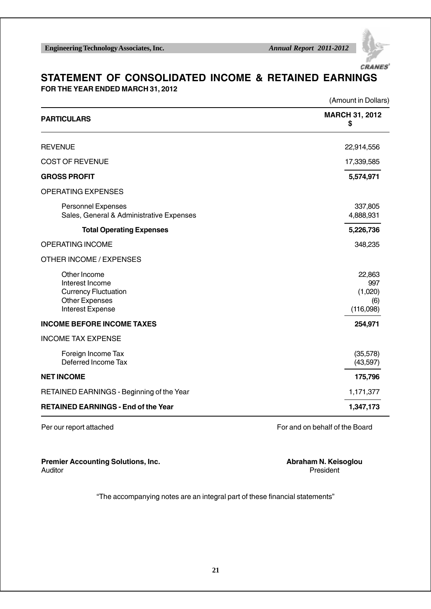

# **STATEMENT OF CONSOLIDATED INCOME & RETAINED EARNINGS FOR THE YEAR ENDED MARCH 31, 2012**

|                                                                                                                    | (Amount in Dollars)                          |
|--------------------------------------------------------------------------------------------------------------------|----------------------------------------------|
| <b>PARTICULARS</b>                                                                                                 | <b>MARCH 31, 2012</b><br>\$                  |
| <b>REVENUE</b>                                                                                                     | 22,914,556                                   |
| <b>COST OF REVENUE</b>                                                                                             | 17,339,585                                   |
| <b>GROSS PROFIT</b>                                                                                                | 5,574,971                                    |
| <b>OPERATING EXPENSES</b>                                                                                          |                                              |
| <b>Personnel Expenses</b><br>Sales, General & Administrative Expenses                                              | 337,805<br>4,888,931                         |
| <b>Total Operating Expenses</b>                                                                                    | 5,226,736                                    |
| <b>OPERATING INCOME</b>                                                                                            | 348,235                                      |
| OTHER INCOME / EXPENSES                                                                                            |                                              |
| Other Income<br>Interest Income<br><b>Currency Fluctuation</b><br><b>Other Expenses</b><br><b>Interest Expense</b> | 22,863<br>997<br>(1,020)<br>(6)<br>(116,098) |
| <b>INCOME BEFORE INCOME TAXES</b>                                                                                  | 254,971                                      |
| <b>INCOME TAX EXPENSE</b>                                                                                          |                                              |
| Foreign Income Tax<br>Deferred Income Tax                                                                          | (35,578)<br>(43,597)                         |
| <b>NET INCOME</b>                                                                                                  | 175,796                                      |
| RETAINED EARNINGS - Beginning of the Year                                                                          | 1,171,377                                    |
| <b>RETAINED EARNINGS - End of the Year</b>                                                                         | 1,347,173                                    |
|                                                                                                                    |                                              |

Per our report attached For and on behalf of the Board

**Premier Accounting Solutions, Inc. Abraham N. Keisoglou**<br>Auditor **President** Auditor President (1999) and the contract of the contract of the contract of the contract of the contract of the contract of the contract of the contract of the contract of the contract of the contract of the contract of t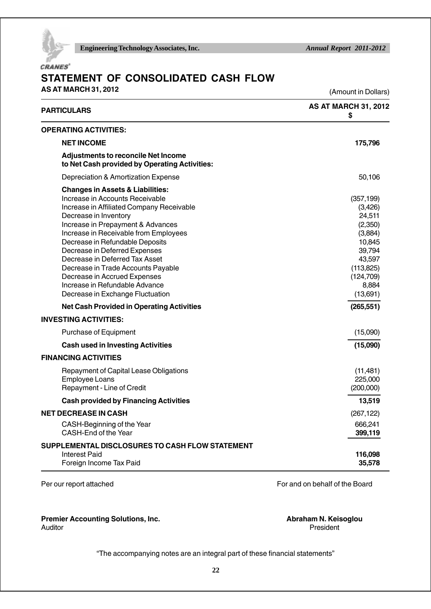

*Annual Report 2011-2012*

(Amount in Dollars)

# **STATEMENT OF CONSOLIDATED CASH FLOW AS AT MARCH 31, 2012**

| <b>PARTICULARS</b>                                                                                                                                                                                                                                                                                                                                                                                                                                                                   | <b>AS AT MARCH 31, 2012</b><br>\$                                                                                                    |
|--------------------------------------------------------------------------------------------------------------------------------------------------------------------------------------------------------------------------------------------------------------------------------------------------------------------------------------------------------------------------------------------------------------------------------------------------------------------------------------|--------------------------------------------------------------------------------------------------------------------------------------|
| <b>OPERATING ACTIVITIES:</b>                                                                                                                                                                                                                                                                                                                                                                                                                                                         |                                                                                                                                      |
| <b>NET INCOME</b>                                                                                                                                                                                                                                                                                                                                                                                                                                                                    | 175,796                                                                                                                              |
| <b>Adjustments to reconcile Net Income</b><br>to Net Cash provided by Operating Activities:                                                                                                                                                                                                                                                                                                                                                                                          |                                                                                                                                      |
| Depreciation & Amortization Expense                                                                                                                                                                                                                                                                                                                                                                                                                                                  | 50,106                                                                                                                               |
| <b>Changes in Assets &amp; Liabilities:</b><br>Increase in Accounts Receivable<br>Increase in Affiliated Company Receivable<br>Decrease in Inventory<br>Increase in Prepayment & Advances<br>Increase in Receivable from Employees<br>Decrease in Refundable Deposits<br>Decrease in Deferred Expenses<br>Decrease in Deferred Tax Asset<br>Decrease in Trade Accounts Payable<br>Decrease in Accrued Expenses<br>Increase in Refundable Advance<br>Decrease in Exchange Fluctuation | (357, 199)<br>(3,426)<br>24,511<br>(2,350)<br>(3,884)<br>10,845<br>39,794<br>43,597<br>(113, 825)<br>(124, 709)<br>8,884<br>(13,691) |
| <b>Net Cash Provided in Operating Activities</b>                                                                                                                                                                                                                                                                                                                                                                                                                                     | (265, 551)                                                                                                                           |
| <b>INVESTING ACTIVITIES:</b>                                                                                                                                                                                                                                                                                                                                                                                                                                                         |                                                                                                                                      |
| Purchase of Equipment                                                                                                                                                                                                                                                                                                                                                                                                                                                                | (15,090)                                                                                                                             |
| <b>Cash used in Investing Activities</b>                                                                                                                                                                                                                                                                                                                                                                                                                                             | (15,090)                                                                                                                             |
| <b>FINANCING ACTIVITIES</b>                                                                                                                                                                                                                                                                                                                                                                                                                                                          |                                                                                                                                      |
| Repayment of Capital Lease Obligations<br>Employee Loans<br>Repayment - Line of Credit                                                                                                                                                                                                                                                                                                                                                                                               | (11, 481)<br>225,000<br>(200,000)                                                                                                    |
| <b>Cash provided by Financing Activities</b>                                                                                                                                                                                                                                                                                                                                                                                                                                         | 13,519                                                                                                                               |
| NET DECREASE IN CASH                                                                                                                                                                                                                                                                                                                                                                                                                                                                 | (267, 122)                                                                                                                           |
| CASH-Beginning of the Year<br>CASH-End of the Year                                                                                                                                                                                                                                                                                                                                                                                                                                   | 666,241<br>399,119                                                                                                                   |
| SUPPLEMENTAL DISCLOSURES TO CASH FLOW STATEMENT                                                                                                                                                                                                                                                                                                                                                                                                                                      |                                                                                                                                      |
| <b>Interest Paid</b><br>Foreign Income Tax Paid                                                                                                                                                                                                                                                                                                                                                                                                                                      | 116,098<br>35,578                                                                                                                    |

Per our report attached For and on behalf of the Board

**Premier Accounting Solutions, Inc. Abraham N. Keisoglou Auditor Abraham N. Keisoglou**<br>Auditor **President** Auditor President (1999) and the contract of the contract of the contract of the contract of the contract of the contract of the contract of the contract of the contract of the contract of the contract of the contract of t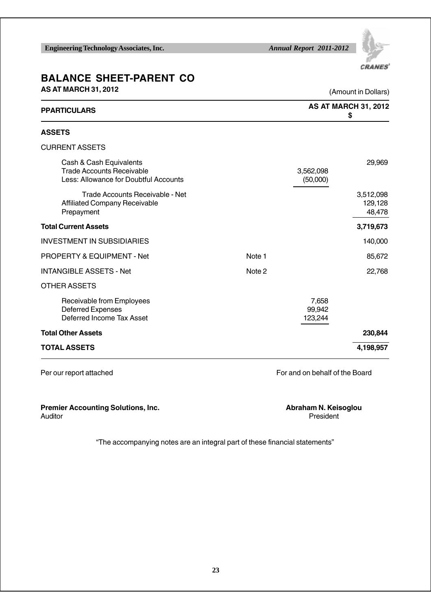*Annual Report 2011-2012*



# **BALANCE SHEET-PARENT CO AS AT MARCH 31, 2012**

(Amount in Dollars)

| <b>PPARTICULARS</b>                                                                                  |        | <b>AS AT MARCH 31, 2012</b><br>\$ |                                |
|------------------------------------------------------------------------------------------------------|--------|-----------------------------------|--------------------------------|
| <b>ASSETS</b>                                                                                        |        |                                   |                                |
| <b>CURRENT ASSETS</b>                                                                                |        |                                   |                                |
| Cash & Cash Equivalents<br><b>Trade Accounts Receivable</b><br>Less: Allowance for Doubtful Accounts |        | 3,562,098<br>(50,000)             | 29,969                         |
| Trade Accounts Receivable - Net<br>Affiliated Company Receivable<br>Prepayment                       |        |                                   | 3,512,098<br>129,128<br>48,478 |
| <b>Total Current Assets</b>                                                                          |        |                                   | 3,719,673                      |
| <b>INVESTMENT IN SUBSIDIARIES</b>                                                                    |        |                                   | 140,000                        |
| <b>PROPERTY &amp; EQUIPMENT - Net</b>                                                                | Note 1 |                                   | 85,672                         |
| <b>INTANGIBLE ASSETS - Net</b>                                                                       | Note 2 |                                   | 22,768                         |
| <b>OTHER ASSETS</b>                                                                                  |        |                                   |                                |
| Receivable from Employees<br>Deferred Expenses<br>Deferred Income Tax Asset                          |        | 7,658<br>99,942<br>123,244        |                                |
| <b>Total Other Assets</b>                                                                            |        |                                   | 230,844                        |
| <b>TOTAL ASSETS</b>                                                                                  |        |                                   | 4,198,957                      |

Per our report attached For and on behalf of the Board

**Premier Accounting Solutions, Inc. Abraham N. Keisoglou Auditor Abraham N. Keisoglou**<br>Auditor **President** Auditor President (1999) and the contract of the contract of the contract of the contract of the contract of the contract of the contract of the contract of the contract of the contract of the contract of the contract of t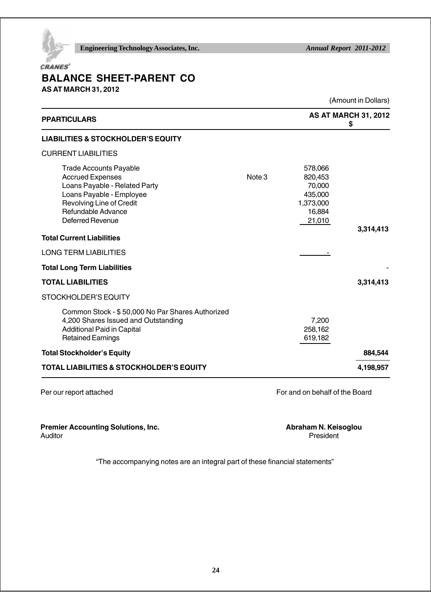

*Annual Report 2011-2012*

# **CRANES BALANCE SHEET-PARENT CO AS AT MARCH 31, 2012**

**PPARTICULARS**<br> **PPARTICULARS**<br>
S **\$ LIABILITIES & STOCKHOLDER'S EQUITY** CURRENT LIABILITIES Trade Accounts Payable<br>
Accrued Expenses<br>
Accrued Expenses<br>
20,453 Accrued Expenses **Accrued Expenses** 820,453<br>Loans Payable - Related Party **Note 3** 820,453 Loans Payable - Related Party<br>
Loans Payable - Employee<br>
135,000 435,000 Loans Payable - Employee 1999 12:35,000<br>
Revolving Line of Credit Revolving Line of Credit 1,373,000<br>Refundable Advance 16,884 Refundable Advance 16,884<br>Deferred Revenue 16,984<br>21,010 Deferred Revenue **3,314,413 Total Current Liabilities** LONG TERM LIABILITIES - **Total Long Term Liabilities TOTAL LIABILITIES 3,314,413** STOCKHOLDER'S EQUITY Common Stock - \$ 50,000 No Par Shares Authorized 4,200 Shares Issued and Outstanding<br>Additional Paid in Capital 1986 Additional Paid in Capital Additional Paid in Capital 258,162<br>
Retained Earnings
258,162<br>
258,162<br>
259,182 **Retained Earnings Total Stockholder's Equity 884,544 TOTAL LIABILITIES & STOCKHOLDER'S EQUITY 4,198,957** (Amount in Dollars)

Per our report attached For and on behalf of the Board

**Premier Accounting Solutions, Inc. Abraham N. Keisoglou Auditor Abraham N. Keisoglou**<br>Auditor **President** Auditor President (1999) - Auditor President (1999) - President (1999) - President (1999) - President (1999) -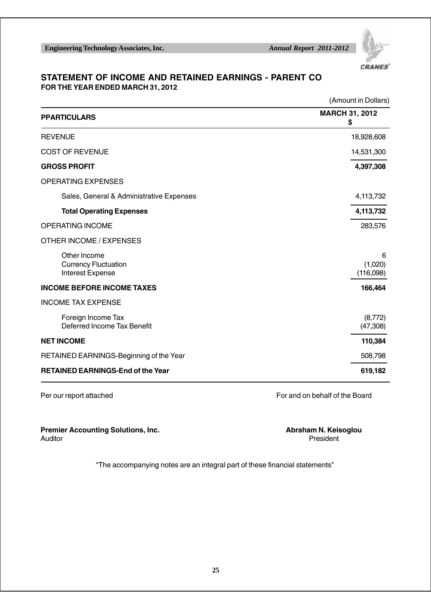# **STATEMENT OF INCOME AND RETAINED EARNINGS - PARENT CO FOR THE YEAR ENDED MARCH 31, 2012**

|                                                                 | (Amount in Dollars)         |
|-----------------------------------------------------------------|-----------------------------|
| <b>PPARTICULARS</b>                                             | <b>MARCH 31, 2012</b><br>\$ |
| <b>REVENUE</b>                                                  | 18,928,608                  |
| <b>COST OF REVENUE</b>                                          | 14,531,300                  |
| <b>GROSS PROFIT</b>                                             | 4,397,308                   |
| <b>OPERATING EXPENSES</b>                                       |                             |
| Sales, General & Administrative Expenses                        | 4,113,732                   |
| <b>Total Operating Expenses</b>                                 | 4,113,732                   |
| <b>OPERATING INCOME</b>                                         | 283,576                     |
| <b>OTHER INCOME / EXPENSES</b>                                  |                             |
| Other Income<br><b>Currency Fluctuation</b><br>Interest Expense | 6<br>(1,020)<br>(116,098)   |
| <b>INCOME BEFORE INCOME TAXES</b>                               | 166,464                     |
| <b>INCOME TAX EXPENSE</b>                                       |                             |
| Foreign Income Tax<br>Deferred Income Tax Benefit               | (8,772)<br>(47,308)         |
| <b>NET INCOME</b>                                               | 110,384                     |
| RETAINED EARNINGS-Beginning of the Year                         | 508,798                     |
| <b>RETAINED EARNINGS-End of the Year</b>                        | 619,182                     |

Per our report attached For and on behalf of the Board

**Premier Accounting Solutions, Inc. Abraham N. Keisoglou**<br>Auditor **President** Auditor President (1999) and the contract of the contract of the contract of the contract of the contract of the contract of the contract of the contract of the contract of the contract of the contract of the contract of t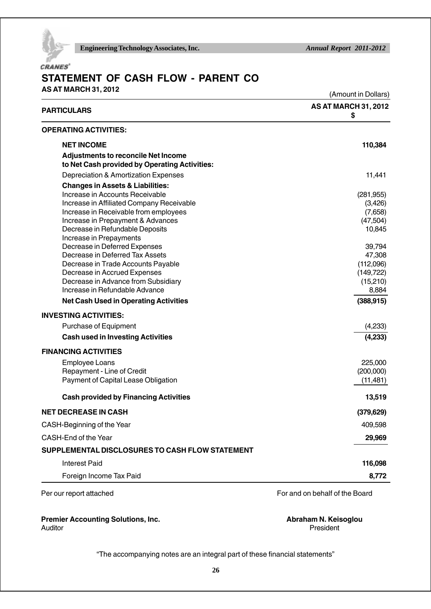

 $\mathbb{R}^2$ 

# **STATEMENT OF CASH FLOW - PARENT CO AS AT MARCH 31, 2012**

| <b>PARTICULARS</b><br><b>OPERATING ACTIVITIES:</b><br><b>NET INCOME</b><br><b>Adjustments to reconcile Net Income</b><br>to Net Cash provided by Operating Activities: | <b>AS AT MARCH 31, 2012</b><br>S<br>110,384<br>11,441 |
|------------------------------------------------------------------------------------------------------------------------------------------------------------------------|-------------------------------------------------------|
|                                                                                                                                                                        |                                                       |
|                                                                                                                                                                        |                                                       |
|                                                                                                                                                                        |                                                       |
|                                                                                                                                                                        |                                                       |
| Depreciation & Amortization Expenses                                                                                                                                   |                                                       |
| <b>Changes in Assets &amp; Liabilities:</b>                                                                                                                            |                                                       |
| Increase in Accounts Receivable                                                                                                                                        | (281, 955)                                            |
| Increase in Affiliated Company Receivable                                                                                                                              | (3,426)                                               |
| Increase in Receivable from employees                                                                                                                                  | (7,658)                                               |
| Increase in Prepayment & Advances<br>Decrease in Refundable Deposits                                                                                                   | (47, 504)<br>10,845                                   |
| Increase in Prepayments                                                                                                                                                |                                                       |
| Decrease in Deferred Expenses                                                                                                                                          | 39,794                                                |
| Decrease in Deferred Tax Assets                                                                                                                                        | 47,308                                                |
| Decrease in Trade Accounts Payable                                                                                                                                     | (112,096)                                             |
| Decrease in Accrued Expenses                                                                                                                                           | (149, 722)                                            |
| Decrease in Advance from Subsidiary                                                                                                                                    | (15, 210)                                             |
| Increase in Refundable Advance                                                                                                                                         | 8,884                                                 |
| <b>Net Cash Used in Operating Activities</b>                                                                                                                           | (388, 915)                                            |
| <b>INVESTING ACTIVITIES:</b>                                                                                                                                           |                                                       |
| Purchase of Equipment                                                                                                                                                  | (4,233)                                               |
| <b>Cash used in Investing Activities</b>                                                                                                                               | (4,233)                                               |
| <b>FINANCING ACTIVITIES</b>                                                                                                                                            |                                                       |
| Employee Loans                                                                                                                                                         | 225,000                                               |
| Repayment - Line of Credit                                                                                                                                             | (200,000)                                             |
| Payment of Capital Lease Obligation                                                                                                                                    | (11, 481)                                             |
| <b>Cash provided by Financing Activities</b>                                                                                                                           | 13,519                                                |
| <b>NET DECREASE IN CASH</b>                                                                                                                                            | (379, 629)                                            |
| CASH-Beginning of the Year                                                                                                                                             | 409,598                                               |
| CASH-End of the Year                                                                                                                                                   | 29,969                                                |
| SUPPLEMENTAL DISCLOSURES TO CASH FLOW STATEMENT                                                                                                                        |                                                       |
| <b>Interest Paid</b>                                                                                                                                                   | 116,098                                               |
| Foreign Income Tax Paid                                                                                                                                                | 8,772                                                 |

Per our report attached For and on behalf of the Board

# **Premier Accounting Solutions, Inc. Abraham N. Keisoglou**<br>Auditor **President** Auditor President (1999) and the contract of the contract of the contract of the contract of the contract of the contract of the contract of the contract of the contract of the contract of the contract of the contract of t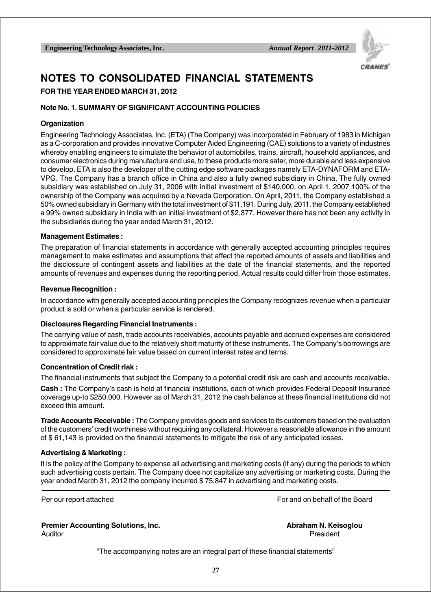

# **NOTES TO CONSOLIDATED FINANCIAL STATEMENTS**

# **FOR THE YEAR ENDED MARCH 31, 2012**

# **Note No. 1. SUMMARY OF SIGNIFICANT ACCOUNTING POLICIES**

# **Organization**

Engineering Technology Associates, Inc. (ETA) (The Company) was incorporated in February of 1983 in Michigan as a C-corporation and provides innovative Computer Aided Engineering (CAE) solutions to a variety of industries whereby enabling engineers to simulate the behavior of automobiles, trains, aircraft, household appliances, and consumer electronics during manufacture and use, to these products more safer, more durable and less expensive to develop. ETA is also the developer of the cutting edge software packages namely ETA-DYNAFORM and ETA-VPG. The Company has a branch office in China and also a fully owned subsidiary in China. The fully owned subsidiary was established on July 31, 2006 with initial investment of \$140,000. on April 1, 2007 100% of the ownership of the Company was acquired by a Nevada Corporation. On April, 2011, the Company established a 50% owned subsidiary in Germany with the total investment of \$11,191. During July, 2011, the Company established a 99% owned subsidiary in India with an initial investment of \$2,377. However there has not been any activity in the subsidiaries during the year ended March 31, 2012.

# **Management Estimates :**

The preparation of financial statements in accordance with generally accepted accounting principles requires management to make estimates and assumptions that affect the reported amounts of assets and liabilities and the disclossure of contingent assets and liabilities at the date of the financial statements, and the reported amounts of revenues and expenses during the reporting period. Actual results could differ from those estimates.

# **Revenue Recognition :**

In accordance with generally accepted accounting principles the Company recognizes revenue when a particular product is sold or when a particular service is rendered.

# **Disclosures Regarding Financial Instruments :**

The carrying value of cash, trade accounts receivables, accounts payable and accrued expenses are considered to approximate fair value due to the relatively short maturity of these instruments. The Company's borrowings are considered to approximate fair value based on current interest rates and terms.

# **Concentration of Credit risk :**

The financial instruments that subject the Company to a potential credit risk are cash and accounts receivable.

**Cash :** The Company's cash is held at financial institutions, each of which provides Federal Deposit Insurance coverage up-to \$250,000. However as of March 31, 2012 the cash balance at these financial institutions did not exceed this amount.

**Trade Accounts Receivable :** The Company provides goods and services to its customers based on the evaluation of the customers' credit worthiness without requiring any collateral. However a reasonable allowance in the amount of \$ 61,143 is provided on the financial statements to mitigate the risk of any anticipated losses.

# **Advertising & Marketing :**

It is the policy of the Company to expense all advertising and marketing costs (if any) during the periods to which such advertising costs pertain. The Company does not capitalize any advertising or marketing costs. During the year ended March 31, 2012 the company incurred \$ 75,847 in advertising and marketing costs.

Per our report attached For and on behalf of the Board

# **Premier Accounting Solutions, Inc. Abraham N. Keisoglou Auditor Abraham N. Keisoglou**<br>Auditor **President** Auditor President (1999) and the contract of the contract of the contract of the contract of the contract of the contract of the contract of the contract of the contract of the contract of the contract of the contract of t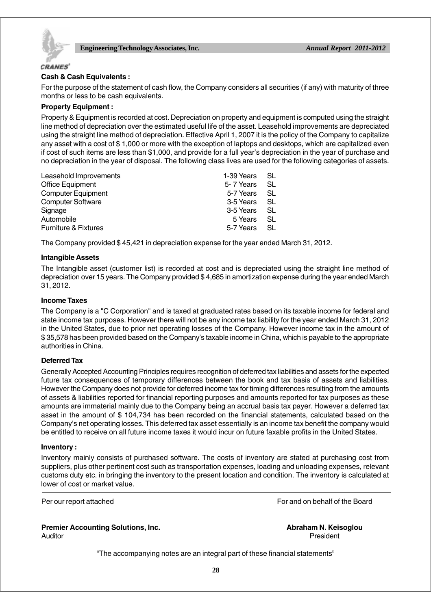

# *CRANES*

# **Cash & Cash Equivalents :**

For the purpose of the statement of cash flow, the Company considers all securities (if any) with maturity of three months or less to be cash equivalents.

# **Property Equipment :**

Property & Equipment is recorded at cost. Depreciation on property and equipment is computed using the straight line method of depreciation over the estimated useful life of the asset. Leasehold improvements are depreciated using the straight line method of depreciation. Effective April 1, 2007 it is the policy of the Company to capitalize any asset with a cost of \$ 1,000 or more with the exception of laptops and desktops, which are capitalized even if cost of such items are less than \$1,000, and provide for a full year's depreciation in the year of purchase and no depreciation in the year of disposal. The following class lives are used for the following categories of assets.

| 1-39 Years SL |      |
|---------------|------|
| 5-7 Years     | - SL |
| 5-7 Years     | - SL |
| 3-5 Years     | - SL |
| 3-5 Years     | - SL |
| 5 Years       | - SL |
| 5-7 Years     | - SL |
|               |      |

The Company provided \$ 45,421 in depreciation expense for the year ended March 31, 2012.

# **Intangible Assets**

The Intangible asset (customer list) is recorded at cost and is depreciated using the straight line method of depreciation over 15 years. The Company provided \$ 4,685 in amortization expense during the year ended March 31, 2012.

# **Income Taxes**

The Company is a "C Corporation" and is taxed at graduated rates based on its taxable income for federal and state income tax purposes. However there will not be any income tax liability for the year ended March 31, 2012 in the United States, due to prior net operating losses of the Company. However income tax in the amount of \$ 35,578 has been provided based on the Company's taxable income in China, which is payable to the appropriate authorities in China.

# **Deferred Tax**

Generally Accepted Accounting Principles requires recognition of deferred tax liabilities and assets for the expected future tax consequences of temporary differences between the book and tax basis of assets and liabilities. However the Company does not provide for deferred income tax for timing differences resulting from the amounts of assets & liabilities reported for financial reporting purposes and amounts reported for tax purposes as these amounts are immaterial mainly due to the Company being an accrual basis tax payer. However a deferred tax asset in the amount of \$ 104,734 has been recorded on the financial statements, calculated based on the Company's net operating losses. This deferred tax asset essentially is an income tax benefit the company would be entitled to receive on all future income taxes it would incur on future faxable profits in the United States.

# **Inventory :**

Inventory mainly consists of purchased software. The costs of inventory are stated at purchasing cost from suppliers, plus other pertinent cost such as transportation expenses, loading and unloading expenses, relevant customs duty etc. in bringing the inventory to the present location and condition. The inventory is calculated at lower of cost or market value.

Per our report attached For and on behalf of the Board

# **Premier Accounting Solutions, Inc. Abraham N. Keisoglou Auditor Abraham N. Keisoglou**<br>Auditor **President** Auditor President (1999) - Auditor President (1999) - President (1999) - President (1999) - President (1999) -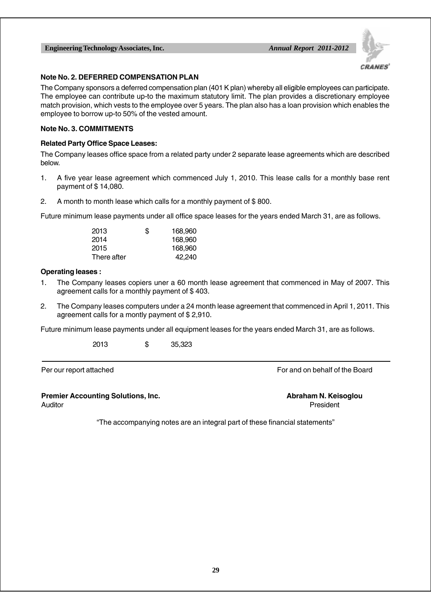*Annual Report 2011-2012*



# **Note No. 2. DEFERRED COMPENSATION PLAN**

The Company sponsors a deferred compensation plan (401 K plan) whereby all eligible employees can participate. The employee can contribute up-to the maximum statutory limit. The plan provides a discretionary employee match provision, which vests to the employee over 5 years. The plan also has a loan provision which enables the employee to borrow up-to 50% of the vested amount.

# **Note No. 3. COMMITMENTS**

# **Related Party Office Space Leases:**

The Company leases office space from a related party under 2 separate lease agreements which are described below.

- 1. A five year lease agreement which commenced July 1, 2010. This lease calls for a monthly base rent payment of \$ 14,080.
- 2. A month to month lease which calls for a monthly payment of \$ 800.

Future minimum lease payments under all office space leases for the years ended March 31, are as follows.

| \$<br>168.960 |
|---------------|
| 168.960       |
| 168.960       |
| 42.240        |
|               |

# **Operating leases :**

- 1. The Company leases copiers uner a 60 month lease agreement that commenced in May of 2007. This agreement calls for a monthly payment of \$ 403.
- 2. The Company leases computers under a 24 month lease agreement that commenced in April 1, 2011. This agreement calls for a montly payment of \$ 2,910.

Future minimum lease payments under all equipment leases for the years ended March 31, are as follows.

2013 \$ 35,323

Per our report attached For and on behalf of the Board

**Premier Accounting Solutions, Inc. Abraham N. Keisoglou Auditor Abraham N. Keisoglou**<br>Auditor **President** Auditor President (1999) and the contract of the contract of the contract of the contract of the contract of the contract of the contract of the contract of the contract of the contract of the contract of the contract of t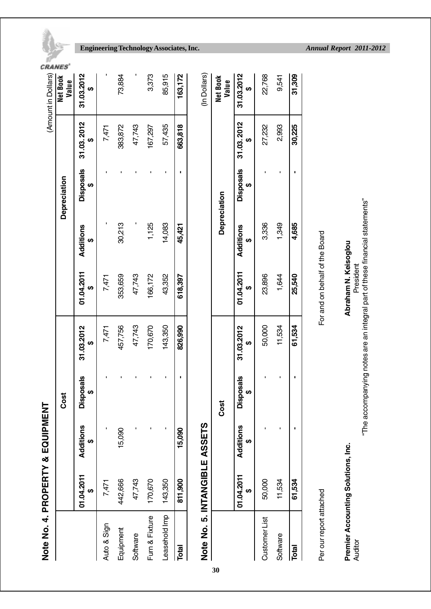|                               |                  | Note No. 4. PROPERTY & EQUIPMENT |                               |                  |                  |                 |                        |                  | <i><b>CRANES</b></i><br>(Amount in Dollars) |
|-------------------------------|------------------|----------------------------------|-------------------------------|------------------|------------------|-----------------|------------------------|------------------|---------------------------------------------|
|                               |                  |                                  | Cost                          |                  |                  |                 | Depreciation           |                  | <b>Net Book</b><br>Value                    |
|                               | 01.04.2011<br>မာ | Additions<br>မာ                  | <b>Disposals</b><br>$\bullet$ | 31.03.2012<br>မာ | 01.04.2011<br>ø  | Additions       | <b>Disposals</b><br>မာ | 31.03.2012<br>မာ | 31.03.2012<br>မာ                            |
| Auto & Sign                   | 7,471            |                                  |                               | 7,471            | 7,471            |                 |                        | 7,471            |                                             |
| Equipment                     | 442,666          | 15,090                           |                               | 457,756          | 353,659          | 30,213          |                        | 383,872          | 73,884                                      |
| Software                      | 47,743           |                                  |                               | 47,743           | 47,743           |                 |                        | 47,743           |                                             |
| Furn & Fixture                | 170,670          |                                  |                               | 170,670          | 166,172          | 1,125           |                        | 167,297          | 3,373                                       |
| Leasehold Imp                 | 143,350          | I.                               | ı                             | 143,350          | 43,352           | 14,083          |                        | 57,435           | 85,915                                      |
| Total                         | 811,900          | 15,090                           |                               | 826,990          | 618,397          | 45,421          |                        | 663,818          | 163,172                                     |
| Note No. 5. INTANGIBLE ASSETS |                  |                                  |                               |                  |                  |                 |                        |                  | (In Dollars)                                |
|                               |                  |                                  | Cost                          |                  |                  | Depreciation    |                        |                  | <b>Net Book</b><br>Value                    |
|                               | 01.04.2011<br>မာ | Additions<br>မာ                  | <b>Disposals</b><br>မာ        | 31.03.2012<br>မာ | 01.04.2011<br>မာ | Additions<br>မာ | <b>Disposals</b><br>မာ | 31.03.2012<br>မာ | 31.03.2012<br>မာ                            |
| Customer List                 | 50,000           |                                  |                               | 50,000           | 23,896           | 3,336           |                        | 27,232           | 22,768                                      |
| Software                      | 11,534           | ï                                |                               | 11,534           | 1,644            | 1,349           | ï                      | 2,993            | 9,541                                       |
| Total                         | 61,534           |                                  |                               | 61,534           | 25,540           | 4,685           |                        | 30,225           | 31,309                                      |

Per our report attached

For and on behalf of the Board Per our report attached For and on behalf of the Board

Premier Accounting Solutions, Inc.<br>Auditor

Abraham N. Keisoglou **Premier Accounting Solutions, Inc. Abraham N. Keisoglou** Auditor President

President<br>"The accompanying notes are an integral part of these financial statements" "The accompanying notes are an integral part of these financial statements"

# **Engineering Technology Associates, Inc.**

# *Annual Report 2011-2012*

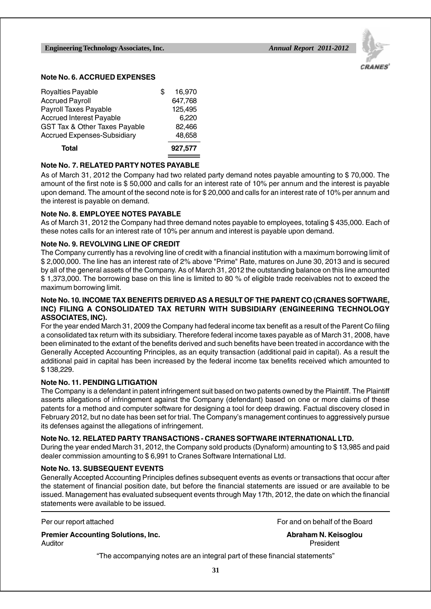*Annual Report 2011-2012*



# **Note No. 6. ACCRUED EXPENSES**

| 647,768<br>125,495 |
|--------------------|
|                    |
| 6,220              |
| 82,466             |
| 48,658             |
| 927,577            |
|                    |

# **Note No. 7. RELATED PARTY NOTES PAYABLE**

As of March 31, 2012 the Company had two related party demand notes payable amounting to \$ 70,000. The amount of the first note is \$ 50,000 and calls for an interest rate of 10% per annum and the interest is payable upon demand. The amount of the second note is for \$ 20,000 and calls for an interest rate of 10% per annum and the interest is payable on demand.

# **Note No. 8. EMPLOYEE NOTES PAYABLE**

As of March 31, 2012 the Company had three demand notes payable to employees, totaling \$ 435,000. Each of these notes calls for an interest rate of 10% per annum and interest is payable upon demand.

# **Note No. 9. REVOLVING LINE OF CREDIT**

The Company currently has a revolving line of credit with a financial institution with a maximum borrowing limit of \$ 2,000,000. The line has an interest rate of 2% above "Prime" Rate, matures on June 30, 2013 and is secured by all of the general assets of the Company. As of March 31, 2012 the outstanding balance on this line amounted \$ 1,373,000. The borrowing base on this line is limited to 80 % of eligible trade receivables not to exceed the maximum borrowing limit.

# **Note No. 10. INCOME TAX BENEFITS DERIVED AS A RESULT OF THE PARENT CO (CRANES SOFTWARE, INC) FILING A CONSOLIDATED TAX RETURN WITH SUBSIDIARY (ENGINEERING TECHNOLOGY ASSOCIATES, INC).**

For the year ended March 31, 2009 the Company had federal income tax benefit as a result of the Parent Co filing a consolidated tax return with its subsidiary. Therefore federal income taxes payable as of March 31, 2008, have been eliminated to the extant of the benefits derived and such benefits have been treated in accordance with the Generally Accepted Accounting Principles, as an equity transaction (additional paid in capital). As a result the additional paid in capital has been increased by the federal income tax benefits received which amounted to \$ 138,229.

# **Note No. 11. PENDING LITIGATION**

The Company is a defendant in patent infringement suit based on two patents owned by the Plaintiff. The Plaintiff asserts allegations of infringement against the Company (defendant) based on one or more claims of these patents for a method and computer software for designing a tool for deep drawing. Factual discovery closed in February 2012, but no date has been set for trial. The Company's management continues to aggressively pursue its defenses against the allegations of infringement.

# **Note No. 12. RELATED PARTY TRANSACTIONS - CRANES SOFTWARE INTERNATIONAL LTD.**

During the year ended March 31, 2012, the Company sold products (Dynaform) amounting to \$ 13,985 and paid dealer commission amounting to \$ 6,991 to Cranes Software International Ltd.

# **Note No. 13. SUBSEQUENT EVENTS**

Generally Accepted Accounting Principles defines subsequent events as events or transactions that occur after the statement of financial position date, but before the financial statements are issued or are available to be issued. Management has evaluated subsequent events through May 17th, 2012, the date on which the financial statements were available to be issued.

Per our report attached For and on behalf of the Board

**Premier Accounting Solutions, Inc. Abraham N. Keisoglou** 

Auditor President (1999) and the contract of the contract of the contract of the contract of the contract of the contract of the contract of the contract of the contract of the contract of the contract of the contract of t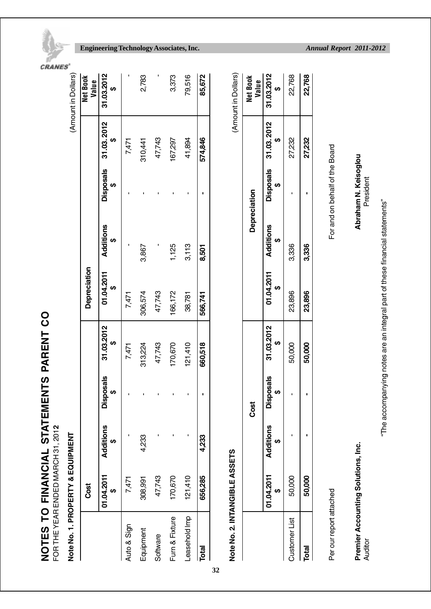| CC HING                |                      |
|------------------------|----------------------|
| STATEMENTS F           |                      |
| 5<br><b>NANCIA</b>     | ף רוף<br>ימוממי      |
| <br> <br> <br>こくト ひんとく | FOR THE YEAR FNDED N |
| $\frac{1}{2}$          |                      |

27.10

**CRANES** 

| Note No. 1. PROPERTY & EQUIPMENT |            |           |                  |                 |              |                |                  |                  | (Amount in Dollars)      |
|----------------------------------|------------|-----------|------------------|-----------------|--------------|----------------|------------------|------------------|--------------------------|
|                                  | Cost       |           |                  |                 | Depreciation |                |                  |                  | <b>Net Book</b><br>Value |
|                                  | 01.04.2011 | Additions | <b>Disposals</b> | 31.03.2012<br>S | 01.04.2011   | Additions<br>H | <b>Disposals</b> | 31.03.2012<br>မာ | 31.03.2012               |
| Auto & Sign                      | 7,471      |           |                  | 7,471           | 7,471        |                |                  | 7,471            |                          |
| Equipment                        | 308,991    | 4,233     |                  | 313,224         | 306,574      | 3,867          |                  | 310,441          | 2,783                    |
| Software                         | 47,743     |           |                  | 47,743          | 47,743       |                |                  | 47,743           |                          |
| Furn & Fixture                   | 170,670    |           |                  | 170,670         | 166,172      | 1,125          |                  | 167,297          | 3,373                    |
| _easehold Imp                    | 121,410    |           |                  | 121,410         | 38,781       | 3,113          |                  | 41,894           | 79,516                   |
| Total                            | 656,285    | 4.233     |                  | 660,518         | 566,741      | 8,501          |                  | 574,846          | 85,672                   |

**Engineering Technology Associates, Inc.**

# Note No. 2. INTANGIBLE ASSETS **Note No. 2. INTANGIBLE ASSETS**

|               | Note No. 2. INTANGIBLE ASSETS |           |                  |            |            |           |              |                      | (Amount in Dollars) |
|---------------|-------------------------------|-----------|------------------|------------|------------|-----------|--------------|----------------------|---------------------|
|               |                               |           | Cost             |            |            |           | Depreciation |                      | Net Book<br>Value   |
|               | 01.04.2011                    | Additions | <b>Disposals</b> | 31.03.2012 | 01.04.2011 | Additions |              | Disposals 31.03.2012 | 31.03.2012<br>s,    |
| Customer List | 50,000                        |           |                  | 50,000     | 23,896     | 3,336     |              | 27,232               | 22,768              |
|               | 50,000                        |           |                  | 50,000     | 23,896     | 3,336     |              | 27,232               | 22,768              |

Per our report attached

For and on behalf of the Board Per our report attached For and on behalf of the Board

**Premier Accounting Solutions, Inc. Abraham N. Keisoglou** Auditor President Premier Accounting Solutions, Inc.<br><sup>Auditor</sup>

Abraham N. Keisoglou<br>President

"The accompanying notes are an integral part of these financial statements" "The accompanying notes are an integral part of these financial statements"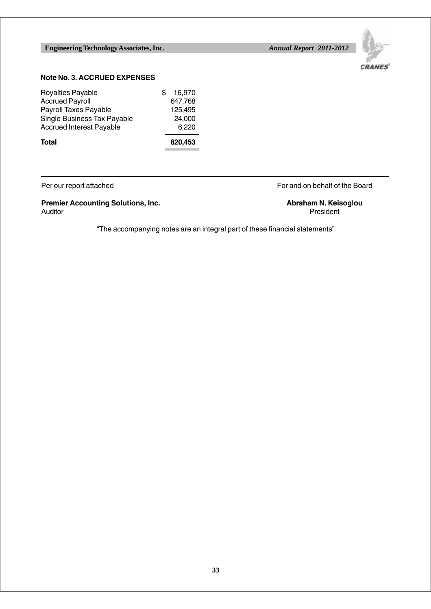*Annual Report 2011-2012*



# **Note No. 3. ACCRUED EXPENSES**

| Total                           | 820,453 |
|---------------------------------|---------|
| <b>Accrued Interest Payable</b> | 6,220   |
| Single Business Tax Payable     | 24,000  |
| Payroll Taxes Payable           | 125,495 |
| <b>Accrued Payroll</b>          | 647,768 |
| Royalties Payable               | 16.970  |
|                                 |         |

**Premier Accounting Solutions, Inc. Abraham N. Keisoglou**<br>Auditor **President** Auditor President (1999) and the contract of the contract of the contract of the contract of the contract of the contract of the contract of the contract of the contract of the contract of the contract of the contract of t

Per our report attached For and on behalf of the Board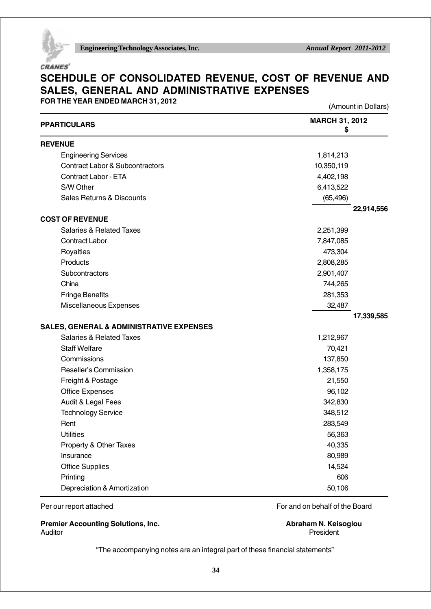

# **CRANES**

# **SCEHDULE OF CONSOLIDATED REVENUE, COST OF REVENUE AND SALES, GENERAL AND ADMINISTRATIVE EXPENSES**

**FOR THE YEAR ENDED MARCH 31, 2012** *CONDUCTER SERIES (Amount in Dollars)* 

| <b>PPARTICULARS</b>                                 | <b>MARCH 31, 2012</b><br>\$ |  |
|-----------------------------------------------------|-----------------------------|--|
| <b>REVENUE</b>                                      |                             |  |
| <b>Engineering Services</b>                         | 1,814,213                   |  |
| <b>Contract Labor &amp; Subcontractors</b>          | 10,350,119                  |  |
| Contract Labor - ETA                                | 4,402,198                   |  |
| S/W Other                                           | 6,413,522                   |  |
| Sales Returns & Discounts                           | (65, 496)                   |  |
|                                                     | 22,914,556                  |  |
| <b>COST OF REVENUE</b>                              |                             |  |
| <b>Salaries &amp; Related Taxes</b>                 | 2,251,399                   |  |
| <b>Contract Labor</b>                               | 7,847,085                   |  |
| Royalties                                           | 473,304                     |  |
| Products                                            | 2,808,285                   |  |
| Subcontractors                                      | 2,901,407                   |  |
| China                                               | 744,265                     |  |
| <b>Fringe Benefits</b>                              | 281,353                     |  |
| Miscellaneous Expenses                              | 32,487                      |  |
|                                                     | 17,339,585                  |  |
| <b>SALES, GENERAL &amp; ADMINISTRATIVE EXPENSES</b> |                             |  |
| <b>Salaries &amp; Related Taxes</b>                 | 1,212,967                   |  |
| <b>Staff Welfare</b>                                | 70,421                      |  |
| Commissions                                         | 137,850                     |  |
| Reseller's Commission                               | 1,358,175                   |  |
| Freight & Postage                                   | 21,550                      |  |
| <b>Office Expenses</b>                              | 96,102                      |  |
| Audit & Legal Fees                                  | 342,830                     |  |
| <b>Technology Service</b>                           | 348,512                     |  |
| Rent                                                | 283,549                     |  |
| <b>Utilities</b>                                    | 56,363                      |  |
| Property & Other Taxes                              | 40,335                      |  |
| Insurance                                           | 80,989                      |  |
| <b>Office Supplies</b>                              | 14,524                      |  |
| Printing                                            | 606                         |  |
| Depreciation & Amortization                         | 50,106                      |  |

# **Premier Accounting Solutions, Inc. Abraham N. Keisoglou Auditor Abraham N. Keisoglou**<br>Auditor **President** Auditor President (1999) and the contract of the contract of the contract of the contract of the contract of the contract of the contract of the contract of the contract of the contract of the contract of the contract of t

Per our report attached For and on behalf of the Board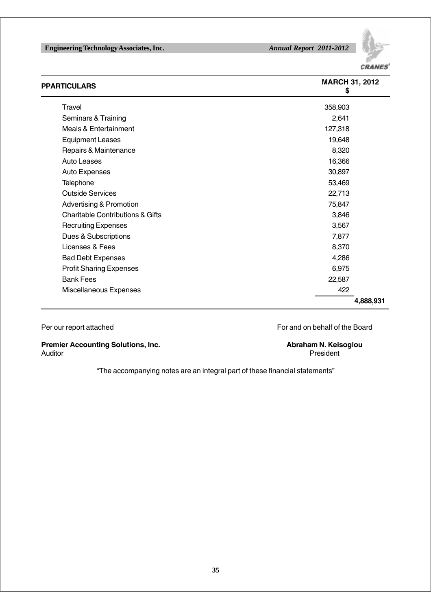*Annual Report 2011-2012*



| <b>PPARTICULARS</b>                | <b>MARCH 31, 2012</b><br>\$ |
|------------------------------------|-----------------------------|
| Travel                             | 358,903                     |
| Seminars & Training                | 2,641                       |
| Meals & Entertainment              | 127,318                     |
| <b>Equipment Leases</b>            | 19,648                      |
| Repairs & Maintenance              | 8,320                       |
| Auto Leases                        | 16,366                      |
| Auto Expenses                      | 30,897                      |
| Telephone                          | 53,469                      |
| <b>Outside Services</b>            | 22,713                      |
| <b>Advertising &amp; Promotion</b> | 75,847                      |
| Charitable Contributions & Gifts   | 3,846                       |
| <b>Recruiting Expenses</b>         | 3,567                       |
| Dues & Subscriptions               | 7,877                       |
| Licenses & Fees                    | 8,370                       |
| <b>Bad Debt Expenses</b>           | 4,286                       |
| <b>Profit Sharing Expenses</b>     | 6,975                       |
| <b>Bank Fees</b>                   | 22,587                      |
| Miscellaneous Expenses             | 422                         |
|                                    | 4,888,931                   |

Per our report attached For and on behalf of the Board

**Premier Accounting Solutions, Inc. Abraham N. Keisoglou**<br>Auditor **President** Auditor President Controller in the controller of the controller of the controller of the controller of the controller of the controller of the controller of the controller of the controller of the controller of the contro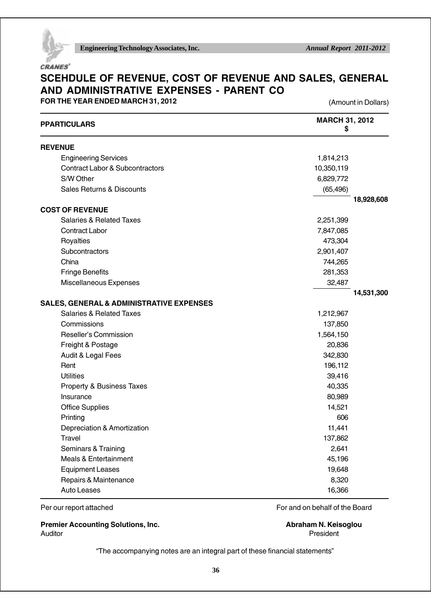

# **CRANES**

# **SCEHDULE OF REVENUE, COST OF REVENUE AND SALES, GENERAL AND ADMINISTRATIVE EXPENSES - PARENT CO**

**FOR THE YEAR ENDED MARCH 31, 2012**

(Amount in Dollars)

| <b>PPARTICULARS</b>                                 | <b>MARCH 31, 2012</b><br>\$ |            |
|-----------------------------------------------------|-----------------------------|------------|
| <b>REVENUE</b>                                      |                             |            |
| <b>Engineering Services</b>                         | 1,814,213                   |            |
| <b>Contract Labor &amp; Subcontractors</b>          | 10,350,119                  |            |
| S/W Other                                           | 6,829,772                   |            |
| Sales Returns & Discounts                           | (65, 496)                   |            |
|                                                     |                             | 18,928,608 |
| <b>COST OF REVENUE</b>                              |                             |            |
| <b>Salaries &amp; Related Taxes</b>                 | 2,251,399                   |            |
| <b>Contract Labor</b>                               | 7,847,085                   |            |
| Royalties                                           | 473,304                     |            |
| Subcontractors                                      | 2,901,407                   |            |
| China                                               | 744,265                     |            |
| <b>Fringe Benefits</b>                              | 281,353                     |            |
| Miscellaneous Expenses                              | 32,487                      |            |
|                                                     |                             | 14,531,300 |
| <b>SALES, GENERAL &amp; ADMINISTRATIVE EXPENSES</b> |                             |            |
| <b>Salaries &amp; Related Taxes</b>                 | 1,212,967                   |            |
| Commissions                                         | 137,850                     |            |
| Reseller's Commission                               | 1,564,150                   |            |
| Freight & Postage                                   | 20,836                      |            |
| Audit & Legal Fees                                  | 342,830                     |            |
| Rent                                                | 196,112                     |            |
| <b>Utilities</b>                                    | 39,416                      |            |
| Property & Business Taxes                           | 40,335                      |            |
| Insurance                                           | 80,989                      |            |
| <b>Office Supplies</b>                              | 14,521                      |            |
| Printing                                            | 606                         |            |
| Depreciation & Amortization                         | 11,441                      |            |
| Travel                                              | 137,862                     |            |
| Seminars & Training                                 | 2,641                       |            |
| Meals & Entertainment                               | 45,196                      |            |
| <b>Equipment Leases</b>                             | 19,648                      |            |
| Repairs & Maintenance                               | 8,320                       |            |
| Auto Leases                                         | 16,366                      |            |

# **Premier Accounting Solutions, Inc. Abraham N. Keisoglou**<br>Auditor **President** Auditor President (1999) and the contract of the contract of the contract of the contract of the contract of the contract of the contract of the contract of the contract of the contract of the contract of the contract of t

Per our report attached For and on behalf of the Board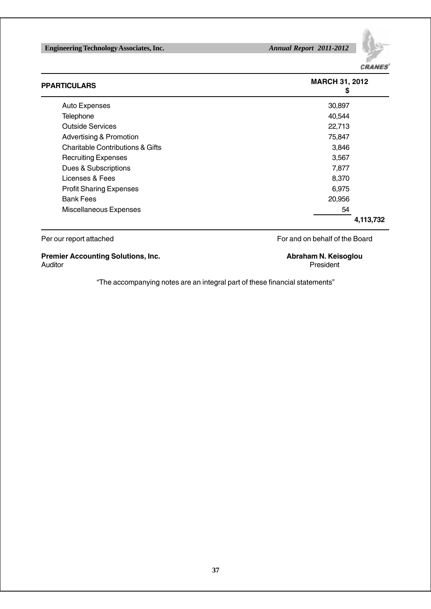**Engineering Technology Associates, Inc.**

*Annual Report 2011-2012*



| <b>PPARTICULARS</b>                | <b>MARCH 31, 2012</b><br>S     |
|------------------------------------|--------------------------------|
| Auto Expenses                      | 30,897                         |
| Telephone                          | 40,544                         |
| <b>Outside Services</b>            | 22,713                         |
| <b>Advertising &amp; Promotion</b> | 75,847                         |
| Charitable Contributions & Gifts   | 3,846                          |
| <b>Recruiting Expenses</b>         | 3,567                          |
| Dues & Subscriptions               | 7,877                          |
| Licenses & Fees                    | 8,370                          |
| <b>Profit Sharing Expenses</b>     | 6,975                          |
| <b>Bank Fees</b>                   | 20,956                         |
| Miscellaneous Expenses             | 54                             |
|                                    | 4,113,732                      |
| Per our report attached            | For and on behalf of the Board |

#### **Premier Accounting Solutions, Inc. Abraham N. Keisoglou Auditor Abraham N. Keisoglou**<br>Auditor **President** Auditor President (1999) and the contract of the contract of the contract of the contract of the contract of the contract of the contract of the contract of the contract of the contract of the contract of the contract of t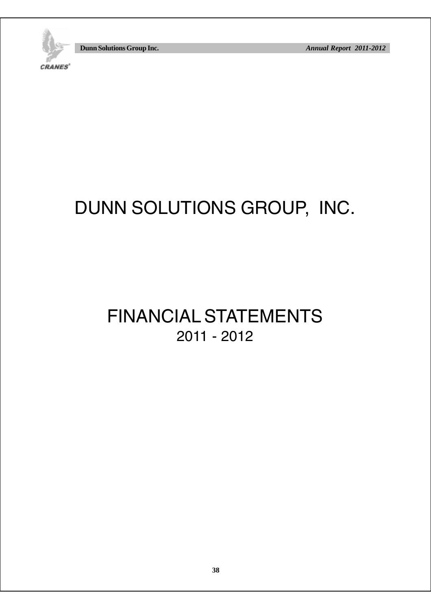

*Annual Report 2011-2012*

# DUNN SOLUTIONS GROUP, INC.

# FINANCIAL STATEMENTS 2011 - 2012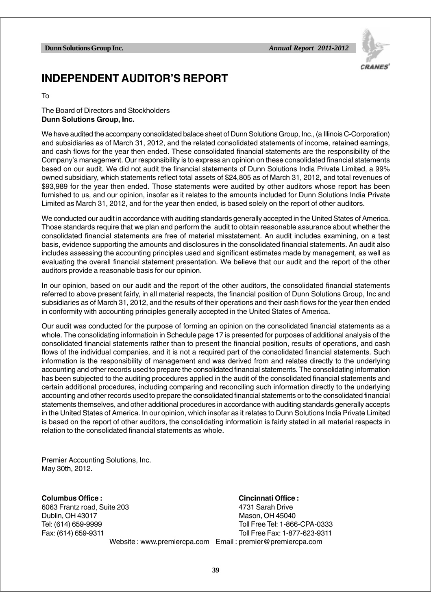

### **INDEPENDENT AUDITOR'S REPORT**

To

#### The Board of Directors and Stockholders **Dunn Solutions Group, Inc.**

We have audited the accompany consolidated balace sheet of Dunn Solutions Group, Inc., (a Illinois C-Corporation) and subsidiaries as of March 31, 2012, and the related consolidated statements of income, retained earnings, and cash flows for the year then ended. These consolidated financial statements are the responsibility of the Company's management. Our responsibility is to express an opinion on these consolidated financial statements based on our audit. We did not audit the financial statements of Dunn Solutions India Private Limited, a 99% owned subsidiary, which statements reflect total assets of \$24,805 as of March 31, 2012, and total revenues of \$93,989 for the year then ended. Those statements were audited by other auditors whose report has been furnished to us, and our opinion, insofar as it relates to the amounts included for Dunn Solutions India Private Limited as March 31, 2012, and for the year then ended, is based solely on the report of other auditors.

We conducted our audit in accordance with auditing standards generally accepted in the United States of America. Those standards require that we plan and perform the audit to obtain reasonable assurance about whether the consolidated financial statements are free of material misstatement. An audit includes examining, on a test basis, evidence supporting the amounts and disclosures in the consolidated financial statements. An audit also includes assessing the accounting principles used and significant estimates made by management, as well as evaluating the overall financial statement presentation. We believe that our audit and the report of the other auditors provide a reasonable basis for our opinion.

In our opinion, based on our audit and the report of the other auditors, the consolidated financial statements referred to above present fairly, in all material respects, the financial position of Dunn Solutions Group, Inc and subsidiaries as of March 31, 2012, and the results of their operations and their cash flows for the year then ended in conformity with accounting principles generally accepted in the United States of America.

Our audit was conducted for the purpose of forming an opinion on the consolidated financial statements as a whole. The consolidating informatioin in Schedule page 17 is presented for purposes of additional analysis of the consolidated financial statements rather than to present the financial position, results of operations, and cash flows of the individual companies, and it is not a required part of the consolidated financial statements. Such information is the responsibility of management and was derived from and relates directly to the underlying accounting and other records used to prepare the consolidated financial statements. The consolidating information has been subjected to the auditing procedures applied in the audit of the consolidated financial statements and certain additional procedures, including comparing and reconciling such information directly to the underlying accounting and other records used to prepare the consolidated financial statements or to the consolidated financial statements themselves, and other additional procedures in accordance with auditing standards generally accepts in the United States of America. In our opinion, which insofar as it relates to Dunn Solutions India Private Limited is based on the report of other auditors, the consolidating informatioin is fairly stated in all material respects in relation to the consolidated financial statements as whole.

Premier Accounting Solutions, Inc. May 30th, 2012.

Dublin, OH 43017<br>Tel: (614) 659-9999

**Columbus Office : Cincinnati Office :** 6063 Frantz road, Suite 203 4731 Sarah Drive Tel: (614) 659-9999 Toll Free Tel: 1-866-CPA-0333 Toll Free Fax: 1-877-623-9311 Website : www.premiercpa.com Email : premier@premiercpa.com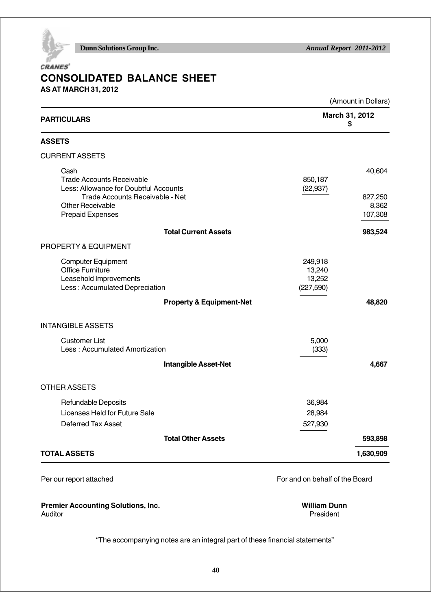

*Annual Report 2011-2012*

#### **CRANES CONSOLIDATED BALANCE SHEET AS AT MARCH 31, 2012**

|                                                                                                                  |                                           | (Amount in Dollars)         |
|------------------------------------------------------------------------------------------------------------------|-------------------------------------------|-----------------------------|
| <b>PARTICULARS</b>                                                                                               |                                           | March 31, 2012<br>\$        |
| <b>ASSETS</b>                                                                                                    |                                           |                             |
| <b>CURRENT ASSETS</b>                                                                                            |                                           |                             |
| Cash<br><b>Trade Accounts Receivable</b><br>Less: Allowance for Doubtful Accounts                                | 850,187<br>(22, 937)                      | 40,604                      |
| Trade Accounts Receivable - Net<br><b>Other Receivable</b><br><b>Prepaid Expenses</b>                            |                                           | 827,250<br>8,362<br>107,308 |
| <b>Total Current Assets</b>                                                                                      |                                           | 983,524                     |
| PROPERTY & EQUIPMENT                                                                                             |                                           |                             |
| <b>Computer Equipment</b><br><b>Office Furniture</b><br>Leasehold Improvements<br>Less: Accumulated Depreciation | 249,918<br>13,240<br>13,252<br>(227, 590) |                             |
| <b>Property &amp; Equipment-Net</b>                                                                              |                                           | 48,820                      |
| <b>INTANGIBLE ASSETS</b>                                                                                         |                                           |                             |
| <b>Customer List</b><br>Less: Accumulated Amortization                                                           | 5,000<br>(333)                            |                             |
| <b>Intangible Asset-Net</b>                                                                                      |                                           | 4,667                       |
| <b>OTHER ASSETS</b>                                                                                              |                                           |                             |
| <b>Refundable Deposits</b>                                                                                       | 36,984                                    |                             |
| Licenses Held for Future Sale                                                                                    | 28,984                                    |                             |
| Deferred Tax Asset                                                                                               | 527,930                                   |                             |
| <b>Total Other Assets</b>                                                                                        |                                           | 593,898                     |
| <b>TOTAL ASSETS</b>                                                                                              |                                           | 1,630,909                   |

Per our report attached For and on behalf of the Board

**Premier Accounting Solutions, Inc.** The Communications of the United States of the United States and Auditor Communications and President Auditor President (1999) and the contract of the contract of the contract of the contract of the contract of the contract of the contract of the contract of the contract of the contract of the contract of the contract of t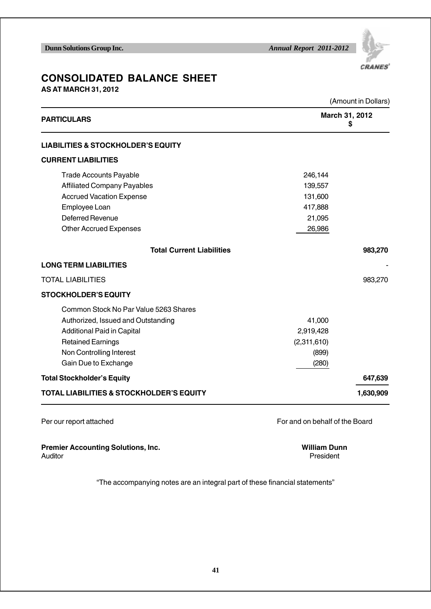

#### **CONSOLIDATED BALANCE SHEET AS AT MARCH 31, 2012**

|                                                     |                                | (Amount in Dollars)  |
|-----------------------------------------------------|--------------------------------|----------------------|
| <b>PARTICULARS</b>                                  |                                | March 31, 2012<br>\$ |
| <b>LIABILITIES &amp; STOCKHOLDER'S EQUITY</b>       |                                |                      |
| <b>CURRENT LIABILITIES</b>                          |                                |                      |
| <b>Trade Accounts Payable</b>                       | 246,144                        |                      |
| <b>Affiliated Company Payables</b>                  | 139,557                        |                      |
| <b>Accrued Vacation Expense</b>                     | 131,600                        |                      |
| Employee Loan                                       | 417,888                        |                      |
| Deferred Revenue                                    | 21,095                         |                      |
| <b>Other Accrued Expenses</b>                       | 26,986                         |                      |
| <b>Total Current Liabilities</b>                    |                                | 983,270              |
| <b>LONG TERM LIABILITIES</b>                        |                                |                      |
| <b>TOTAL LIABILITIES</b>                            |                                | 983,270              |
| <b>STOCKHOLDER'S EQUITY</b>                         |                                |                      |
| Common Stock No Par Value 5263 Shares               |                                |                      |
| Authorized, Issued and Outstanding                  | 41,000                         |                      |
| Additional Paid in Capital                          | 2,919,428                      |                      |
| <b>Retained Earnings</b>                            | (2,311,610)                    |                      |
| Non Controlling Interest                            | (899)                          |                      |
| Gain Due to Exchange                                | (280)                          |                      |
| <b>Total Stockholder's Equity</b>                   |                                | 647,639              |
| <b>TOTAL LIABILITIES &amp; STOCKHOLDER'S EQUITY</b> |                                | 1,630,909            |
| Per our report attached                             | For and on behalf of the Board |                      |

**Premier Accounting Solutions, Inc.** The Music of the Music William Dunn Auditor (Number 2015) 2014

Auditor President (1999) and the contract of the contract of the contract of the contract of the contract of the contract of the contract of the contract of the contract of the contract of the contract of the contract of t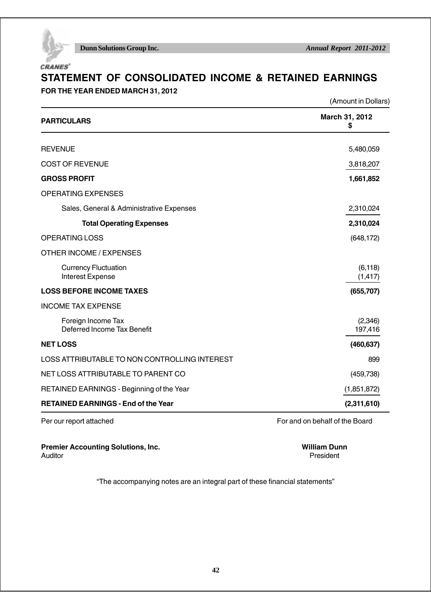

#### **CRANES**

### **STATEMENT OF CONSOLIDATED INCOME & RETAINED EARNINGS FOR THE YEAR ENDED MARCH 31, 2012**

|                                                   | (Amount in Dollars)  |
|---------------------------------------------------|----------------------|
| <b>PARTICULARS</b>                                | March 31, 2012<br>\$ |
| <b>REVENUE</b>                                    | 5,480,059            |
| <b>COST OF REVENUE</b>                            | 3,818,207            |
| <b>GROSS PROFIT</b>                               | 1,661,852            |
| <b>OPERATING EXPENSES</b>                         |                      |
| Sales, General & Administrative Expenses          | 2,310,024            |
| <b>Total Operating Expenses</b>                   | 2,310,024            |
| <b>OPERATING LOSS</b>                             | (648, 172)           |
| OTHER INCOME / EXPENSES                           |                      |
| <b>Currency Fluctuation</b><br>Interest Expense   | (6, 118)<br>(1, 417) |
| <b>LOSS BEFORE INCOME TAXES</b>                   | (655, 707)           |
| <b>INCOME TAX EXPENSE</b>                         |                      |
| Foreign Income Tax<br>Deferred Income Tax Benefit | (2,346)<br>197,416   |
| <b>NET LOSS</b>                                   | (460, 637)           |
| LOSS ATTRIBUTABLE TO NON CONTROLLING INTEREST     | 899                  |
| NET LOSS ATTRIBUTABLE TO PARENT CO                | (459, 738)           |
| RETAINED EARNINGS - Beginning of the Year         | (1,851,872)          |
| <b>RETAINED EARNINGS - End of the Year</b>        | (2,311,610)          |
|                                                   |                      |

Per our report attached For and on behalf of the Board

**Premier Accounting Solutions, Inc.** The Muslim of the Muslim Dunn Auditor Counting Solutions, Inc. The Muslim O<br>President Auditor President (1999) and the contract of the contract of the contract of the contract of the contract of the contract of the contract of the contract of the contract of the contract of the contract of the contract of t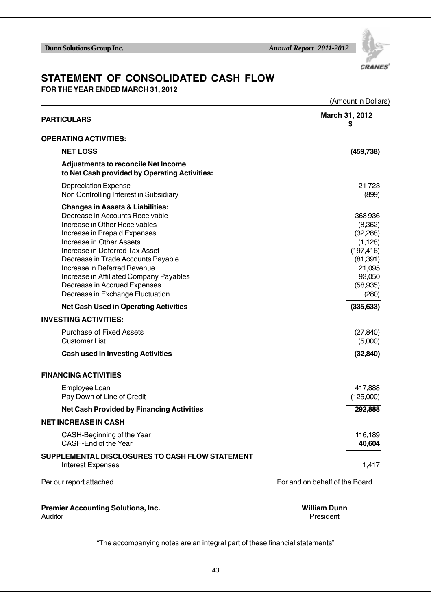

#### **STATEMENT OF CONSOLIDATED CASH FLOW FOR THE YEAR ENDED MARCH 31, 2012**

**PARTICULARS March 31, 2012 \$ OPERATING ACTIVITIES: NET LOSS (459,738) Adjustments to reconcile Net Income to Net Cash provided by Operating Activities:** Depreciation Expense 21 723 Non Controlling Interest in Subsidiary **Changes in Assets & Liabilities:** Decrease in Accounts Receivable<br>
Increase in Other Receivables<br>
(8,362) Increase in Other Receivables (8,362)<br>Increase in Prepaid Expenses (32,288) Increase in Prepaid Expenses (32,288)<br>Increase in Other Assets (1,128) Increase in Other Assets (1,128)<br>Increase in Deferred Tax Asset (197,416) Increase in Deferred Tax Asset (197,416)<br>Decrease in Trade Accounts Payable (81,391) Decrease in Trade Accounts Payable (81,391)<br>Increase in Deferred Revenue (81,391) Increase in Deferred Revenue<br>Increase in Affiliated Company Payables<br>29.050 Increase in Affiliated Company Payables<br>
Decrease in Accrued Expenses<br>
(58,935) Decrease in Accrued Expenses Decrease in Exchange Fluctuation (280) **Net Cash Used in Operating Activities (335,633) INVESTING ACTIVITIES:** Purchase of Fixed Assets (27,840)<br>Customer List (5.000) Customer List (5,000) **Cash used in Investing Activities (32,840) FINANCING ACTIVITIES** Employee Loan 417,888<br>Pay Down of Line of Credit and the control of the control of the control of the control of the control of the c Pay Down of Line of Credit **Net Cash Provided by Financing Activities 292,888 NET INCREASE IN CASH** CASH-Beginning of the Year 116,189<br>CASH-End of the Year 116,189<br>**40,604** 116,189 CASH-End of the Year **SUPPLEMENTAL DISCLOSURES TO CASH FLOW STATEMENT** Interest Expenses 1,417 (Amount in Dollars)

Per our report attached For and on behalf of the Board

### **Premier Accounting Solutions, Inc.** The Communication of the Milliam Dunn Auditor (State of the Milliam Dunn Auditor (State of the Milliam Dunn Auditor (State of the Milliam Dunn Auditor (State of the Milliam Dunn Auditor

Auditor President (1999) and the contract of the contract of the contract of the contract of the contract of the contract of the contract of the contract of the contract of the contract of the contract of the contract of t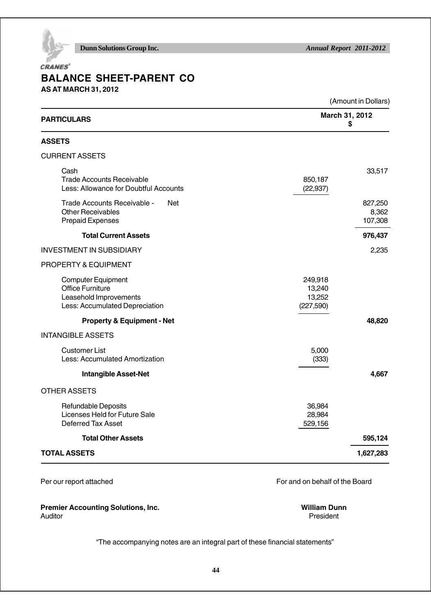

#### **CRANES BALANCE SHEET-PARENT CO AS AT MARCH 31, 2012**

(Amount in Dollars)

| <b>PARTICULARS</b>                                                                                               |                                           | March 31, 2012<br>S         |
|------------------------------------------------------------------------------------------------------------------|-------------------------------------------|-----------------------------|
| <b>ASSETS</b>                                                                                                    |                                           |                             |
| <b>CURRENT ASSETS</b>                                                                                            |                                           |                             |
| Cash<br><b>Trade Accounts Receivable</b><br>Less: Allowance for Doubtful Accounts                                | 850,187<br>(22, 937)                      | 33,517                      |
| Trade Accounts Receivable -<br><b>Net</b><br><b>Other Receivables</b><br>Prepaid Expenses                        |                                           | 827,250<br>8,362<br>107,308 |
| <b>Total Current Assets</b>                                                                                      |                                           | 976,437                     |
| <b>INVESTMENT IN SUBSIDIARY</b>                                                                                  |                                           | 2,235                       |
| PROPERTY & EQUIPMENT                                                                                             |                                           |                             |
| <b>Computer Equipment</b><br><b>Office Furniture</b><br>Leasehold Improvements<br>Less: Accumulated Depreciation | 249,918<br>13,240<br>13,252<br>(227, 590) |                             |
| <b>Property &amp; Equipment - Net</b>                                                                            |                                           | 48,820                      |
| <b>INTANGIBLE ASSETS</b>                                                                                         |                                           |                             |
| <b>Customer List</b><br>Less: Accumulated Amortization                                                           | 5,000<br>(333)                            |                             |
| <b>Intangible Asset-Net</b>                                                                                      |                                           | 4,667                       |
| <b>OTHER ASSETS</b>                                                                                              |                                           |                             |
| <b>Refundable Deposits</b><br>Licenses Held for Future Sale<br>Deferred Tax Asset                                | 36,984<br>28,984<br>529,156               |                             |
| <b>Total Other Assets</b>                                                                                        |                                           | 595,124                     |
| <b>TOTAL ASSETS</b>                                                                                              |                                           | 1,627,283                   |

Per our report attached For and on behalf of the Board

## **Premier Accounting Solutions, Inc.** The Muslim of the Muslim Dunn Auditor Counting Solutions, Inc. The Muslim O<br>President

Auditor President (1999) and the contract of the contract of the contract of the contract of the contract of the contract of the contract of the contract of the contract of the contract of the contract of the contract of t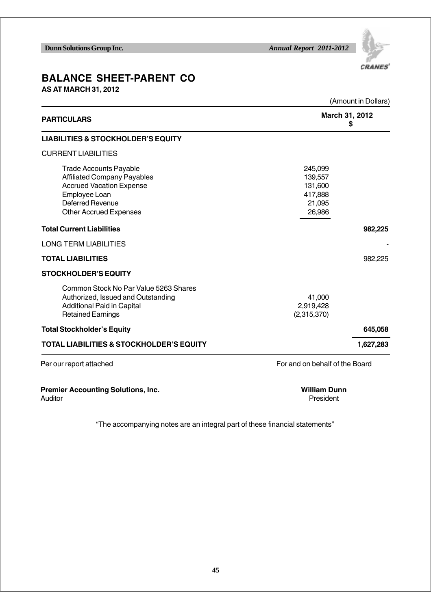

#### **BALANCE SHEET-PARENT CO AS AT MARCH 31, 2012**

|                                                                                                                                                                              |                                                              | (Amount in Dollars) |
|------------------------------------------------------------------------------------------------------------------------------------------------------------------------------|--------------------------------------------------------------|---------------------|
| <b>PARTICULARS</b>                                                                                                                                                           |                                                              | March 31, 2012<br>S |
| <b>LIABILITIES &amp; STOCKHOLDER'S EQUITY</b>                                                                                                                                |                                                              |                     |
| <b>CURRENT LIABILITIES</b>                                                                                                                                                   |                                                              |                     |
| <b>Trade Accounts Payable</b><br><b>Affiliated Company Payables</b><br><b>Accrued Vacation Expense</b><br>Employee Loan<br>Deferred Revenue<br><b>Other Accrued Expenses</b> | 245,099<br>139,557<br>131,600<br>417,888<br>21,095<br>26,986 |                     |
| <b>Total Current Liabilities</b>                                                                                                                                             |                                                              | 982,225             |
| <b>LONG TERM LIABILITIES</b>                                                                                                                                                 |                                                              |                     |
| <b>TOTAL LIABILITIES</b>                                                                                                                                                     |                                                              | 982,225             |
| <b>STOCKHOLDER'S EQUITY</b>                                                                                                                                                  |                                                              |                     |
| Common Stock No Par Value 5263 Shares<br>Authorized, Issued and Outstanding<br><b>Additional Paid in Capital</b><br><b>Retained Earnings</b>                                 | 41,000<br>2,919,428<br>(2,315,370)                           |                     |
| <b>Total Stockholder's Equity</b>                                                                                                                                            |                                                              | 645,058             |
| <b>TOTAL LIABILITIES &amp; STOCKHOLDER'S EQUITY</b>                                                                                                                          |                                                              | 1,627,283           |
| Per our report attached                                                                                                                                                      | For and on behalf of the Board                               |                     |

## **Premier Accounting Solutions, Inc.** The Muslim of the Muslim Dunn Auditor Counting Solutions, Inc. The Muslim O<br>President

Auditor President (1999) and the contract of the contract of the contract of the contract of the contract of the contract of the contract of the contract of the contract of the contract of the contract of the contract of t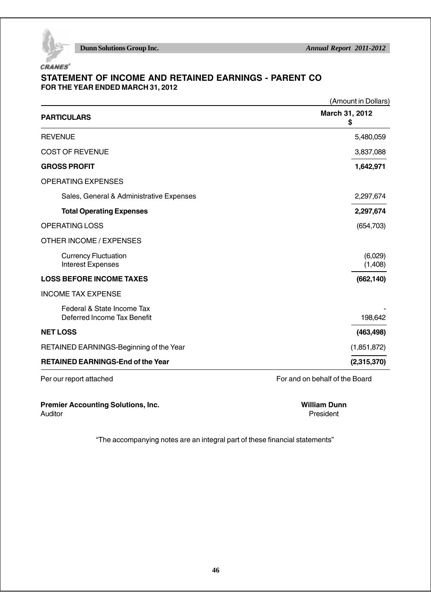

#### **CRANES**

#### **STATEMENT OF INCOME AND RETAINED EARNINGS - PARENT CO FOR THE YEAR ENDED MARCH 31, 2012**

|                                                           | (Amount in Dollars)  |
|-----------------------------------------------------------|----------------------|
| <b>PARTICULARS</b>                                        | March 31, 2012<br>\$ |
| <b>REVENUE</b>                                            | 5,480,059            |
| <b>COST OF REVENUE</b>                                    | 3,837,088            |
| <b>GROSS PROFIT</b>                                       | 1,642,971            |
| <b>OPERATING EXPENSES</b>                                 |                      |
| Sales, General & Administrative Expenses                  | 2,297,674            |
| <b>Total Operating Expenses</b>                           | 2,297,674            |
| <b>OPERATING LOSS</b>                                     | (654, 703)           |
| OTHER INCOME / EXPENSES                                   |                      |
| <b>Currency Fluctuation</b><br><b>Interest Expenses</b>   | (6,029)<br>(1,408)   |
| <b>LOSS BEFORE INCOME TAXES</b>                           | (662, 140)           |
| <b>INCOME TAX EXPENSE</b>                                 |                      |
| Federal & State Income Tax<br>Deferred Income Tax Benefit | 198,642              |
| <b>NET LOSS</b>                                           | (463, 498)           |
| RETAINED EARNINGS-Beginning of the Year                   | (1,851,872)          |
| <b>RETAINED EARNINGS-End of the Year</b>                  | (2,315,370)          |

Per our report attached For and on behalf of the Board

**Premier Accounting Solutions, Inc.** Number 2012 11:30 Number 2014 11:30 Number 2014 11:30 Number 2014 11:30 Number 2014 11:30 Number 2014 12:30 Number 2014 12:30 Number 2014 12:30 Number 2014 12:30 Number 2015 12:30 Numbe

Auditor President (1999) and the contract of the contract of the contract of the contract of the contract of the contract of the contract of the contract of the contract of the contract of the contract of the contract of t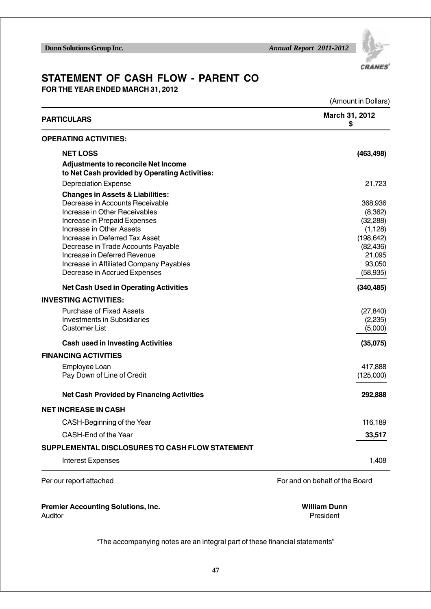

### **STATEMENT OF CASH FLOW - PARENT CO**

**FOR THE YEAR ENDED MARCH 31, 2012**

|                                                                                                                                                                                                                                                                                                                                                                | (Amount in Dollars)                                                                                      |
|----------------------------------------------------------------------------------------------------------------------------------------------------------------------------------------------------------------------------------------------------------------------------------------------------------------------------------------------------------------|----------------------------------------------------------------------------------------------------------|
| <b>PARTICULARS</b>                                                                                                                                                                                                                                                                                                                                             | March 31, 2012<br>\$                                                                                     |
| <b>OPERATING ACTIVITIES:</b>                                                                                                                                                                                                                                                                                                                                   |                                                                                                          |
| <b>NET LOSS</b>                                                                                                                                                                                                                                                                                                                                                | (463, 498)                                                                                               |
| <b>Adjustments to reconcile Net Income</b><br>to Net Cash provided by Operating Activities:                                                                                                                                                                                                                                                                    |                                                                                                          |
| <b>Depreciation Expense</b>                                                                                                                                                                                                                                                                                                                                    | 21,723                                                                                                   |
| <b>Changes in Assets &amp; Liabilities:</b><br>Decrease in Accounts Receivable<br>Increase in Other Receivables<br>Increase in Prepaid Expenses<br>Increase in Other Assets<br>Increase in Deferred Tax Asset<br>Decrease in Trade Accounts Payable<br>Increase in Deferred Revenue<br>Increase in Affiliated Company Payables<br>Decrease in Accrued Expenses | 368,936<br>(8, 362)<br>(32, 288)<br>(1, 128)<br>(198, 642)<br>(82, 436)<br>21,095<br>93,050<br>(58, 935) |
| <b>Net Cash Used in Operating Activities</b>                                                                                                                                                                                                                                                                                                                   | (340, 485)                                                                                               |
| <b>INVESTING ACTIVITIES:</b>                                                                                                                                                                                                                                                                                                                                   |                                                                                                          |
| <b>Purchase of Fixed Assets</b><br><b>Investments in Subsidiaries</b><br><b>Customer List</b>                                                                                                                                                                                                                                                                  | (27, 840)<br>(2,235)<br>(5,000)                                                                          |
| <b>Cash used in Investing Activities</b>                                                                                                                                                                                                                                                                                                                       | (35,075)                                                                                                 |
| <b>FINANCING ACTIVITIES</b>                                                                                                                                                                                                                                                                                                                                    |                                                                                                          |
| Employee Loan<br>Pay Down of Line of Credit                                                                                                                                                                                                                                                                                                                    | 417,888<br>(125,000)                                                                                     |
| <b>Net Cash Provided by Financing Activities</b>                                                                                                                                                                                                                                                                                                               | 292,888                                                                                                  |
| <b>NET INCREASE IN CASH</b>                                                                                                                                                                                                                                                                                                                                    |                                                                                                          |
| CASH-Beginning of the Year                                                                                                                                                                                                                                                                                                                                     | 116,189                                                                                                  |
| CASH-End of the Year                                                                                                                                                                                                                                                                                                                                           | 33,517                                                                                                   |
| SUPPLEMENTAL DISCLOSURES TO CASH FLOW STATEMENT                                                                                                                                                                                                                                                                                                                |                                                                                                          |
| <b>Interest Expenses</b>                                                                                                                                                                                                                                                                                                                                       | 1,408                                                                                                    |
| Per our report attached                                                                                                                                                                                                                                                                                                                                        | For and on behalf of the Board                                                                           |

## **Premier Accounting Solutions, Inc.** Number 2013 1994 2014 2015 2016 2014 2015 2016 2017 2018 2019 2016 2017 20<br>President

Auditor President (1999) and the contract of the contract of the contract of the contract of the contract of the contract of the contract of the contract of the contract of the contract of the contract of the contract of t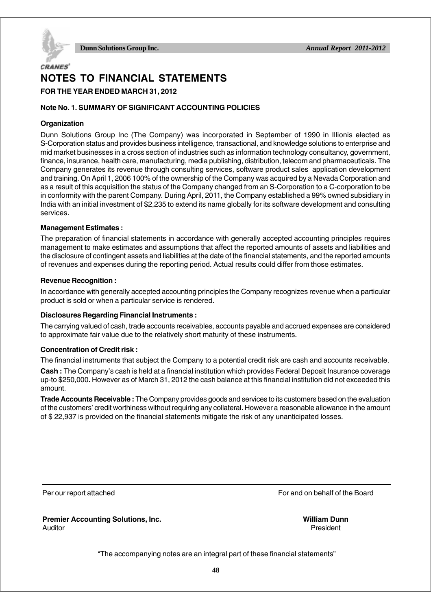

*CRANES* 

**Dunn Solutions Group Inc.**

### **NOTES TO FINANCIAL STATEMENTS**

**FOR THE YEAR ENDED MARCH 31, 2012**

#### **Note No. 1. SUMMARY OF SIGNIFICANT ACCOUNTING POLICIES**

#### **Organization**

Dunn Solutions Group Inc (The Company) was incorporated in September of 1990 in Illionis elected as S-Corporation status and provides business intelligence, transactional, and knowledge solutions to enterprise and mid market businesses in a cross section of industries such as information technology consultancy, government, finance, insurance, health care, manufacturing, media publishing, distribution, telecom and pharmaceuticals. The Company generates its revenue through consulting services, software product sales application development and training. On April 1, 2006 100% of the ownership of the Company was acquired by a Nevada Corporation and as a result of this acquisition the status of the Company changed from an S-Corporation to a C-corporation to be in conformity with the parent Company. During April, 2011, the Company established a 99% owned subsidiary in India with an initial investment of \$2,235 to extend its name globally for its software development and consulting services.

#### **Management Estimates :**

The preparation of financial statements in accordance with generally accepted accounting principles requires management to make estimates and assumptions that affect the reported amounts of assets and liabilities and the disclosure of contingent assets and liabilities at the date of the financial statements, and the reported amounts of revenues and expenses during the reporting period. Actual results could differ from those estimates.

#### **Revenue Recognition :**

In accordance with generally accepted accounting principles the Company recognizes revenue when a particular product is sold or when a particular service is rendered.

#### **Disclosures Regarding Financial Instruments :**

The carrying valued of cash, trade accounts receivables, accounts payable and accrued expenses are considered to approximate fair value due to the relatively short maturity of these instruments.

#### **Concentration of Credit risk :**

The financial instruments that subject the Company to a potential credit risk are cash and accounts receivable.

**Cash :** The Company's cash is held at a financial institution which provides Federal Deposit Insurance coverage up-to \$250,000. However as of March 31, 2012 the cash balance at this financial institution did not exceeded this amount.

**Trade Accounts Receivable :** The Company provides goods and services to its customers based on the evaluation of the customers' credit worthiness without requiring any collateral. However a reasonable allowance in the amount of \$ 22,937 is provided on the financial statements mitigate the risk of any unanticipated losses.

Per our report attached For and on behalf of the Board

**Premier Accounting Solutions, Inc.** No. 1996 and Milliam Dunn Auditor Resident Additional President Auditor President (1999) and the contract of the contract of the contract of the contract of the contract of the contract of the contract of the contract of the contract of the contract of the contract of the contract of t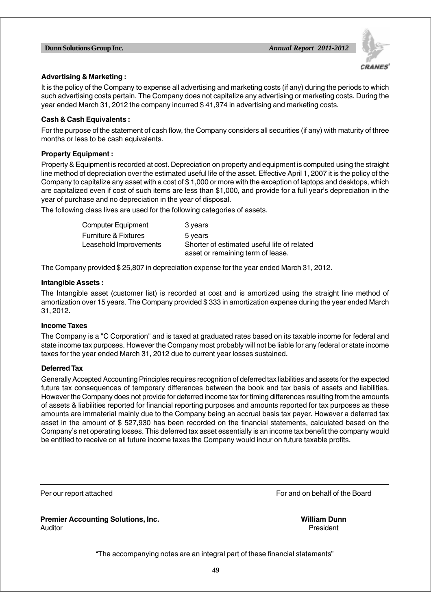

#### **Advertising & Marketing :**

It is the policy of the Company to expense all advertising and marketing costs (if any) during the periods to which such advertising costs pertain. The Company does not capitalize any advertising or marketing costs. During the year ended March 31, 2012 the company incurred \$ 41,974 in advertising and marketing costs.

#### **Cash & Cash Equivalents :**

For the purpose of the statement of cash flow, the Company considers all securities (if any) with maturity of three months or less to be cash equivalents.

#### **Property Equipment :**

Property & Equipment is recorded at cost. Depreciation on property and equipment is computed using the straight line method of depreciation over the estimated useful life of the asset. Effective April 1, 2007 it is the policy of the Company to capitalize any asset with a cost of \$ 1,000 or more with the exception of laptops and desktops, which are capitalized even if cost of such items are less than \$1,000, and provide for a full year's depreciation in the year of purchase and no depreciation in the year of disposal.

The following class lives are used for the following categories of assets.

| <b>Computer Equipment</b>       | 3 years                                     |
|---------------------------------|---------------------------------------------|
| <b>Furniture &amp; Fixtures</b> | 5 years                                     |
| Leasehold Improvements          | Shorter of estimated useful life of related |
|                                 | asset or remaining term of lease.           |

The Company provided \$ 25,807 in depreciation expense for the year ended March 31, 2012.

#### **Intangible Assets :**

The Intangible asset (customer list) is recorded at cost and is amortized using the straight line method of amortization over 15 years. The Company provided \$ 333 in amortization expense during the year ended March 31, 2012.

#### **Income Taxes**

The Company is a "C Corporation" and is taxed at graduated rates based on its taxable income for federal and state income tax purposes. However the Company most probably will not be liable for any federal or state income taxes for the year ended March 31, 2012 due to current year losses sustained.

#### **Deferred Tax**

Generally Accepted Accounting Principles requires recognition of deferred tax liabilities and assets for the expected future tax consequences of temporary differences between the book and tax basis of assets and liabilities. However the Company does not provide for deferred income tax for timing differences resulting from the amounts of assets & liabilities reported for financial reporting purposes and amounts reported for tax purposes as these amounts are immaterial mainly due to the Company being an accrual basis tax payer. However a deferred tax asset in the amount of \$ 527,930 has been recorded on the financial statements, calculated based on the Company's net operating losses. This deferred tax asset essentially is an income tax benefit the company would be entitled to receive on all future income taxes the Company would incur on future taxable profits.

Per our report attached For and on behalf of the Board

**Premier Accounting Solutions, Inc.** No. 1996 and the Mulliam Dunn of Mulliam Dunn and Mulliam Dunn and Mulliam Dunn Auditor President (1999) - Auditor President (1999) - President (1999) - President (1999) - President (1999) -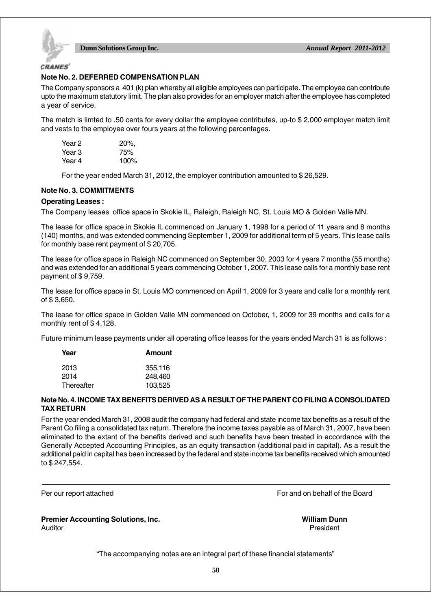

*Annual Report 2011-2012*

#### *CRANES*

#### **Note No. 2. DEFERRED COMPENSATION PLAN**

The Company sponsors a 401 (k) plan whereby all eligible employees can participate. The employee can contribute upto the maximum statutory limit. The plan also provides for an employer match after the employee has completed a year of service.

The match is limted to .50 cents for every dollar the employee contributes, up-to \$ 2,000 employer match limit and vests to the employee over fours years at the following percentages.

| Year 2 | 20%  |
|--------|------|
| Year 3 | 75%  |
| Year 4 | 100% |

For the year ended March 31, 2012, the employer contribution amounted to \$ 26,529.

#### **Note No. 3. COMMITMENTS**

#### **Operating Leases :**

The Company leases office space in Skokie IL, Raleigh, Raleigh NC, St. Louis MO & Golden Valle MN.

The lease for office space in Skokie IL commenced on January 1, 1998 for a period of 11 years and 8 months (140) months, and was extended commencing September 1, 2009 for additional term of 5 years. This lease calls for monthly base rent payment of \$ 20,705.

The lease for office space in Raleigh NC commenced on September 30, 2003 for 4 years 7 months (55 months) and was extended for an additional 5 years commencing October 1, 2007. This lease calls for a monthly base rent payment of \$ 9,759.

The lease for office space in St. Louis MO commenced on April 1, 2009 for 3 years and calls for a monthly rent of \$ 3,650.

The lease for office space in Golden Valle MN commenced on October, 1, 2009 for 39 months and calls for a monthly rent of \$ 4,128.

Future minimum lease payments under all operating office leases for the years ended March 31 is as follows :

| Year       | Amount  |
|------------|---------|
| 2013       | 355,116 |
| 2014       | 248,460 |
| Thereafter | 103.525 |

#### **Note No. 4. INCOME TAX BENEFITS DERIVED AS A RESULT OF THE PARENT CO FILING A CONSOLIDATED TAX RETURN**

For the year ended March 31, 2008 audit the company had federal and state income tax benefits as a result of the Parent Co filing a consolidated tax return. Therefore the income taxes payable as of March 31, 2007, have been eliminated to the extant of the benefits derived and such benefits have been treated in accordance with the Generally Accepted Accounting Principles, as an equity transaction (additional paid in capital). As a result the additional paid in capital has been increased by the federal and state income tax benefits received which amounted to \$ 247,554.

Per our report attached For and on behalf of the Board

**Premier Accounting Solutions, Inc.** No. 1996 and Number of Milliam Dunn Auditor (Number of Analytic President Auditor President (1999) and the contract of the contract of the contract of the contract of the contract of the contract of the contract of the contract of the contract of the contract of the contract of the contract of t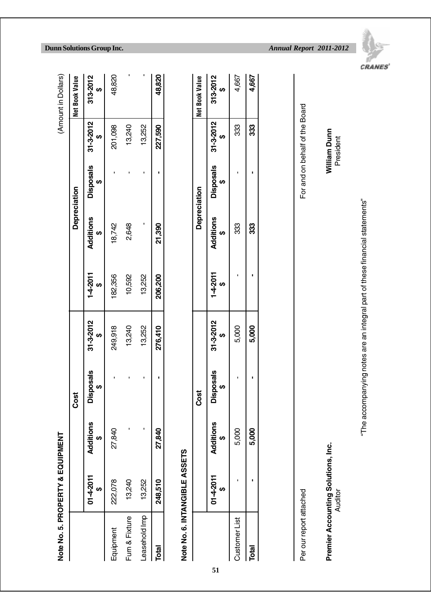| Note No. 5. PROPERTY & EQUIPMENT   |                 |                 |                                            |                  |                     |                        |                        |                                | (Amount in Dollars)   |
|------------------------------------|-----------------|-----------------|--------------------------------------------|------------------|---------------------|------------------------|------------------------|--------------------------------|-----------------------|
|                                    |                 |                 | Cost                                       |                  |                     | Depreciation           |                        |                                | <b>Net Book Value</b> |
|                                    | 01-4-2011<br>မာ | Additions<br>မာ | <b>Disposals</b><br>H                      | 31-3-2012<br>မှာ | 14-2011<br>မာ       | Additions<br>မာ        | <b>Disposals</b><br>မာ | 31-3-2012<br>မာ                | 313-2012<br>မာ        |
| Equipment                          | 222,078         | 27,840          |                                            | 249,918          | 182,356             | 18,742                 |                        | 201,098                        | 48,820                |
| Furn & Fixture                     | 13,240          |                 |                                            | 13,240           | 10,592              | 2,648                  |                        | 13,240                         |                       |
| Leasehold Imp                      | 13,252          | ٠               | f,                                         | 13,252           | 13,252              | ı                      |                        | 13,252                         |                       |
| Total                              | 248,510         | 27,840          | ٠                                          | 276,410          | 206,200             | 21,390                 | ٠                      | 227,590                        | 48,820                |
| Note No. 6. INTANGIBLE ASSETS      |                 |                 |                                            |                  |                     |                        |                        |                                |                       |
|                                    |                 |                 | Cost                                       |                  |                     |                        | Depreciation           |                                | <b>Net Book Value</b> |
|                                    | 01-4-2011<br>မာ | Additions<br>မာ | <b>Disposals</b><br>$\boldsymbol{\varphi}$ | 31-3-2012<br>မာ  | $1 - 4 - 2011$<br>↔ | Additions<br>$\bullet$ | <b>Disposals</b><br>မာ | 31-3-2012<br>မာ                | 313-2012<br>မာ        |
| Customer List                      | ı               | 5,000           | ı                                          | 5,000            | ı                   | 333                    | $\blacksquare$         | 333                            | 4,667                 |
| Total                              | п               | 5,000           | ٠                                          | 5,000            | ı                   | 333                    | ٠                      | 333                            | 4,667                 |
|                                    |                 |                 |                                            |                  |                     |                        |                        |                                |                       |
| Per our report attached            |                 |                 |                                            |                  |                     |                        |                        | For and on behalf of the Board |                       |
| Premier Accounting Solutions, Inc. | Auditor         |                 |                                            |                  |                     |                        |                        | William Dunn<br>President      |                       |

**Dunn Solutions Group Inc.**



"The accompanying notes are an integral part of these financial statements"

"The accompanying notes are an integral part of these financial statements"

**51**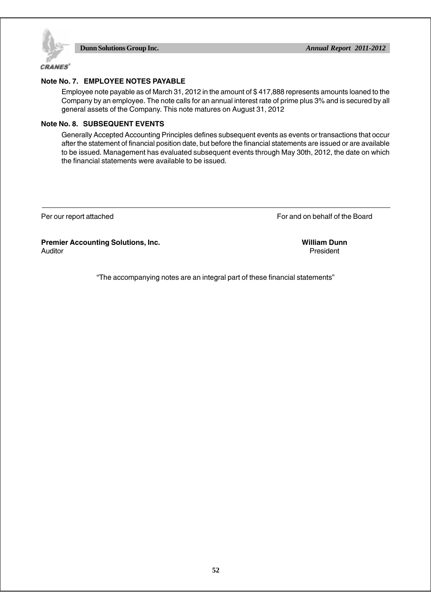

#### **CRANES**

#### **Note No. 7. EMPLOYEE NOTES PAYABLE**

Employee note payable as of March 31, 2012 in the amount of \$ 417,888 represents amounts loaned to the Company by an employee. The note calls for an annual interest rate of prime plus 3% and is secured by all general assets of the Company. This note matures on August 31, 2012

#### **Note No. 8. SUBSEQUENT EVENTS**

Generally Accepted Accounting Principles defines subsequent events as events or transactions that occur after the statement of financial position date, but before the financial statements are issued or are available to be issued. Management has evaluated subsequent events through May 30th, 2012, the date on which the financial statements were available to be issued.

Per our report attached For and on behalf of the Board

**Premier Accounting Solutions, Inc.** The Communication of the Communication of the Communication of the Communication<br>
President Auditor President (1999) and the contract of the contract of the contract of the contract of the contract of the contract of the contract of the contract of the contract of the contract of the contract of the contract of t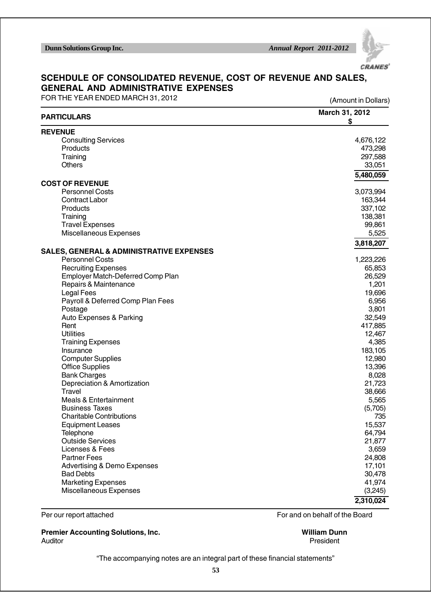

(Amount in Dollars)

#### **SCEHDULE OF CONSOLIDATED REVENUE, COST OF REVENUE AND SALES, GENERAL AND ADMINISTRATIVE EXPENSES**

FOR THE YEAR ENDED MARCH 31, 2012

| <b>PARTICULARS</b>                                  | March 31, 2012<br>\$ |
|-----------------------------------------------------|----------------------|
| <b>REVENUE</b>                                      |                      |
| <b>Consulting Services</b>                          | 4,676,122            |
| Products                                            | 473,298              |
| Training                                            | 297,588              |
| <b>Others</b>                                       | 33,051               |
|                                                     | 5,480,059            |
| <b>COST OF REVENUE</b>                              |                      |
| <b>Personnel Costs</b>                              | 3,073,994            |
| Contract Labor                                      | 163,344              |
| Products                                            | 337,102              |
| Training                                            | 138,381              |
| <b>Travel Expenses</b>                              | 99,861               |
| Miscellaneous Expenses                              | 5,525                |
|                                                     | 3,818,207            |
| <b>SALES, GENERAL &amp; ADMINISTRATIVE EXPENSES</b> |                      |
| <b>Personnel Costs</b>                              | 1,223,226            |
| <b>Recruiting Expenses</b>                          | 65,853               |
| Employer Match-Deferred Comp Plan                   | 26,529               |
| Repairs & Maintenance                               | 1,201                |
| Legal Fees                                          | 19,696               |
| Payroll & Deferred Comp Plan Fees                   | 6,956                |
| Postage                                             | 3,801                |
| Auto Expenses & Parking                             | 32,549               |
| Rent                                                | 417,885              |
| <b>Utilities</b>                                    | 12,467               |
| <b>Training Expenses</b>                            | 4,385                |
| Insurance                                           | 183,105              |
| <b>Computer Supplies</b>                            | 12,980               |
| <b>Office Supplies</b>                              | 13,396               |
| <b>Bank Charges</b>                                 | 8,028                |
| Depreciation & Amortization                         | 21,723               |
| Travel                                              | 38,666               |
| <b>Meals &amp; Entertainment</b>                    | 5,565                |
| <b>Business Taxes</b>                               | (5,705)              |
| <b>Charitable Contributions</b>                     | 735<br>15,537        |
| <b>Equipment Leases</b>                             |                      |
| Telephone<br><b>Outside Services</b>                | 64,794               |
| Licenses & Fees                                     | 21,877<br>3,659      |
| <b>Partner Fees</b>                                 | 24,808               |
| <b>Advertising &amp; Demo Expenses</b>              | 17,101               |
| <b>Bad Debts</b>                                    | 30,478               |
| <b>Marketing Expenses</b>                           | 41,974               |
| Miscellaneous Expenses                              | (3,245)              |
|                                                     | 2,310,024            |
|                                                     |                      |

Per our report attached For and on behalf of the Board

#### **Premier Accounting Solutions, Inc.** Number 2012 11:30 Number 2014 11:40 Number 2014 11:40 Number 2014 11:40 Number 2014 11:40 Number 2014 12:40 Number 2014 12:40 Number 2014 12:40 Number 2014 12:40 Number 2014 12:40 Numbe Auditor President (1999) and the contract of the contract of the contract of the contract of the contract of the contract of the contract of the contract of the contract of the contract of the contract of the contract of t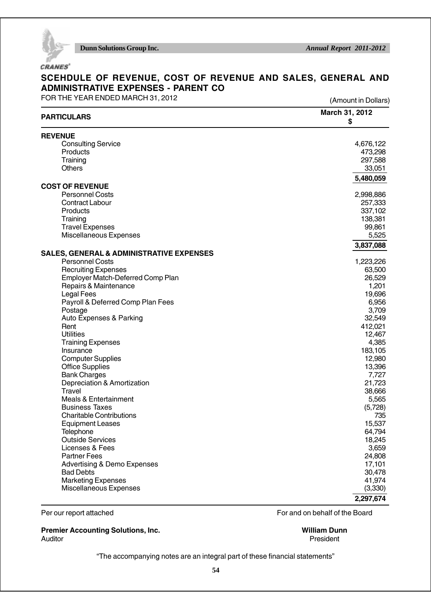

(Amount in Dollars)

#### **CRANES**

#### **SCEHDULE OF REVENUE, COST OF REVENUE AND SALES, GENERAL AND ADMINISTRATIVE EXPENSES - PARENT CO**

FOR THE YEAR ENDED MARCH 31, 2012

| <b>PARTICULARS</b>                                  | March 31, 2012<br>\$ |
|-----------------------------------------------------|----------------------|
| <b>REVENUE</b>                                      |                      |
| <b>Consulting Service</b>                           | 4,676,122            |
| Products                                            | 473,298              |
| Training                                            | 297,588              |
| <b>Others</b>                                       | 33,051               |
|                                                     | 5,480,059            |
| <b>COST OF REVENUE</b>                              |                      |
| <b>Personnel Costs</b>                              | 2,998,886            |
| Contract Labour                                     | 257,333              |
| Products                                            | 337,102              |
| Training                                            | 138,381              |
| <b>Travel Expenses</b>                              | 99,861               |
| Miscellaneous Expenses                              | 5,525                |
|                                                     | 3,837,088            |
| <b>SALES, GENERAL &amp; ADMINISTRATIVE EXPENSES</b> |                      |
| <b>Personnel Costs</b>                              | 1,223,226            |
| <b>Recruiting Expenses</b>                          | 63,500               |
| Employer Match-Deferred Comp Plan                   | 26,529               |
| Repairs & Maintenance                               | 1,201                |
| Legal Fees                                          | 19,696               |
| Payroll & Deferred Comp Plan Fees                   | 6,956                |
| Postage                                             | 3,709                |
| Auto Expenses & Parking                             | 32,549               |
| Rent<br><b>Utilities</b>                            | 412,021<br>12,467    |
| <b>Training Expenses</b>                            | 4,385                |
| Insurance                                           | 183,105              |
| <b>Computer Supplies</b>                            | 12,980               |
| <b>Office Supplies</b>                              | 13,396               |
| <b>Bank Charges</b>                                 | 7,727                |
| Depreciation & Amortization                         | 21,723               |
| Travel                                              | 38,666               |
| <b>Meals &amp; Entertainment</b>                    | 5,565                |
| <b>Business Taxes</b>                               | (5,728)              |
| <b>Charitable Contributions</b>                     | 735                  |
| <b>Equipment Leases</b>                             | 15,537               |
| Telephone                                           | 64,794               |
| <b>Outside Services</b>                             | 18,245               |
| Licenses & Fees                                     | 3,659                |
| Partner Fees                                        | 24,808               |
| <b>Advertising &amp; Demo Expenses</b>              | 17,101               |
| <b>Bad Debts</b>                                    | 30,478               |
| <b>Marketing Expenses</b>                           | 41,974               |
| Miscellaneous Expenses                              | (3,330)              |
|                                                     | 2,297,674            |

Per our report attached For and on behalf of the Board

**Premier Accounting Solutions, Inc.** The Control of the Counting Solutions, Inc. The Counting Solutions, Inc. The Counting Solutions, Inc. The Counting Solutions, Inc. The Counting Solution of the Counting Solution of the Auditor President (1999) and the contract of the contract of the contract of the contract of the contract of the contract of the contract of the contract of the contract of the contract of the contract of the contract of t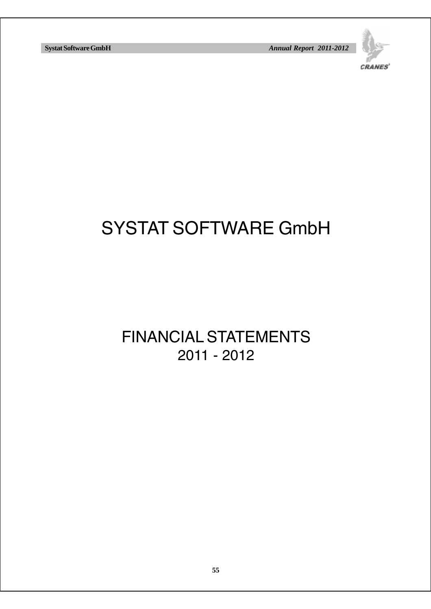

# SYSTAT SOFTWARE GmbH

## FINANCIAL STATEMENTS 2011 - 2012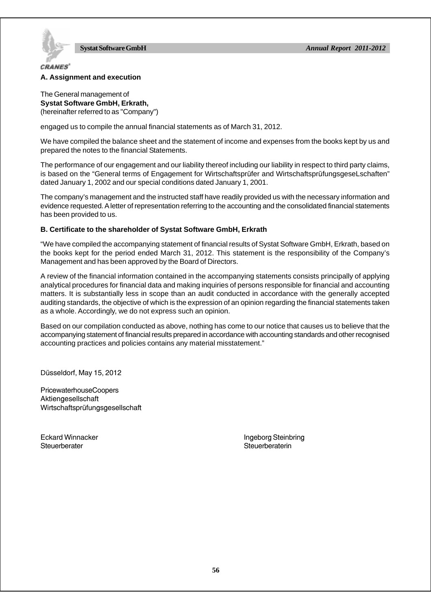

**CRANES** 

#### **A. Assignment and execution**

The General management of **Systat Software GmbH, Erkrath,** (hereinafter referred to as "Company")

engaged us to compile the annual financial statements as of March 31, 2012.

We have compiled the balance sheet and the statement of income and expenses from the books kept by us and prepared the notes to the financial Statements.

The performance of our engagement and our liability thereof including our liability in respect to third party claims, is based on the "General terms of Engagement for Wirtschaftsprüfer and WirtschaftsprüfungsgeseLschaften" dated January 1, 2002 and our special conditions dated January 1, 2001.

The company's management and the instructed staff have readily provided us with the necessary information and evidence requested. A letter of representation referring to the accounting and the consolidated financial statements has been provided to us.

#### **B. Certificate to the shareholder of Systat Software GmbH, Erkrath**

"We have compiled the accompanying statement of financial results of Systat Software GmbH, Erkrath, based on the books kept for the period ended March 31, 2012. This statement is the responsibility of the Company's Management and has been approved by the Board of Directors.

A review of the financial information contained in the accompanying statements consists principally of applying analytical procedures for financial data and making inquiries of persons responsible for financial and accounting matters. It is substantially less in scope than an audit conducted in accordance with the generally accepted auditing standards, the objective of which is the expression of an opinion regarding the financial statements taken as a whole. Accordingly, we do not express such an opinion.

Based on our compilation conducted as above, nothing has come to our notice that causes us to believe that the accompanying statement of financial results prepared in accordance with accounting standards and other recognised accounting practices and policies contains any material misstatement."

Düsseldorf, May 15, 2012

PricewaterhouseCoopers Aktiengesellschaft Wirtschaftsprüfungsgesellschaft

Eckard Winnacker **Ingeborg Steinbring**<br>
Steuerberater **Ingeborg Steuerberater** Steuerberaterin Steuerberaterin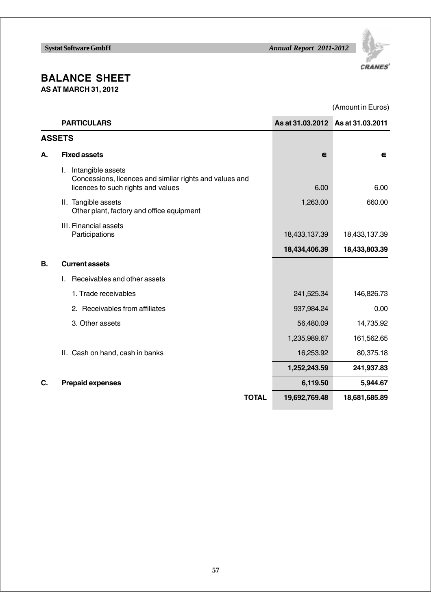

### **BALANCE SHEET**

**AS AT MARCH 31, 2012**

|           | <b>PARTICULARS</b>                                                                                                       | As at 31.03.2012 As at 31.03.2011 |               |
|-----------|--------------------------------------------------------------------------------------------------------------------------|-----------------------------------|---------------|
|           | <b>ASSETS</b>                                                                                                            |                                   |               |
| А.        | <b>Fixed assets</b>                                                                                                      | $\epsilon$                        | $\epsilon$    |
|           | Intangible assets<br>L.<br>Concessions, licences and similar rights and values and<br>licences to such rights and values | 6.00                              | 6.00          |
|           | II. Tangible assets<br>Other plant, factory and office equipment                                                         | 1,263.00                          | 660.00        |
|           | III. Financial assets<br>Participations                                                                                  | 18,433,137.39                     | 18,433,137.39 |
|           |                                                                                                                          | 18,434,406.39                     | 18,433,803.39 |
| <b>B.</b> | <b>Current assets</b>                                                                                                    |                                   |               |
|           | Receivables and other assets<br>$\mathbf{L}$                                                                             |                                   |               |
|           | 1. Trade receivables                                                                                                     | 241,525.34                        | 146,826.73    |
|           | 2. Receivables from affiliates                                                                                           | 937,984.24                        | 0.00          |
|           | 3. Other assets                                                                                                          | 56,480.09                         | 14,735.92     |
|           |                                                                                                                          | 1,235,989.67                      | 161,562.65    |
|           | II. Cash on hand, cash in banks                                                                                          | 16,253.92                         | 80,375.18     |
|           |                                                                                                                          | 1,252,243.59                      | 241,937.83    |
| C.        | <b>Prepaid expenses</b>                                                                                                  | 6,119.50                          | 5,944.67      |
|           | <b>TOTAL</b>                                                                                                             | 19,692,769.48                     | 18,681,685.89 |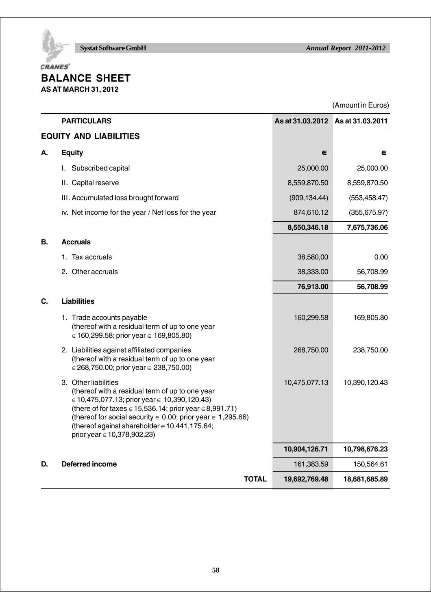

#### **CRANES BALANCE SHEET**

**AS AT MARCH 31, 2012**

|    | (Amount in Euros)                                                                                                                                                                                                                                                                                                                                                 |                  |                  |
|----|-------------------------------------------------------------------------------------------------------------------------------------------------------------------------------------------------------------------------------------------------------------------------------------------------------------------------------------------------------------------|------------------|------------------|
|    | <b>PARTICULARS</b>                                                                                                                                                                                                                                                                                                                                                | As at 31.03.2012 | As at 31.03.2011 |
|    | <b>EQUITY AND LIABILITIES</b>                                                                                                                                                                                                                                                                                                                                     |                  |                  |
| А. | <b>Equity</b>                                                                                                                                                                                                                                                                                                                                                     | $\epsilon$       | $\epsilon$       |
|    | I. Subscribed capital                                                                                                                                                                                                                                                                                                                                             | 25,000.00        | 25,000.00        |
|    | II. Capital reserve                                                                                                                                                                                                                                                                                                                                               | 8,559,870.50     | 8,559,870.50     |
|    | III. Accumulated loss brought forward                                                                                                                                                                                                                                                                                                                             | (909, 134.44)    | (553, 458.47)    |
|    | iv. Net income for the year / Net loss for the year                                                                                                                                                                                                                                                                                                               | 874,610.12       | (355, 675.97)    |
|    |                                                                                                                                                                                                                                                                                                                                                                   | 8,550,346.18     | 7,675,736.06     |
| В. | <b>Accruals</b>                                                                                                                                                                                                                                                                                                                                                   |                  |                  |
|    | 1. Tax accruals                                                                                                                                                                                                                                                                                                                                                   | 38,580,00        | 0.00             |
|    | 2. Other accruals                                                                                                                                                                                                                                                                                                                                                 | 38,333.00        | 56,708.99        |
|    |                                                                                                                                                                                                                                                                                                                                                                   | 76,913.00        | 56,708.99        |
| C. | <b>Liabilities</b>                                                                                                                                                                                                                                                                                                                                                |                  |                  |
|    | 1. Trade accounts payable<br>(thereof with a residual term of up to one year<br>$\in$ 160,299.58; prior year $\in$ 169,805.80)                                                                                                                                                                                                                                    | 160,299.58       | 169,805.80       |
|    | 2. Liabilities against affiliated companies<br>(thereof with a residual term of up to one year<br>$\in$ 268,750.00; prior year $\in$ 238,750.00)                                                                                                                                                                                                                  | 268,750.00       | 238,750.00       |
|    | 3. Other liabilities<br>(thereof with a residual term of up to one year<br>$\in$ 10,475,077.13; prior year $\in$ 10,390,120.43)<br>(there of for taxes $\in$ 15,536.14; prior year $\in$ 8,991.71)<br>(thereof for social security $\in$ 0.00; prior year $\in$ 1,295.66)<br>(thereof against shareholder $\in$ 10,441,175.64;<br>prior year $\in$ 10,378,902.23) | 10,475,077.13    | 10,390,120.43    |
|    |                                                                                                                                                                                                                                                                                                                                                                   | 10,904,126.71    | 10,798,676.23    |
| D. | <b>Deferred income</b>                                                                                                                                                                                                                                                                                                                                            | 161,383.59       | 150,564.61       |
|    | <b>TOTAL</b>                                                                                                                                                                                                                                                                                                                                                      | 19,692,769.48    | 18,681,685.89    |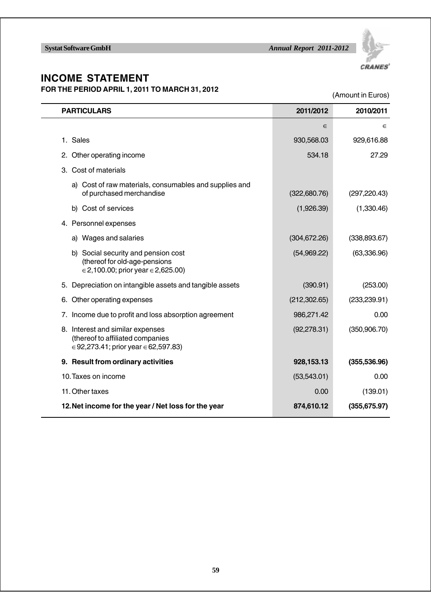

(Amount in Euros)

### **INCOME STATEMENT**

**FOR THE PERIOD APRIL 1, 2011 TO MARCH 31, 2012**

| <b>PARTICULARS</b>                                                                                                   | 2011/2012     | 2010/2011     |
|----------------------------------------------------------------------------------------------------------------------|---------------|---------------|
|                                                                                                                      | $\epsilon$    | $\in$         |
| 1. Sales                                                                                                             | 930,568.03    | 929,616.88    |
| 2. Other operating income                                                                                            | 534.18        | 27.29         |
| 3. Cost of materials                                                                                                 |               |               |
| a) Cost of raw materials, consumables and supplies and<br>of purchased merchandise                                   | (322, 680.76) | (297, 220.43) |
| b) Cost of services                                                                                                  | (1,926.39)    | (1,330.46)    |
| 4. Personnel expenses                                                                                                |               |               |
| a) Wages and salaries                                                                                                | (304, 672.26) | (338, 893.67) |
| b) Social security and pension cost<br>(thereof for old-age-pensions<br>$\in$ 2,100.00; prior year $\in$ 2,625.00)   | (54,969.22)   | (63, 336.96)  |
| 5. Depreciation on intangible assets and tangible assets                                                             | (390.91)      | (253.00)      |
| 6. Other operating expenses                                                                                          | (212, 302.65) | (233, 239.91) |
| 7. Income due to profit and loss absorption agreement                                                                | 986,271.42    | 0.00          |
| 8. Interest and similar expenses<br>(thereof to affiliated companies<br>$\in$ 92,273.41; prior year $\in$ 62,597.83) | (92, 278.31)  | (350,906.70)  |
| 9. Result from ordinary activities                                                                                   | 928,153.13    | (355, 536.96) |
| 10. Taxes on income                                                                                                  | (53,543.01)   | 0.00          |
| 11. Other taxes                                                                                                      | 0.00          | (139.01)      |
| 12. Net income for the year / Net loss for the year                                                                  | 874,610.12    | (355, 675.97) |
|                                                                                                                      |               |               |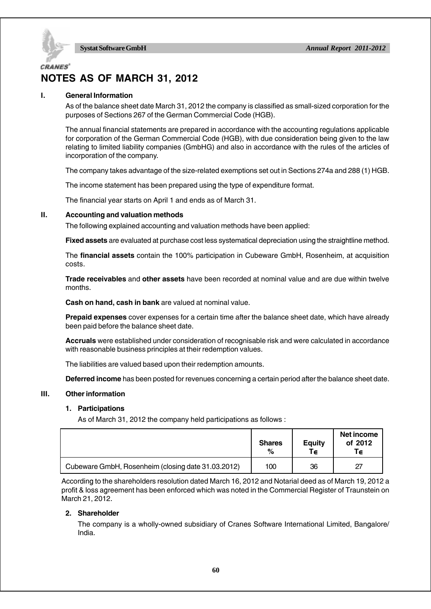

#### *CRANES* **NOTES AS OF MARCH 31, 2012**

#### **I. General Information**

As of the balance sheet date March 31, 2012 the company is classified as small-sized corporation for the purposes of Sections 267 of the German Commercial Code (HGB).

The annual financial statements are prepared in accordance with the accounting regulations applicable for corporation of the German Commercial Code (HGB), with due consideration being given to the law relating to limited liability companies (GmbHG) and also in accordance with the rules of the articles of incorporation of the company.

The company takes advantage of the size-related exemptions set out in Sections 274a and 288 (1) HGB.

The income statement has been prepared using the type of expenditure format.

The financial year starts on April 1 and ends as of March 31.

#### **II. Accounting and valuation methods**

The following explained accounting and valuation methods have been applied:

**Fixed assets** are evaluated at purchase cost less systematical depreciation using the straightline method.

The **financial assets** contain the 100% participation in Cubeware GmbH, Rosenheim, at acquisition costs.

**Trade receivables** and **other assets** have been recorded at nominal value and are due within twelve months.

**Cash on hand, cash in bank** are valued at nominal value.

**Prepaid expenses** cover expenses for a certain time after the balance sheet date, which have already been paid before the balance sheet date.

**Accruals** were established under consideration of recognisable risk and were calculated in accordance with reasonable business principles at their redemption values.

The liabilities are valued based upon their redemption amounts.

**Deferred income** has been posted for revenues concerning a certain period after the balance sheet date.

#### **III. Other information**

#### **1. Participations**

As of March 31, 2012 the company held participations as follows :

|                                                    | <b>Shares</b><br>$\%$ | <b>Equity</b><br>Te | Net income<br>of 2012<br>Τ∈ |
|----------------------------------------------------|-----------------------|---------------------|-----------------------------|
| Cubeware GmbH, Rosenheim (closing date 31.03.2012) | 100                   | 36                  | 27                          |

According to the shareholders resolution dated March 16, 2012 and Notarial deed as of March 19, 2012 a profit & loss agreement has been enforced which was noted in the Commercial Register of Traunstein on March 21, 2012.

#### **2. Shareholder**

The company is a wholly-owned subsidiary of Cranes Software International Limited, Bangalore/ India.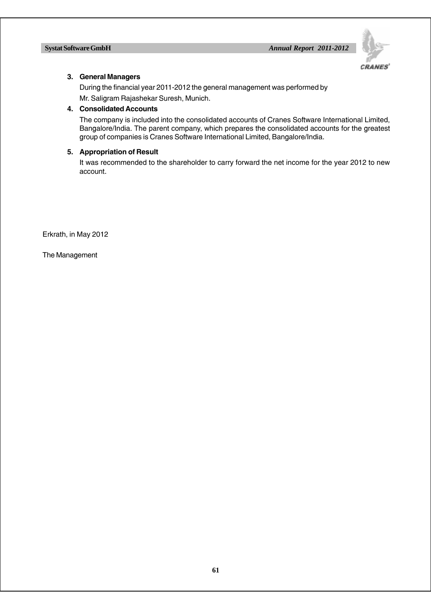

#### **3. General Managers**

During the financial year 2011-2012 the general management was performed by Mr. Saligram Rajashekar Suresh, Munich.

#### **4. Consolidated Accounts**

The company is included into the consolidated accounts of Cranes Software International Limited, Bangalore/India. The parent company, which prepares the consolidated accounts for the greatest group of companies is Cranes Software International Limited, Bangalore/India.

#### **5. Appropriation of Result**

It was recommended to the shareholder to carry forward the net income for the year 2012 to new account.

Erkrath, in May 2012

The Management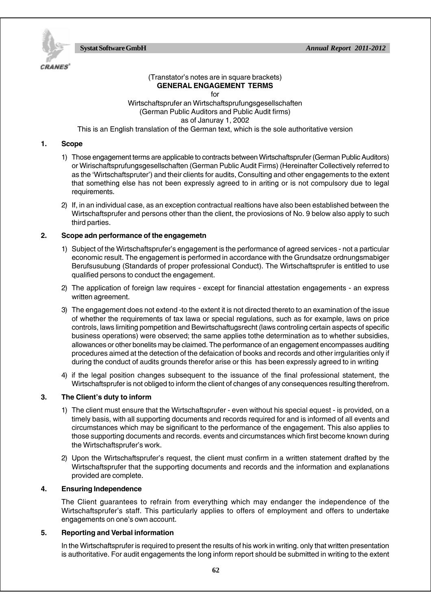

**Systat Software GmbH**

#### (Transtator's notes are in square brackets) **GENERAL ENGAGEMENT TERMS** for

#### Wirtschaftsprufer an Wirtschaftsprufungsgesellschaften (German Public Auditors and Public Audit firms) as of Januray 1, 2002

This is an English translation of the German text, which is the sole authoritative version

#### **1. Scope**

- 1) Those engagement terms are applicable to contracts between Wirtschaftsprufer (German Public Auditors) or Wirischaftsprufungsgesellschaften (German Public Audit Firms) (Hereinafter Collectively referred to as the 'Wirtschaftspruter') and their clients for audits, Consulting and other engagements to the extent that something else has not been expressly agreed to in ariting or is not compulsory due to legal requirements.
- 2) If, in an individual case, as an exception contractual realtions have also been established between the Wirtschaftsprufer and persons other than the client, the proviosions of No. 9 below also apply to such third parties.

#### **2. Scope adn performance of the engagemetn**

- 1) Subject of the Wirtschaftsprufer's engagement is the performance of agreed services not a particular economic result. The engagement is performed in accordance with the Grundsatze ordnungsmabiger Berufsusubung (Standards of proper professional Conduct). The Wirtschaftsprufer is entitled to use qualified persons to conduct the engagement.
- 2) The application of foreign law requires except for financial attestation engagements an express written agreement.
- 3) The engagement does not extend -to the extent it is not directed thereto to an examination of the issue of whether the requirements of tax lawa or special regulations, such as for example, laws on price controls, laws lirniting pompetition and Bewirtschaftugsrecht (laws controling certain aspects of specific business operations) were observed; the same applies tothe determination as to whether subsidies, allowances or other bonelits may be claimed. The performance of an engagement encompasses auditing procedures aimed at the detection of the defaication of books and records and other irrgularities only if during the conduct of audits grounds therefor arise or this has been expressly agreed to in writing
- 4) if the legal position changes subsequent to the issuance of the final professional statement, the Wirtschaftsprufer is not obliged to inform the client of changes of any consequences resulting therefrom.

#### **3. The Client's duty to inform**

- 1) The client must ensure that the Wirtschaftsprufer even without his special equest is provided, on a timely basis, with all supporting documents and records required for and is informed of all events and circumstances which may be significant to the performance of the engagement. This also applies to those supporting documents and records. events and circumstances which first become known during the Wirtschaftsprufer's work.
- 2) Upon the Wirtschaftsprufer's request, the client must confirm in a written statement drafted by the Wirtschaftsprufer that the supporting documents and records and the information and explanations provided are complete.

#### **4. Ensuring Independence**

The Client guarantees to refrain from everything which may endanger the independence of the Wirtschaftsprufer's staff. This particularly applies to offers of employment and offers to undertake engagements on one's own account.

#### **5. Reporting and Verbal information**

In the Wirtschaftsprufer is required to present the results of his work in writing. only that written presentation is authoritative. For audit engagements the long inform report should be submitted in writing to the extent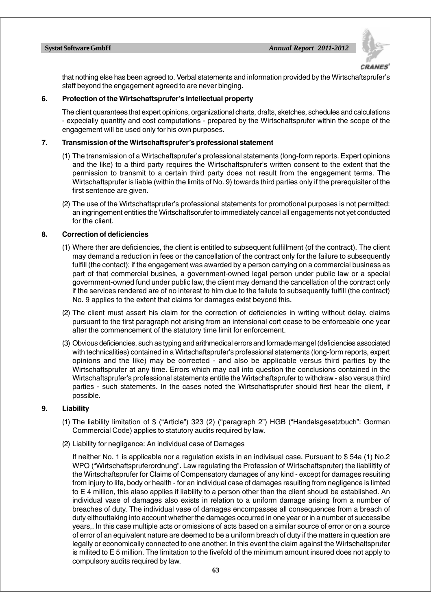*Annual Report 2011-2012*



that nothing else has been agreed to. Verbal statements and information provided by the Wirtschaftsprufer's staff beyond the engagement agreed to are never binging.

#### **6. Protection of the Wirtschaftsprufer's intellectual property**

The client quarantees that expert opinions, organizational charts, drafts, sketches, schedules and calculations - expecially quantity and cost computations - prepared by the Wirtschaftsprufer within the scope of the engagement will be used only for his own purposes.

#### **7. Transmission of the Wirtschaftsprufer's professional statement**

- (1) The transmission of a Wirtschaftsprufer's professional statements (long-form reports. Expert opinions and the like) to a third party requires the Wirtschaftsprufer's written consent to the extent that the permission to transmit to a certain third party does not result from the engagement terms. The Wirtschaftsprufer is liable (within the limits of No. 9) towards third parties only if the prerequisiter of the first sentence are given.
- (2) The use of the Wirtschaftsprufer's professional statements for promotional purposes is not permitted: an ingringement entities the Wirtschaftsorufer to immediately cancel all engagements not yet conducted for the client.

#### **8. Correction of deficiencies**

- (1) Where ther are deficiencies, the client is entitled to subsequent fulfillment (of the contract). The client may demand a reduction in fees or the cancellation of the contract only for the failure to subsequently fulfill (the contact); if the engagement was awarded by a person carrying on a commercial business as part of that commercial busines, a government-owned legal person under public law or a special government-owned fund under public law, the client may demand the cancellation of the contract only if the services rendered are of no interest to him due to the failute to subsequently fulfill (the contract) No. 9 applies to the extent that claims for damages exist beyond this.
- (2) The client must assert his claim for the correction of deficiencies in writing without delay. claims pursuant to the first paragraph not arising from an intensional cort cease to be enforceable one year after the commencement of the statutory time limit for enforcement.
- (3) Obvious deficiencies. such as typing and arithmedical errors and formade mangel (deficiencies associated with technicalities) contained in a Wirtschaftsprufer's professional statements (long-form reports, expert opinions and the like) may be corrected - and also be applicable versus third parties by the Wirtschaftsprufer at any time. Errors which may call into question the conclusions contained in the Wirtschaftsprufer's professional statements entitle the Wirtschaftsprufer to withdraw - also versus third parties - such statements. In the cases noted the Wirtschaftsprufer should first hear the client, if possible.

#### **9. Liability**

- (1) The liability limitation of \$ ("Article") 323 (2) ("paragraph 2") HGB ("Handelsgesetzbuch": Gorman Commercial Code) applies to statutory audits required by law.
- (2) Liability for negligence: An individual case of Damages

If neither No. 1 is applicable nor a regulation exists in an indivisual case. Pursuant to \$ 54a (1) No.2 WPO ("Wirtschaftspruferordnung". Law regulating the Profession of Wirtschaftspruter) the liabliltity of the Wirtschaftsprufer for Claims of Compensatory damages of any kind - except for damages resuiting from injury to life, body or health - for an individual case of damages resuiting from negligence is limted to E 4 million, this alaso applies if liability to a person other than the client shoudl be established. An individual vase of damages also exists in relation to a uniform damage arising from a number of breaches of duty. The individual vase of damages encompasses all consequences from a breach of duty eithouttaking into account whether the damages occurred in one year or in a number of successibe years,. In this case multiple acts or omissions of acts based on a similar source of error or on a source of error of an equivalent nature are deemed to be a uniform breach of duty if the matters in question are legally or economically connected to one another. In this event the claim against the Wirtschaltsprufer is milited to E 5 million. The limitation to the fivefold of the minimum amount insured does not apply to compulsory audits required by law.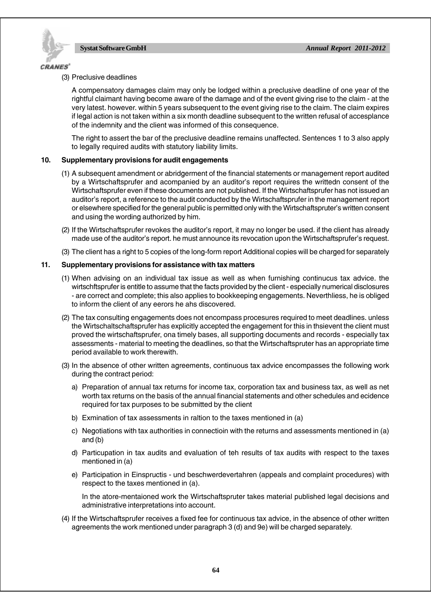

#### *CRANES*

#### (3) Preclusive deadlines

A compensatory damages claim may only be lodged within a preclusive deadline of one year of the rightful claimant having become aware of the damage and of the event giving rise to the claim - at the very latest. however. within 5 years subsequent to the event giving rise to the claim. The claim expires if legal action is not taken within a six month deadline subsequent to the written refusal of accesplance of the indemnity and the client was informed of this consequence.

The right to assert the bar of the preclusive deadline remains unaffected. Sentences 1 to 3 also apply to legally required audits with statutory liability limits.

#### **10. Supplementary provisions for audit engagements**

- (1) A subsequent amendment or abridgerment of the financial statements or management report audited by a Wirtschaftsprufer and acompanied by an auditor's report requires the writtedn consent of the Wirtschaftsprufer even if these documents are not published. If the Wirtschaftsprufer has not issued an auditor's report, a reference to the audit conducted by the Wirtschaftsprufer in the management report or elsewhere specified for the general public is permitted only with the Wirtschaftspruter's written consent and using the wording authorized by him.
- (2) If the Wirtschaftsprufer revokes the auditor's report, it may no longer be used. if the client has already made use of the auditor's report. he must announce its revocation upon the Wirtschaftsprufer's request.
- (3) The client has a right to 5 copies of the long-form report Additional copies will be charged for separately

#### **11. Supplementary provisions for assistance with tax matters**

- (1) When advising on an individual tax issue as well as when furnishing continucus tax advice. the wirtschftsprufer is entitle to assume that the facts provided by the client - especially numerical disclosures - are correct and complete; this also applies to bookkeeping engagements. Neverthliess, he is obliged to inform the client of any eerors he ahs discovered.
- (2) The tax consulting engagements does not encompass procesures required to meet deadlines. unless the Wirtschaltschaftsprufer has explicitly accepted the engagement for this in thsievent the client must proved the wirtschaftsprufer, ona timely bases, all supporting documents and records - especially tax assessments - material to meeting the deadlines, so that the Wirtschaftspruter has an appropriate time period available to work therewith.
- (3) In the absence of other written agreements, continuous tax advice encompasses the following work during the contract period:
	- a) Preparation of annual tax returns for income tax, corporation tax and business tax, as well as net worth tax returns on the basis of the annual financial statements and other schedules and ecidence required for tax purposes to be submitted by the client
	- b) Exmination of tax assessments in raltion to the taxes mentioned in (a)
	- c) Negotiations with tax authorities in connectioin with the returns and assessments mentioned in (a) and (b)
	- d) Particupation in tax audits and evaluation of teh results of tax audits with respect to the taxes mentioned in (a)
	- e) Participation in Einspructis und beschwerdevertahren (appeals and complaint procedures) with respect to the taxes mentioned in (a).

In the atore-mentaioned work the Wirtschaftspruter takes material published legal decisions and administrative interpretations into account.

(4) If the Wirtschaftsprufer receives a fixed fee for continuous tax advice, in the absence of other written agreements the work mentioned under paragraph 3 (d) and 9e) will be charged separately.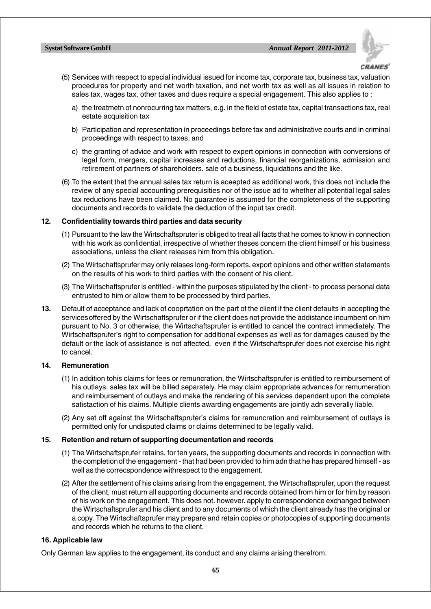

- (5) Services with respect to special individual issued for income tax, corporate tax, business tax, valuation procedures for property and net worth taxation, and net worth tax as well as all issues in relation to sales tax, wages tax, other taxes and dues require a special engagement. This also applies to :
	- a) the treatmetn of nonrocurring tax matters, e.g. in the field of estate tax, capital transactions tax, real estate acquisition tax
	- b) Participation and representation in proceedings before tax and administrative courts and in criminal proceedings with respect to taxes, and
	- c) the granting of advice and work with respect to expert opinions in connection with conversions of legal form, mergers, capital increases and reductions, financial reorganizations, admission and retirement of partners of shareholders. sale of a business, liquidations and the like.
- (6) To the extent that the annual sales tax return is aceepted as additional work, this does not include the review of any special accounting prerequisities nor of the issue ad to whether all potential legal sales tax reductions have been claimed. No guarantee is assumed for the completeness of the supporting documents and records to validate the deduction of the input tax credit.

#### **12. Confidentiality towards third parties and data security**

- (1) Pursuant to the law the Wirtschaftspruter is obliged to treat all facts that he comes to know in connection with his work as confidential, irrespective of whether theses concern the client himself or his business associations, unless the client releases him from this obligation.
- (2) The Wirtschaftsprufer may only relases long-form reports. export opinions and other written statements on the results of his work to third parties with the consent of his client.
- (3) The Wirtschaftsprufer is entitled within the purposes stipulated by the client to process personal data entrusted to him or allow them to be processed by third parties.
- **13.** Default of acceptance and lack of cooprtation on the part of the client if the client defaults in accepting the services offered by the Wirtschaftsprufer or if the client does not provide the addistance incumbent on him pursuant to No. 3 or otherwise, the Wirtschaftsprufer is entitled to cancel the contract immediately. The Wirtschaftsprufer's right to compensation for additional expenses as well as for damages caused by the default or the lack of assistance is not affected, even if the Wirtschaftsprufer does not exercise his right to cancel.

#### **14. Remuneration**

- (1) In addition tohis claims for fees or remuncration, the Wirtschaftsprufer is entitled to reimbursement of his outlays: sales tax will be billed separately. He may claim appropriate advances for remumeration and reimbursement of outlays and make the rendering of his services dependent upon the complete satistaction of his claims. Multiple clients awarding engagements are jointly adn severally liable.
- (2) Any set off against the Wirtschaftspruter's claims for remuncration and reimbursement of outlays is permitted only for undisputed claims or claims determined to be legally valid.

#### **15. Retention and return of supporting documentation and records**

- (1) The Wirtschaftsprufer retains, for ten years, the supporting documents and records in connection with the completion of the engagement - that had been provided to him adn that he has prepared himself - as well as the correcspondence withrespect to the engagement.
- (2) After the settlement of his claims arising from the engagement, the Wirtschaftsprufer, upon the request of the client, must return all supporting documents and records obtained from him or for him by reason of his work on the engagement. This does not. however. apply to correspondence exchanged between the Wirtschaftsprufer and his client and to any documents of which the client already has the original or a copy. The Wirtschaftsprufer may prepare and retain copies or photocopies of supporting documents and records which he returns to the client.

#### **16. Applicable law**

Only German law applies to the engagement, its conduct and any claims arising therefrom.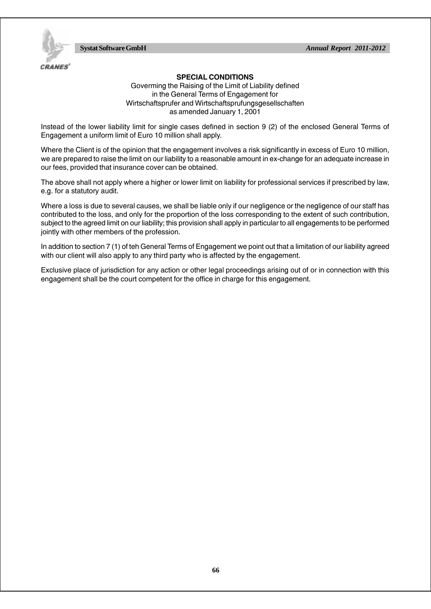

**Systat Software GmbH**

#### **SPECIAL CONDITIONS**

Goverming the Raising of the Limit of Liability defined in the General Terms of Engagement for Wirtschaftsprufer and Wirtschaftsprufungsgesellschaften as amended January 1, 2001

Instead of the lower liability limit for single cases defined in section 9 (2) of the enclosed General Terms of Engagement a uniform limit of Euro 10 million shall apply.

Where the Client is of the opinion that the engagement involves a risk significantly in excess of Euro 10 million, we are prepared to raise the limit on our liability to a reasonable amount in ex-change for an adequate increase in our fees, provided that insurance cover can be obtained.

The above shall not apply where a higher or lower limit on liability for professional services if prescribed by law, e.g. for a statutory audit.

Where a loss is due to several causes, we shall be liable only if our negligence or the negligence of our staff has contributed to the loss, and only for the proportion of the loss corresponding to the extent of such contribution, subject to the agreed limit on our liability; this provision shall apply in particular to all engagements to be performed jointly with other members of the profession.

In addition to section 7 (1) of teh General Terms of Engagement we point out that a limitation of our liability agreed with our client will also apply to any third party who is affected by the engagement.

Exclusive place of jurisdiction for any action or other legal proceedings arising out of or in connection with this engagement shall be the court competent for the office in charge for this engagement.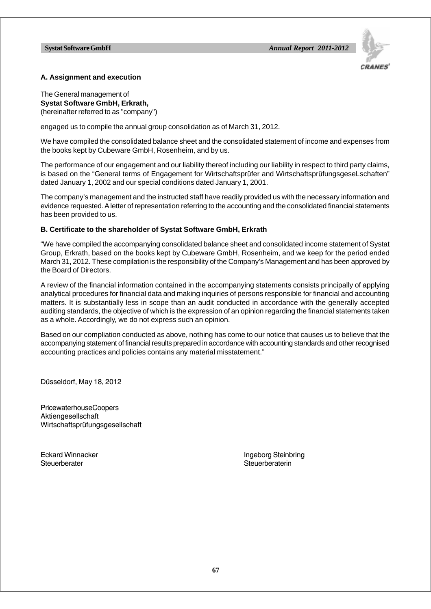*Annual Report 2011-2012*



#### **A. Assignment and execution**

The General management of **Systat Software GmbH, Erkrath,** (hereinafter referred to as "company")

engaged us to compile the annual group consolidation as of March 31, 2012.

We have compiled the consolidated balance sheet and the consolidated statement of income and expenses from the books kept by Cubeware GmbH, Rosenheim, and by us.

The performance of our engagement and our liability thereof including our liability in respect to third party claims, is based on the "General terms of Engagement for Wirtschaftsprüfer and WirtschaftsprüfungsgeseLschaften" dated January 1, 2002 and our special conditions dated January 1, 2001.

The company's management and the instructed staff have readily provided us with the necessary information and evidence requested. A letter of representation referring to the accounting and the consolidated financial statements has been provided to us.

#### **B. Certificate to the shareholder of Systat Software GmbH, Erkrath**

"We have compiled the accompanying consolidated balance sheet and consolidated income statement of Systat Group, Erkrath, based on the books kept by Cubeware GmbH, Rosenheim, and we keep for the period ended March 31, 2012. These compilation is the responsibility of the Company's Management and has been approved by the Board of Directors.

A review of the financial information contained in the accompanying statements consists principally of applying analytical procedures for financial data and making inquiries of persons responsible for financial and accounting matters. It is substantially less in scope than an audit conducted in accordance with the generally accepted auditing standards, the objective of which is the expression of an opinion regarding the financial statements taken as a whole. Accordingly, we do not express such an opinion.

Based on our compliation conducted as above, nothing has come to our notice that causes us to believe that the accompanying statement of financial results prepared in accordance with accounting standards and other recognised accounting practices and policies contains any material misstatement."

Düsseldorf, May 18, 2012

PricewaterhouseCoopers **Aktiengesellschaft** Wirtschaftsprüfungsgesellschaft

Eckard Winnacker **Ingeborg Steinbring**<br>
Steuerberater **Ingeborg Steinbring**<br>
Steuerberaterin Steuerberaterin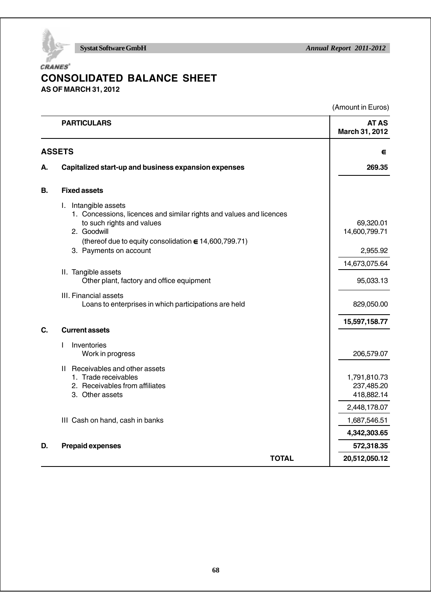**Systat Software GmbH**

#### **CRANES CONSOLIDATED BALANCE SHEET AS OF MARCH 31, 2012**

|    | <b>PARTICULARS</b>                                                                                                                                                                                                                                                                                                             | AT AS<br>March 31, 2012                                              |
|----|--------------------------------------------------------------------------------------------------------------------------------------------------------------------------------------------------------------------------------------------------------------------------------------------------------------------------------|----------------------------------------------------------------------|
|    | <b>ASSETS</b>                                                                                                                                                                                                                                                                                                                  | $\epsilon$                                                           |
| А. | Capitalized start-up and business expansion expenses                                                                                                                                                                                                                                                                           | 269.35                                                               |
| В. | <b>Fixed assets</b>                                                                                                                                                                                                                                                                                                            |                                                                      |
|    | Intangible assets<br>Ι.<br>1. Concessions, licences and similar rights and values and licences<br>to such rights and values<br>2. Goodwill<br>(thereof due to equity consolidation $\in$ 14,600,799.71)<br>3. Payments on account<br>II. Tangible assets<br>Other plant, factory and office equipment<br>III. Financial assets | 69,320.01<br>14,600,799.71<br>2,955.92<br>14,673,075.64<br>95,033.13 |
|    | Loans to enterprises in which participations are held                                                                                                                                                                                                                                                                          | 829,050.00                                                           |
| C. | <b>Current assets</b>                                                                                                                                                                                                                                                                                                          | 15,597,158.77                                                        |
|    | Inventories<br>Work in progress                                                                                                                                                                                                                                                                                                | 206,579.07                                                           |
|    | II Receivables and other assets<br>1. Trade receivables<br>2. Receivables from affiliates<br>3. Other assets                                                                                                                                                                                                                   | 1,791,810.73<br>237,485.20<br>418,882.14                             |
|    | III Cash on hand, cash in banks                                                                                                                                                                                                                                                                                                | 2,448,178.07<br>1,687,546.51                                         |
|    |                                                                                                                                                                                                                                                                                                                                | 4,342,303.65                                                         |
| D. | <b>Prepaid expenses</b>                                                                                                                                                                                                                                                                                                        | 572,318.35                                                           |
|    | <b>TOTAL</b>                                                                                                                                                                                                                                                                                                                   | 20,512,050.12                                                        |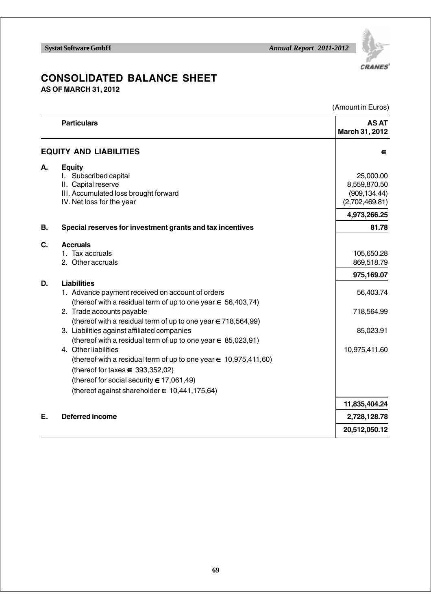

### **CONSOLIDATED BALANCE SHEET AS OF MARCH 31, 2012**

|    | <b>Particulars</b>                                                                                                                                                                                                                              | <b>AS AT</b><br>March 31, 2012                                               |
|----|-------------------------------------------------------------------------------------------------------------------------------------------------------------------------------------------------------------------------------------------------|------------------------------------------------------------------------------|
|    | <b>EQUITY AND LIABILITIES</b>                                                                                                                                                                                                                   | $\epsilon$                                                                   |
| А. | <b>Equity</b><br>I. Subscribed capital<br>II. Capital reserve<br>III. Accumulated loss brought forward<br>IV. Net loss for the year                                                                                                             | 25,000.00<br>8,559,870.50<br>(909, 134.44)<br>(2,702,469.81)<br>4,973,266.25 |
| В. | Special reserves for investment grants and tax incentives                                                                                                                                                                                       | 81.78                                                                        |
| C. | <b>Accruals</b><br>1. Tax accruals<br>2. Other accruals                                                                                                                                                                                         | 105,650.28<br>869,518.79                                                     |
| D. | <b>Liabilities</b><br>1. Advance payment received on account of orders                                                                                                                                                                          | 975,169.07<br>56,403.74                                                      |
|    | (thereof with a residual term of up to one year $\epsilon$ 56,403,74)<br>2. Trade accounts payable<br>(thereof with a residual term of up to one year $\in$ 718,564,99)                                                                         | 718,564.99                                                                   |
|    | 3. Liabilities against affiliated companies<br>(thereof with a residual term of up to one year $\in$ 85,023,91)                                                                                                                                 | 85,023.91                                                                    |
|    | 4. Other liabilities<br>(thereof with a residual term of up to one year $\epsilon$ 10,975,411,60)<br>(thereof for taxes $\in$ 393,352,02)<br>(thereof for social security $\in$ 17,061,49)<br>(thereof against shareholder $\in$ 10,441,175,64) | 10,975,411.60                                                                |
|    |                                                                                                                                                                                                                                                 | 11,835,404.24                                                                |
| Е. | <b>Deferred income</b>                                                                                                                                                                                                                          | 2,728,128.78                                                                 |
|    |                                                                                                                                                                                                                                                 | 20,512,050.12                                                                |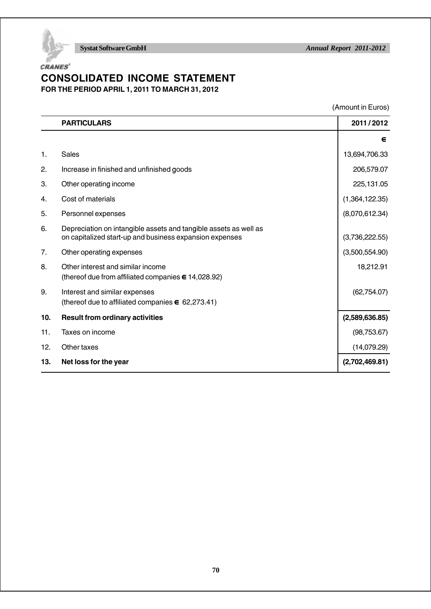

#### **CRANES CONSOLIDATED INCOME STATEMENT FOR THE PERIOD APRIL 1, 2011 TO MARCH 31, 2012**

|     | <b>PARTICULARS</b>                                                                                                          | 2011/2012      |
|-----|-----------------------------------------------------------------------------------------------------------------------------|----------------|
|     |                                                                                                                             | $\epsilon$     |
| 1.  | Sales                                                                                                                       | 13,694,706.33  |
| 2.  | Increase in finished and unfinished goods                                                                                   | 206,579.07     |
| 3.  | Other operating income                                                                                                      | 225,131.05     |
| 4.  | Cost of materials                                                                                                           | (1,364,122.35) |
| 5.  | Personnel expenses                                                                                                          | (8,070,612.34) |
| 6.  | Depreciation on intangible assets and tangible assets as well as<br>on capitalized start-up and business expansion expenses | (3,736,222.55) |
| 7.  | Other operating expenses                                                                                                    | (3,500,554.90) |
| 8.  | Other interest and similar income<br>(thereof due from affiliated companies $\in$ 14,028.92)                                | 18,212.91      |
| 9.  | Interest and similar expenses<br>(thereof due to affiliated companies $\in$ 62,273.41)                                      | (62, 754.07)   |
| 10. | <b>Result from ordinary activities</b>                                                                                      | (2,589,636.85) |
| 11. | Taxes on income                                                                                                             | (98, 753.67)   |
| 12. | Other taxes                                                                                                                 | (14,079.29)    |
| 13. | Net loss for the year                                                                                                       | (2,702,469.81) |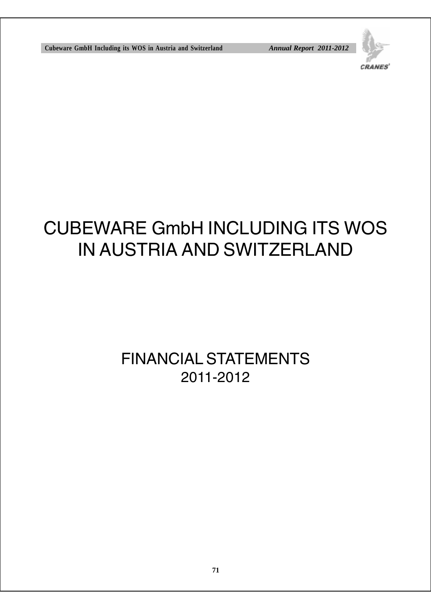**Cubeware GmbH Including its WOS in Austria and Switzerland**

*Annual Report 2011-2012*



# CUBEWARE GmbH INCLUDING ITS WOS IN AUSTRIA AND SWITZERLAND

FINANCIAL STATEMENTS 2011-2012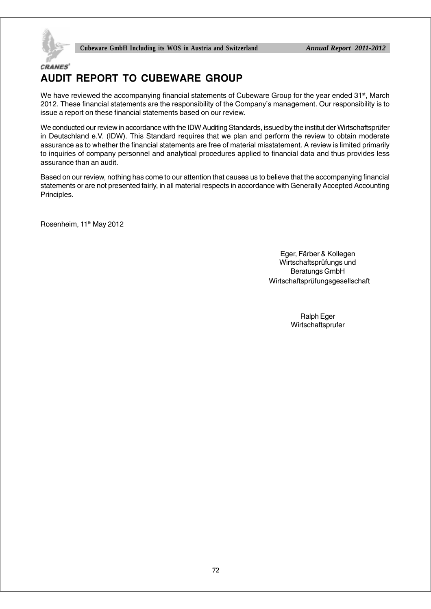

### *CRANES* **AUDIT REPORT TO CUBEWARE GROUP**

We have reviewed the accompanying financial statements of Cubeware Group for the year ended 31<sup>st</sup>, March 2012. These financial statements are the responsibility of the Company's management. Our responsibility is to issue a report on these financial statements based on our review.

We conducted our review in accordance with the IDW Auditing Standards, issued by the institut der Wirtschaftsprüfer in Deutschland e.V. (IDW). This Standard requires that we plan and perform the review to obtain moderate assurance as to whether the financial statements are free of material misstatement. A review is limited primarily to inquiries of company personnel and analytical procedures applied to financial data and thus provides less assurance than an audit.

Based on our review, nothing has come to our attention that causes us to believe that the accompanying financial statements or are not presented fairly, in all material respects in accordance with Generally Accepted Accounting Principles.

Rosenheim, 11<sup>th</sup> May 2012

Eger, Färber & Kollegen Wirtschaftsprüfungs und Beratungs GmbH Wirtschaftsprüfungsgesellschaft

> Ralph Eger Wirtschaftsprufer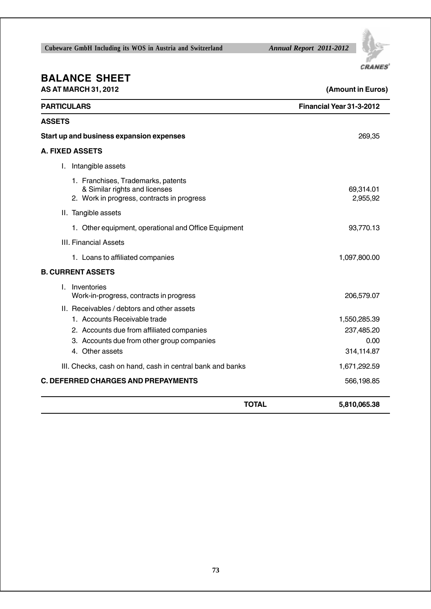*Annual Report 2011-2012*



# **BALANCE SHEET**

| <b>AS AT MARCH 31, 2012</b>                                                                                       | (Amount in Euros)        |  |
|-------------------------------------------------------------------------------------------------------------------|--------------------------|--|
| <b>PARTICULARS</b>                                                                                                | Financial Year 31-3-2012 |  |
| <b>ASSETS</b>                                                                                                     |                          |  |
| Start up and business expansion expenses                                                                          | 269,35                   |  |
| <b>A. FIXED ASSETS</b>                                                                                            |                          |  |
| I. Intangible assets                                                                                              |                          |  |
| 1. Franchises, Trademarks, patents<br>& Similar rights and licenses<br>2. Work in progress, contracts in progress | 69,314.01<br>2,955,92    |  |
| II. Tangible assets                                                                                               |                          |  |
| 1. Other equipment, operational and Office Equipment                                                              | 93,770.13                |  |
| <b>III. Financial Assets</b>                                                                                      |                          |  |
| 1. Loans to affiliated companies                                                                                  | 1,097,800.00             |  |
| <b>B. CURRENT ASSETS</b>                                                                                          |                          |  |
| I. Inventories<br>Work-in-progress, contracts in progress<br>II. Receivables / debtors and other assets           | 206,579.07               |  |
| 1. Accounts Receivable trade                                                                                      | 1,550,285.39             |  |
| 2. Accounts due from affiliated companies                                                                         | 237,485.20               |  |
| 3. Accounts due from other group companies                                                                        | 0.00                     |  |
| 4. Other assets                                                                                                   | 314,114.87               |  |
| III. Checks, cash on hand, cash in central bank and banks                                                         | 1,671,292.59             |  |
| <b>C. DEFERRED CHARGES AND PREPAYMENTS</b>                                                                        | 566,198.85               |  |
| <b>TOTAL</b>                                                                                                      | 5,810,065.38             |  |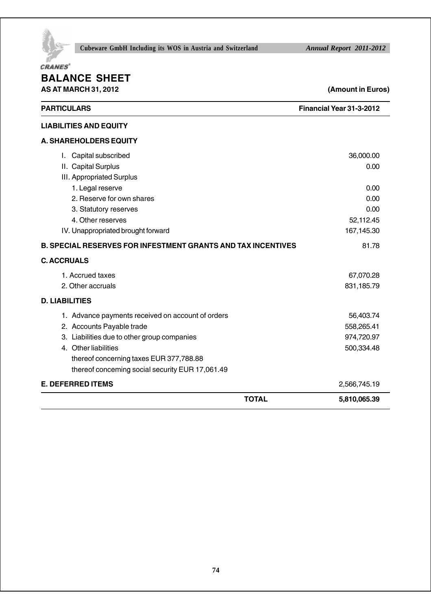

*Annual Report 2011-2012*

# **CRANES BALANCE SHEET**<br>AS AT MARCH 31, 2012

| <b>AS AT MARCH 31, 2012</b><br>(Amount in Euros)                    |              |
|---------------------------------------------------------------------|--------------|
| <b>PARTICULARS</b><br>Financial Year 31-3-2012                      |              |
| <b>LIABILITIES AND EQUITY</b>                                       |              |
| <b>A. SHAREHOLDERS EQUITY</b>                                       |              |
| I. Capital subscribed                                               | 36,000.00    |
| II. Capital Surplus                                                 | 0.00         |
| <b>III. Appropriated Surplus</b>                                    |              |
| 1. Legal reserve                                                    | 0.00         |
| 2. Reserve for own shares                                           | 0.00         |
| 3. Statutory reserves                                               | 0.00         |
| 4. Other reserves                                                   | 52,112.45    |
| IV. Unappropriated brought forward                                  | 167,145.30   |
| <b>B. SPECIAL RESERVES FOR INFESTMENT GRANTS AND TAX INCENTIVES</b> | 81.78        |
| <b>C. ACCRUALS</b>                                                  |              |
| 1. Accrued taxes                                                    | 67,070.28    |
| 2. Other accruals                                                   | 831,185.79   |
| <b>D. LIABILITIES</b>                                               |              |
| 1. Advance payments received on account of orders                   | 56,403.74    |
| 2. Accounts Payable trade                                           | 558,265.41   |
| 3. Liabilities due to other group companies                         | 974,720.97   |
| 4. Other liabilities                                                | 500,334.48   |
| thereof concerning taxes EUR 377,788.88                             |              |
| thereof conceming social security EUR 17,061.49                     |              |
| <b>E. DEFERRED ITEMS</b>                                            | 2,566,745.19 |
| <b>TOTAL</b>                                                        | 5,810,065.39 |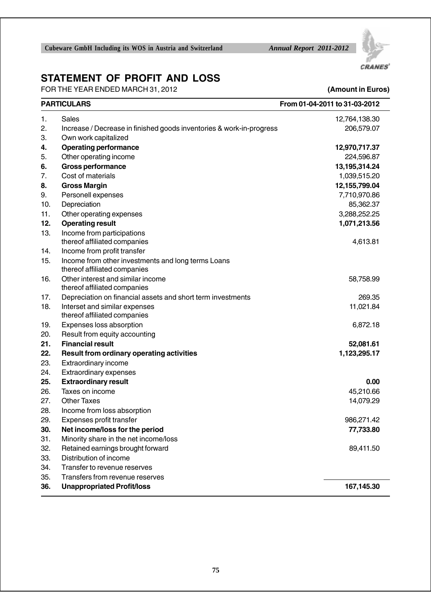# **STATEMENT OF PROFIT AND LOSS**

FOR THE YEAR ENDED MARCH 31, 2012 **(Amount in Euros)**

**75**

*Annual Report 2011-2012*

|            | <b>PARTICULARS</b>                                                   | From 01-04-2011 to 31-03-2012 |
|------------|----------------------------------------------------------------------|-------------------------------|
| 1.         | Sales                                                                | 12,764,138.30                 |
| 2.         | Increase / Decrease in finished goods inventories & work-in-progress | 206,579.07                    |
| 3.         | Own work capitalized                                                 |                               |
| 4.         | <b>Operating performance</b>                                         | 12,970,717.37                 |
| 5.         | Other operating income                                               | 224,596.87                    |
| 6.         | <b>Gross performance</b>                                             | 13,195,314.24                 |
| 7.         | Cost of materials                                                    | 1,039,515.20                  |
| 8.         | <b>Gross Margin</b>                                                  | 12,155,799.04                 |
| 9.         | Personell expenses                                                   | 7,710,970.86                  |
| 10.        | Depreciation                                                         | 85,362.37                     |
| 11.        | Other operating expenses                                             | 3,288,252.25                  |
| 12.        | <b>Operating result</b>                                              | 1,071,213.56                  |
| 13.        | Income from participations                                           |                               |
|            | thereof affiliated companies                                         | 4,613.81                      |
| 14.        | Income from profit transfer                                          |                               |
| 15.        | Income from other investments and long terms Loans                   |                               |
|            | thereof affiliated companies                                         |                               |
| 16.        | Other interest and similar income                                    | 58,758.99                     |
|            | thereof affiliated companies                                         |                               |
| 17.        | Depreciation on financial assets and short term investments          | 269.35                        |
| 18.        | Interset and similar expenses                                        | 11,021.84                     |
|            | thereof affiliated companies                                         |                               |
| 19.        | Expenses loss absorption                                             | 6,872.18                      |
| 20.        | Result from equity accounting                                        |                               |
| 21.        | <b>Financial result</b>                                              | 52,081.61                     |
| 22.        | Result from ordinary operating activities                            | 1,123,295.17                  |
| 23.<br>24. | Extraordinary income                                                 |                               |
| 25.        | Extraordinary expenses<br><b>Extraordinary result</b>                | 0.00                          |
| 26.        | Taxes on income                                                      | 45,210.66                     |
| 27.        | <b>Other Taxes</b>                                                   | 14,079.29                     |
| 28.        | Income from loss absorption                                          |                               |
| 29.        | Expenses profit transfer                                             | 986,271.42                    |
| 30.        | Net income/loss for the period                                       | 77,733.80                     |
| 31.        | Minority share in the net income/loss                                |                               |
| 32.        | Retained earnings brought forward                                    | 89,411.50                     |
| 33.        | Distribution of income                                               |                               |
| 34.        | Transfer to revenue reserves                                         |                               |
| 35.        | Transfers from revenue reserves                                      |                               |
| 36.        | <b>Unappropriated Profit/loss</b>                                    | 167,145.30                    |
|            |                                                                      |                               |

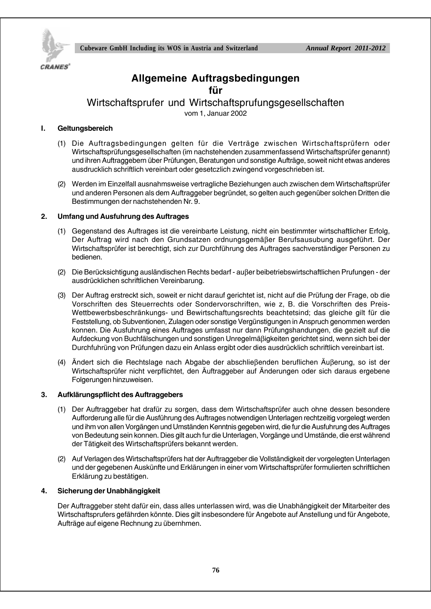

# **CRANES**

## **Allgemeine Auftragsbedingungen für**

Wirtschaftsprufer und Wirtschaftsprufungsgesellschaften

vom 1, Januar 2002

#### **I. Geltungsbereich**

- (1) Die Auftragsbedingungen gelten für die Verträge zwischen Wirtschaftsprüfern oder Wirtschaftsprüfungsgesellschaften (im nachstehenden zusammenfassend Wirtschaftsprüfer genannt) und ihren Auftraggebern über Prüfungen, Beratungen und sonstige Aufträge, soweit nicht etwas anderes ausdrucklich schriftlich vereinbart oder gesetczlich zwingend vorgeschrieben ist.
- (2) Werden im Einzelfall ausnahmsweise vertragliche Beziehungen auch zwischen dem Wirtschaftsprüfer und anderen Personen als dem Auftraggeber begründet, so gelten auch gegenüber solchen Dritten die Bestimmungen der nachstehenden Nr. 9.

#### **2. Umfang und Ausfuhrung des Auftrages**

- (1) Gegenstand des Auftrages ist die vereinbarte Leistung, nicht ein bestimmter wirtschaftlicher Erfolg, Der Auftrag wird nach den Grundsatzen ordnungsgemäβer Berufsausubung ausgeführt. Der Wirtschaftsprüfer ist berechtigt, sich zur Durchführung des Auftrages sachverständiger Personen zu bedienen.
- (2) Die Berücksichtigung ausländischen Rechts bedarf auβer beibetriebswirtschaftlichen Prufungen der ausdrücklichen schriftlichen Vereinbarung.
- (3) Der Auftrag erstreckt sich, soweit er nicht darauf gerichtet ist, nicht auf die Prüfung der Frage, ob die Vorschriften des Steuerrechts oder Sondervorschriften, wie z, B. die Vorschriften des Preis-Wettbewerbsbeschränkungs- und Bewirtschaftungsrechts beachtetsind; das gleiche gilt für die Feststellung, ob Subventionen, Zulagen oder sonstige Vergünstigungen in Anspruch genommen werden konnen. Die Ausfuhrung eines Auftrages umfasst nur dann Prüfungshandungen, die gezielt auf die Aufdeckung von Buchfälschungen und sonstigen Unregelmäβigkeiten gerichtet sind, wenn sich bei der Durchfuhrüng von Prüfungen dazu ein Anlass ergibt oder dies ausdrücklich schriftlich vereinbart ist.
- (4) Ändert sich die Rechtslage nach Abgabe der abschlieβenden beruflichen Äuβerung, so ist der Wirtschaftsprüfer nicht verpflichtet, den Äuftraggeber auf Änderungen oder sich daraus ergebene Folgerungen hinzuweisen.

#### **3. Aufklärungspflicht des Auftraggebers**

- (1) Der Auftraggeber hat drafür zu sorgen, dass dem Wirtschaftsprüfer auch ohne dessen besondere Aufforderung alle für die Ausführung des Auftrages notwendigen Unterlagen rechtzeitig vorgelegt werden und ihm von allen Vorgängen und Umständen Kenntnis gegeben wird, die fur die Ausfuhrung des Auftrages von Bedeutung sein konnen. Dies gilt auch fur die Unterlagen, Vorgänge und Umstände, die erst während der Tätigkeit des Wirtschaftsprüfers bekannt werden.
- (2) Auf Verlagen des Wirtschaftsprüfers hat der Auftraggeber die Vollständigkeit der vorgelegten Unterlagen und der gegebenen Auskünfte und Erklärungen in einer vom Wirtschaftsprüfer formulierten schriftlichen Erklärung zu bestätigen.

#### **4. Sicherung der Unabhängigkeit**

Der Auftraggeber steht dafür ein, dass alles unterlassen wird, was die Unabhängigkeit der Mitarbeiter des Wirtschaftsprufers gefährden könnte. Dies gilt insbesondere für Angebote auf Anstellung und für Angebote, Aufträge auf eigene Rechnung zu übernhmen.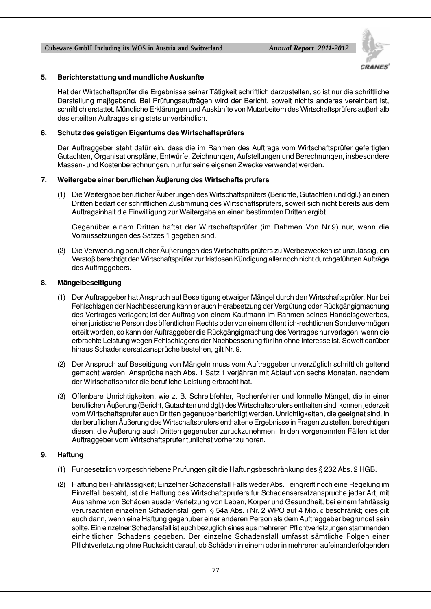*Annual Report 2011-2012*



#### **5. Berichterstattung und mundliche Auskunfte**

Hat der Wirtschaftsprüfer die Ergebnisse seiner Tätigkeit schriftlich darzustellen, so ist nur die schriftliche Darstellung maβgebend. Bei Prüfungsaufträgen wird der Bericht, soweit nichts anderes vereinbart ist, schriftlich erstattet. Mündliche Erklärungen und Auskünfte von Mutarbeitern des Wirtschaftsprüfers auβerhalb des erteilten Auftrages sing stets unverbindlich.

#### **6. Schutz des geistigen Eigentums des Wirtschaftsprüfers**

Der Auftraggeber steht dafür ein, dass die im Rahmen des Auftrags vom Wirtschaftsprüfer gefertigten Gutachten, Organisationspläne, Entwürfe, Zeichnungen, Aufstellungen und Berechnungen, insbesondere Massen- und Kostenberechnungen, nur fur seine eigenen Zwecke verwendet werden.

#### **7. Weitergabe einer beruflichen Äu**β**erung des Wirtschafts prufers**

(1) Die Weitergabe beruflicher Äuberungen des Wirtschaftsprüfers (Berichte, Gutachten und dgl.) an einen Dritten bedarf der schriftlichen Zustimmung des Wirtschaftsprüfers, soweit sich nicht bereits aus dem Auftragsinhalt die Einwilligung zur Weitergabe an einen bestimmten Dritten ergibt.

Gegenüber einem Dritten haftet der Wirtschaftsprüfer (im Rahmen Von Nr.9) nur, wenn die Voraussetzungen des Satzes 1 gegeben sind.

(2) Die Verwendung beruflicher Äuβerungen des Wirtschafts prüfers zu Werbezwecken ist unzulässig, ein Verstoβ berechtigt den Wirtschaftsprüfer zur fristlosen Kündigung aller noch nicht durchgeführten Aufträge des Auftraggebers.

#### **8. Mängelbeseitigung**

- (1) Der Auftraggeber hat Anspruch auf Beseitigung etwaiger Mängel durch den Wirtschaftsprüfer. Nur bei Fehlschlagen der Nachbesserung kann er auch Herabsetzung der Vergütung oder Rückgängigmachung des Vertrages verlagen; ist der Auftrag von einem Kaufmann im Rahmen seines Handelsgewerbes, einer juristische Person des öffentlichen Rechts oder von einem öffentlich-rechtlichen Sondervermögen erteilt worden, so kann der Auftraggeber die Rückgängigmachung des Vertrages nur verlagen, wenn die erbrachte Leistung wegen Fehlschlagens der Nachbesserung für ihn ohne Interesse ist. Soweit darüber hinaus Schadensersatzansprüche bestehen, gilt Nr. 9.
- (2) Der Anspruch auf Beseitigung von Mängeln muss vom Auftraggeber unverzüglich schriftlich geltend gemacht werden. Ansprüche nach Abs. 1 Satz 1 verjähren mit Ablauf von sechs Monaten, nachdem der Wirtschaftsprufer die berufliche Leistung erbracht hat.
- (3) Offenbare Unrichtigkeiten, wie z. B. Schreibfehler, Rechenfehler und formelle Mängel, die in einer beruflichen Äuβerung (Bericht, Gutachten und dgl.) des Wirtschaftsprufers enthalten sind, konnen jederzeit vom Wirtschaftsprufer auch Dritten gegenuber berichtigt werden. Unrichtigkeiten, die geeignet sind, in der beruflichen Äuβerung des Wirtschaftsprufers enthaltene Ergebnisse in Fragen zu stellen, berechtigen diesen, die Äuβerung auch Dritten gegenuber zuruckzunehmen. In den vorgenannten Fällen ist der Auftraggeber vom Wirtschaftsprufer tunlichst vorher zu horen.

#### **9. Haftung**

- (1) Fur gesetzlich vorgeschriebene Prufungen gilt die Haftungsbeschränkung des § 232 Abs. 2 HGB.
- (2) Haftung bei Fahrlässigkeit; Einzelner Schadensfall Falls weder Abs. I eingreift noch eine Regelung im Einzelfall besteht, ist die Haftung des Wirtschaftsprufers fur Schadensersatzanspruche jeder Art, mit Ausnahme von Schäden ausder Verletzung von Leben, Korper und Gesundheit, bei einem fahrlässig verursachten einzelnen Schadensfall gem. § 54a Abs. i Nr. 2 WPO auf 4 Mio. ε beschränkt; dies gilt auch dann, wenn eine Haftung gegenuber einer anderen Person als dem Auftraggeber begrundet sein sollte. Ein einzelner Schadensfall ist auch bezuglich eines aus mehreren Pflichtverletzungen stammenden einheitlichen Schadens gegeben. Der einzelne Schadensfall umfasst sämtliche Folgen einer Pflichtverletzung ohne Rucksicht darauf, ob Schäden in einem oder in mehreren aufeinanderfolgenden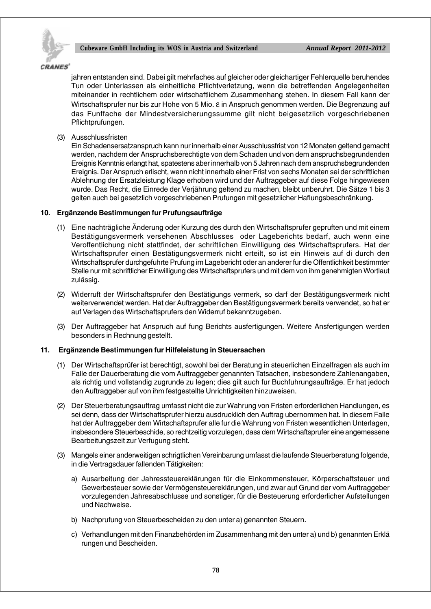

#### **CRANES**

jahren entstanden sind. Dabei gilt mehrfaches auf gleicher oder gleichartiger Fehlerquelle beruhendes Tun oder Unterlassen als einheitliche Pflichtverletzung, wenn die betreffenden Angelegenheiten miteinander in rechtlichem oder wirtschaftlichem Zusammenhang stehen. In diesem Fall kann der Wirtschaftsprufer nur bis zur Hohe von 5 Mio. ε in Anspruch genommen werden. Die Begrenzung auf das Funffache der Mindestversicherungssumme gilt nicht beigesetzlich vorgeschriebenen Pflichtprufungen.

(3) Ausschlussfristen

Ein Schadensersatzanspruch kann nur innerhalb einer Ausschlussfrist von 12 Monaten geltend gemacht werden, nachdem der Anspruchsberechtigte von dem Schaden und von dem anspruchsbegrundenden Ereignis Kenntnis erlangt hat, spatestens aber innerhalb von 5 Jahren nach dem anspruchsbegrundenden Ereignis. Der Anspruch erlischt, wenn nicht innerhalb einer Frist von sechs Monaten sei der schriftlichen Ablehnung der Ersatzleistung Klage erhoben wird und der Auftraggeber auf diese Folge hingewiesen wurde. Das Recht, die Einrede der Verjährung geltend zu machen, bleibt unberuhrt. Die Sätze 1 bis 3 gelten auch bei gesetzlich vorgeschriebenen Prufungen mit gesetzlicher Haflungsbeschränkung.

#### **10. Ergänzende Bestimmungen fur Prufungsaufträge**

- (1) Eine nachträgliche Änderung oder Kurzung des durch den Wirtschaftsprufer gepruften und mit einem Bestätigungsvermerk versehenen Abschlusses oder Lageberichts bedarf, auch wenn eine Veroffentlichung nicht stattfindet, der schriftlichen Einwilligung des Wirtschaftsprufers. Hat der Wirtschaftsprufer einen Bestätigungsvermerk nicht erteilt, so ist ein Hinweis auf di durch den Wirtschaftsprufer durchgefuhrte Prufung im Lagebericht oder an anderer fur die Offentlichkeit bestimmter Stelle nur mit schriftlicher Einwilligung des Wirtschaftsprufers und mit dem von ihm genehmigten Wortlaut zulässig.
- (2) Widerruft der Wirtschaftsprufer den Bestätigungs vermerk, so darf der Bestätigungsvermerk nicht weiterverwendet werden. Hat der Auftraggeber den Bestätigungsvermerk bereits verwendet, so hat er auf Verlagen des Wirtschaftsprufers den Widerruf bekanntzugeben.
- (3) Der Auftraggeber hat Anspruch auf fung Berichts ausfertigungen. Weitere Ansfertigungen werden besonders in Rechnung gestellt.

#### **11. Ergänzende Bestimmungen fur Hilfeleistung in Steuersachen**

- (1) Der Wirtschaftsprüfer ist berechtigt, sowohl bei der Beratung in steuerlichen Einzelfragen als auch im Falle der Dauerberatung die vom Auftraggeber genannten Tatsachen, insbesondere Zahlenangaben, als richtig und vollstandig zugrunde zu legen; dies gilt auch fur Buchfuhrungsaufträge. Er hat jedoch den Auftraggeber auf von ihm festgestellte Unrichtigkeiten hinzuweisen.
- (2) Der Steuerberatungsauftrag umfasst nicht die zur Wahrung von Fristen erforderlichen Handlungen, es sei denn, dass der Wirtschaftsprufer hierzu ausdrucklich den Auftrag ubernommen hat. In diesem Falle hat der Auftraggeber dem Wirtschaftsprufer alle fur die Wahrung von Fristen wesentlichen Unterlagen, insbesondere Steuerbeschide, so rechtzeitig vorzulegen, dass dem Wirtschaftsprufer eine angemessene Bearbeitungszeit zur Verfugung steht.
- (3) Mangels einer anderweitigen schrigtlichen Vereinbarung umfasst die laufende Steuerberatung folgende, in die Vertragsdauer fallenden Tätigkeiten:
	- a) Ausarbeitung der Jahressteuereklärungen für die Einkommensteuer, Körperschaftsteuer und Gewerbesteuer sowie der Vermögensteuereklärungen, und zwar auf Grund der vom Auftraggeber vorzulegenden Jahresabschlusse und sonstiger, für die Besteuerung erforderlicher Aufstellungen und Nachweise.
	- b) Nachprufung von Steuerbescheiden zu den unter a) genannten Steuern.
	- c) Verhandlungen mit den Finanzbehörden im Zusammenhang mit den unter a) und b) genannten Erklä rungen und Bescheiden.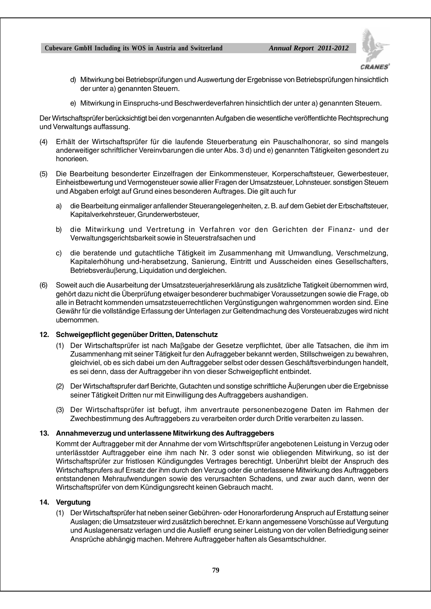*Annual Report 2011-2012*



- d) Mitwirkung bei Betriebsprüfungen und Auswertung der Ergebnisse von Betriebsprüfungen hinsichtlich der unter a) genannten Steuern.
- e) Mitwirkung in Einspruchs-und Beschwerdeverfahren hinsichtlich der unter a) genannten Steuern.

Der Wirtschaftsprüfer berücksichtigt bei den vorgenannten Aufgaben die wesentliche veröffentlichte Rechtsprechung und Verwaltungs auffassung.

- (4) Erhält der Wirtschaftsprüfer für die laufende Steuerberatung ein Pauschalhonorar, so sind mangels anderweitiger schriftlicher Vereinvbarungen die unter Abs. 3 d) und e) genannten Tätigkeiten gesondert zu honorieen.
- (5) Die Bearbeitung besonderter Einzelfragen der Einkommensteuer, Korperschaftsteuer, Gewerbesteuer, Einheistbewertung und Vermogensteuer sowie allier Fragen der Umsatzsteuer, Lohnsteuer. sonstigen Steuern und Abgaben erfolgt auf Grund eines besonderen Auftrages. Die gilt auch fur
	- a) die Bearbeitung einmaliger anfallender Steuerangelegenheiten, z. B. auf dem Gebiet der Erbschaftsteuer, Kapitalverkehrsteuer, Grunderwerbsteuer,
	- b) die Mitwirkung und Vertretung in Verfahren vor den Gerichten der Finanz- und der Verwaltungsgerichtsbarkeit sowie in Steuerstrafsachen und
	- c) die beratende und gutachtliche Tätigkeit im Zusammenhang mit Umwandlung, Verschmelzung, Kapitalerhöhung und-herabsetzung, Sanierung, Eintritt und Ausscheiden eines Gesellschafters, Betriebsveräuβerung, Liquidation und dergleichen.
- (6) Soweit auch die Ausarbeitung der Umsatzsteuerjahreserklärung als zusätzliche Tatigkeit übernommen wird, gehört dazu nicht die Überprüfung etwaiger besonderer buchmabiger Voraussetzungen sowie die Frage, ob alle in Betracht kommenden umsatzsteuerrechtlichen Vergünstigungen wahrgenommen worden sind. Eine Gewähr für die vollständige Erfassung der Unterlagen zur Geltendmachung des Vorsteuerabzuges wird nicht ubernommen.

#### **12. Schweigepflicht gegenüber Dritten, Datenschutz**

- (1) Der Wirtschaftsprüfer ist nach Maβgabe der Gesetze verpflichtet, über alle Tatsachen, die ihm im Zusammenhang mit seiner Tätigkeit fur den Aufraggeber bekannt werden, Stillschweigen zu bewahren, gleichviel, ob es sich dabei um den Auftraggeber selbst oder dessen Geschäftsverbindungen handelt, es sei denn, dass der Auftraggeber ihn von dieser Schweigepflicht entbindet.
- (2) Der Wirtschaftsprufer darf Berichte, Gutachten und sonstige schriftliche Äuβerungen uber die Ergebnisse seiner Tätigkeit Dritten nur mit Einwilligung des Auftraggebers aushandigen.
- (3) Der Wirtschaftsprüfer ist befugt, ihm anvertraute personenbezogene Daten im Rahmen der Zwechbestimmung des Auftraggebers zu verarbeiten order durch Dritle verarbeiten zu lassen.

#### **13. Annahmeverzug und unterlassene Mitwirkung des Auftraggebers**

Kommt der Auftraggeber mit der Annahme der vom Wirtschftsprüfer angebotenen Leistung in Verzug oder unterlässtder Auftraggeber eine ihm nach Nr. 3 oder sonst wie obliegenden Mitwirkung, so ist der Wirtschaftsprüfer zur fristlosen Kündigungdes Vertrages berechtigt. Unberührt bleibt der Anspruch des Wirtschaftsprufers auf Ersatz der ihm durch den Verzug oder die unterlassene Mitwirkung des Auftraggebers entstandenen Mehraufwendungen sowie des verursachten Schadens, und zwar auch dann, wenn der Wirtschaftsprüfer von dem Kündigungsrecht keinen Gebrauch macht.

#### **14. Vergutung**

(1) Der Wirtschaftsprüfer hat neben seiner Gebühren- oder Honorarforderung Anspruch auf Erstattung seiner Auslagen; die Umsatzsteuer wird zusätzlich berechnet. Er kann angemessene Vorschüsse auf Vergutung und Auslagenersatz verlagen und die Auslieff erung seiner Leistung von der vollen Befriedigung seiner Ansprüche abhängig machen. Mehrere Auftraggeber haften als Gesamtschuldner.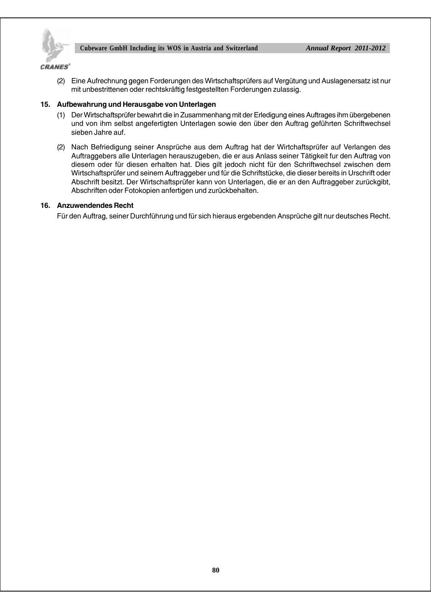

#### **CRANES**

(2) Eine Aufrechnung gegen Forderungen des Wirtschaftsprüfers auf Vergütung und Auslagenersatz ist nur mit unbestrittenen oder rechtskräftig festgestellten Forderungen zulassig.

#### **15. Aufbewahrung und Herausgabe von Unterlagen**

- (1) Der Wirtschaftsprüfer bewahrt die in Zusammenhang mit der Erledigung eines Auftrages ihm übergebenen und von ihm selbst angefertigten Unterlagen sowie den über den Auftrag geführten Schriftwechsel sieben Jahre auf.
- (2) Nach Befriedigung seiner Ansprüche aus dem Auftrag hat der Wirtchaftsprüfer auf Verlangen des Auftraggebers alle Unterlagen herauszugeben, die er aus Anlass seiner Tätigkeit fur den Auftrag von diesem oder für diesen erhalten hat. Dies gilt jedoch nicht für den Schriftwechsel zwischen dem Wirtschaftsprüfer und seinem Auftraggeber und für die Schriftstücke, die dieser bereits in Urschrift oder Abschrift besitzt. Der Wirtschaftsprüfer kann von Unterlagen, die er an den Auftraggeber zurückgibt, Abschriften oder Fotokopien anfertigen und zurückbehalten.

#### **16. Anzuwendendes Recht**

Für den Auftrag, seiner Durchführung und für sich hieraus ergebenden Ansprüche gilt nur deutsches Recht.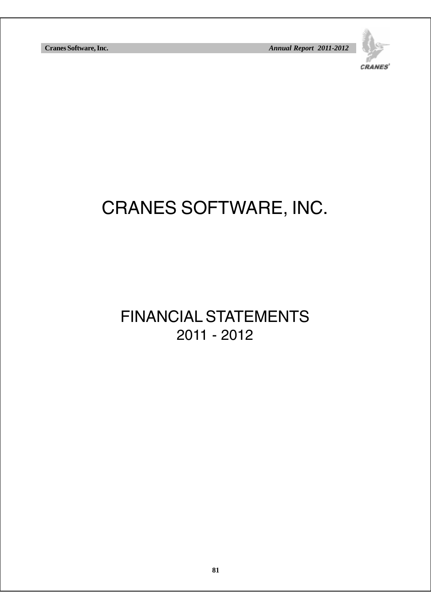*Annual Report 2011-2012*



# CRANES SOFTWARE, INC.

FINANCIAL STATEMENTS 2011 - 2012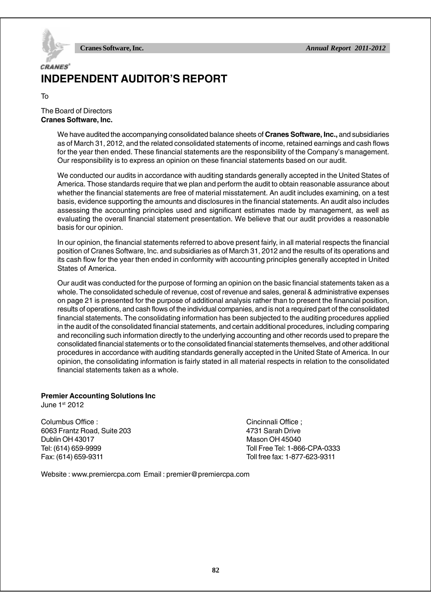

#### **CRANES INDEPENDENT AUDITOR'S REPORT**

To

#### The Board of Directors **Cranes Software, Inc.**

We have audited the accompanying consolidated balance sheets of **Cranes Software, Inc.,** and subsidiaries as of March 31, 2012, and the related consolidated statements of income, retained earnings and cash flows for the year then ended. These financial statements are the responsibility of the Company's management. Our responsibility is to express an opinion on these financial statements based on our audit.

We conducted our audits in accordance with auditing standards generally accepted in the United States of America. Those standards require that we plan and perform the audit to obtain reasonable assurance about whether the financial statements are free of material misstatement. An audit includes examining, on a test basis, evidence supporting the amounts and disclosures in the financial statements. An audit also includes assessing the accounting principles used and significant estimates made by management, as well as evaluating the overall financial statement presentation. We believe that our audit provides a reasonable basis for our opinion.

In our opinion, the financial statements referred to above present fairly, in all material respects the financial position of Cranes Software, Inc. and subsidiaries as of March 31, 2012 and the results of its operations and its cash flow for the year then ended in conformity with accounting principles generally accepted in United States of America.

Our audit was conducted for the purpose of forming an opinion on the basic financial statements taken as a whole. The consolidated schedule of revenue, cost of revenue and sales, general & administrative expenses on page 21 is presented for the purpose of additional analysis rather than to present the financial position, results of operations, and cash flows of the individual companies, and is not a required part of the consolidated financial statements. The consolidating information has been subjected to the auditing procedures applied in the audit of the consolidated financial statements, and certain additional procedures, including comparing and reconciling such information directly to the underlying accounting and other records used to prepare the consolidated financial statements or to the consolidated financial statements themselves, and other additional procedures in accordance with auditing standards generally accepted in the United State of America. In our opinion, the consolidating information is fairly stated in all material respects in relation to the consolidated financial statements taken as a whole.

#### **Premier Accounting Solutions Inc**

June 1st 2012

Columbus Office : Columbus Office ;<br>
6063 Frantz Road. Suite 203 March 2008 1731 Sarah Drive 6063 Frantz Road, Suite 203<br>Dublin OH 43017 Dublin OH 43017 Mason OH 45040

Tel: (614) 659-9999 Toll Free Tel: 1-866-CPA-0333 Toll free fax: 1-877-623-9311

Website : www.premiercpa.com Email : premier@premiercpa.com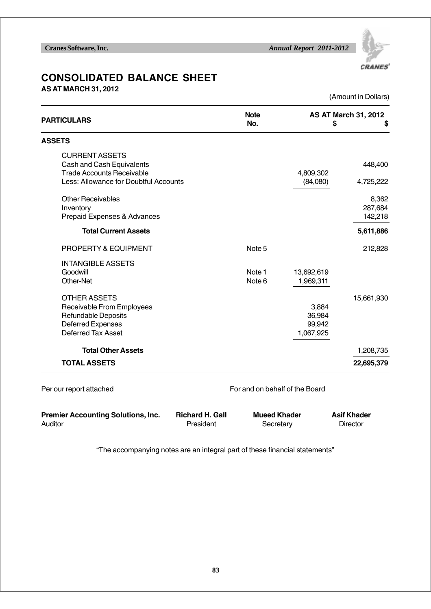*Annual Report 2011-2012*



# **CONSOLIDATED BALANCE SHEET**

**AS AT MARCH 31, 2012**

(Amount in Dollars)

| <b>PARTICULARS</b>                                                                                                              | <b>Note</b><br>No.             | \$                                     | <b>AS AT March 31, 2012</b><br>S |
|---------------------------------------------------------------------------------------------------------------------------------|--------------------------------|----------------------------------------|----------------------------------|
| <b>ASSETS</b>                                                                                                                   |                                |                                        |                                  |
| <b>CURRENT ASSETS</b><br>Cash and Cash Equivalents<br><b>Trade Accounts Receivable</b><br>Less: Allowance for Doubtful Accounts |                                | 4,809,302<br>(84,080)                  | 448,400<br>4,725,222             |
| <b>Other Receivables</b><br>Inventory<br>Prepaid Expenses & Advances                                                            |                                |                                        | 8,362<br>287,684<br>142,218      |
| <b>Total Current Assets</b>                                                                                                     |                                |                                        | 5,611,886                        |
| PROPERTY & EQUIPMENT                                                                                                            | Note 5                         |                                        | 212,828                          |
| <b>INTANGIBLE ASSETS</b><br>Goodwill<br>Other-Net                                                                               | Note 1<br>Note <sub>6</sub>    | 13,692,619<br>1,969,311                |                                  |
| <b>OTHER ASSETS</b><br>Receivable From Employees<br>Refundable Deposits<br>Deferred Expenses<br><b>Deferred Tax Asset</b>       |                                | 3,884<br>36,984<br>99,942<br>1,067,925 | 15,661,930                       |
| <b>Total Other Assets</b>                                                                                                       |                                |                                        | 1,208,735                        |
| <b>TOTAL ASSETS</b>                                                                                                             |                                |                                        | 22,695,379                       |
| Per our report attached                                                                                                         | For and on behalf of the Board |                                        |                                  |

| <b>Premier Accounting Solutions, Inc.</b> | <b>Richard H. Gall</b> | <b>Mueed Khader</b> | Asif Khader |
|-------------------------------------------|------------------------|---------------------|-------------|
| Auditor                                   | President              | Secretary           | Director    |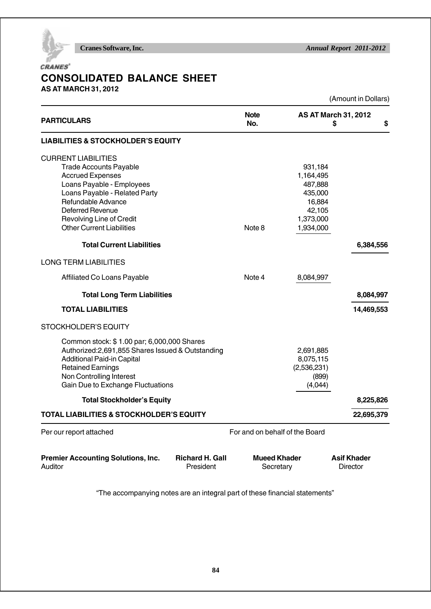

#### **CRANES CONSOLIDATED BALANCE SHEET AS AT MARCH 31, 2012**

|                                                      |                                     |                                  |                  | (Amount in Dollars)                     |
|------------------------------------------------------|-------------------------------------|----------------------------------|------------------|-----------------------------------------|
| <b>PARTICULARS</b>                                   |                                     | <b>Note</b><br>No.               |                  | <b>AS AT March 31, 2012</b><br>\$<br>\$ |
| <b>LIABILITIES &amp; STOCKHOLDER'S EQUITY</b>        |                                     |                                  |                  |                                         |
| <b>CURRENT LIABILITIES</b>                           |                                     |                                  |                  |                                         |
| <b>Trade Accounts Payable</b>                        |                                     |                                  | 931,184          |                                         |
| <b>Accrued Expenses</b>                              |                                     |                                  | 1,164,495        |                                         |
| Loans Payable - Employees                            |                                     |                                  | 487,888          |                                         |
| Loans Payable - Related Party                        |                                     |                                  | 435,000          |                                         |
| Refundable Advance<br>Deferred Revenue               |                                     |                                  | 16,884<br>42,105 |                                         |
| Revolving Line of Credit                             |                                     |                                  | 1,373,000        |                                         |
| <b>Other Current Liabilities</b>                     |                                     | Note 8                           | 1,934,000        |                                         |
| <b>Total Current Liabilities</b>                     |                                     |                                  |                  | 6,384,556                               |
| <b>LONG TERM LIABILITIES</b>                         |                                     |                                  |                  |                                         |
| Affiliated Co Loans Payable                          |                                     | Note 4                           | 8,084,997        |                                         |
| <b>Total Long Term Liabilities</b>                   |                                     |                                  |                  | 8,084,997                               |
| <b>TOTAL LIABILITIES</b>                             |                                     |                                  |                  | 14,469,553                              |
| STOCKHOLDER'S EQUITY                                 |                                     |                                  |                  |                                         |
| Common stock: \$1.00 par; 6,000,000 Shares           |                                     |                                  |                  |                                         |
| Authorized: 2,691,855 Shares Issued & Outstanding    |                                     |                                  | 2,691,885        |                                         |
| <b>Additional Paid-in Capital</b>                    |                                     |                                  | 8,075,115        |                                         |
| <b>Retained Earnings</b>                             |                                     |                                  | (2,536,231)      |                                         |
| Non Controlling Interest                             |                                     |                                  | (899)            |                                         |
| Gain Due to Exchange Fluctuations                    |                                     |                                  | (4,044)          |                                         |
| <b>Total Stockholder's Equity</b>                    |                                     |                                  |                  | 8,225,826                               |
| <b>TOTAL LIABILITIES &amp; STOCKHOLDER'S EQUITY</b>  |                                     |                                  |                  | 22,695,379                              |
| Per our report attached                              |                                     | For and on behalf of the Board   |                  |                                         |
| <b>Premier Accounting Solutions, Inc.</b><br>Auditor | <b>Richard H. Gall</b><br>President | <b>Mueed Khader</b><br>Secretary |                  | <b>Asif Khader</b><br>Director          |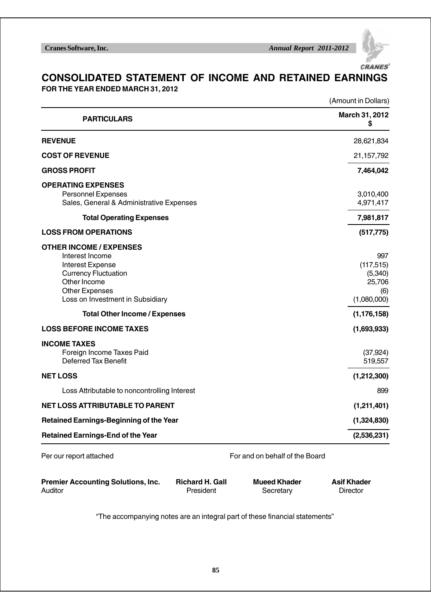

#### **CONSOLIDATED STATEMENT OF INCOME AND RETAINED EARNINGS FOR THE YEAR ENDED MARCH 31, 2012**

|                                                                                                                                                                                   | (Amount in Dollars)                                          |
|-----------------------------------------------------------------------------------------------------------------------------------------------------------------------------------|--------------------------------------------------------------|
| <b>PARTICULARS</b>                                                                                                                                                                | March 31, 2012<br>\$                                         |
| <b>REVENUE</b>                                                                                                                                                                    | 28,621,834                                                   |
| <b>COST OF REVENUE</b>                                                                                                                                                            | 21, 157, 792                                                 |
| <b>GROSS PROFIT</b>                                                                                                                                                               | 7,464,042                                                    |
| <b>OPERATING EXPENSES</b><br><b>Personnel Expenses</b><br>Sales, General & Administrative Expenses                                                                                | 3,010,400<br>4,971,417                                       |
| <b>Total Operating Expenses</b>                                                                                                                                                   | 7,981,817                                                    |
| <b>LOSS FROM OPERATIONS</b>                                                                                                                                                       | (517, 775)                                                   |
| <b>OTHER INCOME / EXPENSES</b><br>Interest Income<br>Interest Expense<br><b>Currency Fluctuation</b><br>Other Income<br><b>Other Expenses</b><br>Loss on Investment in Subsidiary | 997<br>(117, 515)<br>(5,340)<br>25,706<br>(6)<br>(1,080,000) |
| <b>Total Other Income / Expenses</b>                                                                                                                                              | (1, 176, 158)                                                |
| <b>LOSS BEFORE INCOME TAXES</b>                                                                                                                                                   | (1,693,933)                                                  |
| <b>INCOME TAXES</b><br>Foreign Income Taxes Paid<br><b>Deferred Tax Benefit</b>                                                                                                   | (37, 924)<br>519,557                                         |
| <b>NET LOSS</b>                                                                                                                                                                   | (1,212,300)                                                  |
| Loss Attributable to noncontrolling Interest                                                                                                                                      | 899                                                          |
| <b>NET LOSS ATTRIBUTABLE TO PARENT</b>                                                                                                                                            | (1,211,401)                                                  |
| <b>Retained Earnings-Beginning of the Year</b>                                                                                                                                    | (1,324,830)                                                  |
| <b>Retained Earnings-End of the Year</b>                                                                                                                                          | (2,536,231)                                                  |

Per our report attached For and on behalf of the Board

| <b>Premier Accounting Solutions, Inc.</b> | <b>Richard H. Gall</b> | <b>Mueed Khader</b> | <b>Asif Khader</b> |
|-------------------------------------------|------------------------|---------------------|--------------------|
| Auditor                                   | President              | Secretary           | Director           |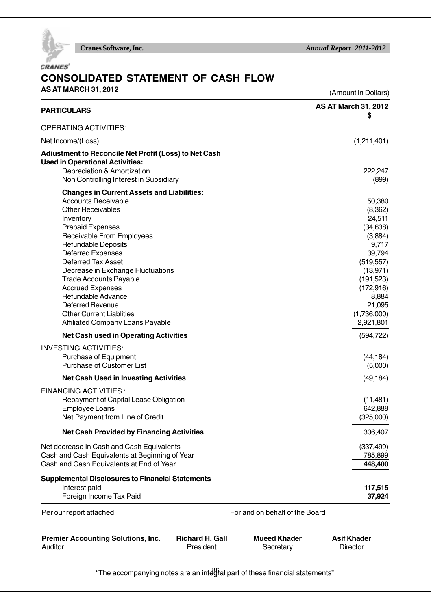

*Annual Report 2011-2012*

(Amount in Dollars)

#### **CRANES CONSOLIDATED STATEMENT OF CASH FLOW AS AT MARCH 31, 2012**

| <b>PARTICULARS</b>                                                                                                                                                                                                                                                                                                                                                                                                                                                                        | <b>AS AT March 31, 2012</b><br>S                                                                                                                                             |
|-------------------------------------------------------------------------------------------------------------------------------------------------------------------------------------------------------------------------------------------------------------------------------------------------------------------------------------------------------------------------------------------------------------------------------------------------------------------------------------------|------------------------------------------------------------------------------------------------------------------------------------------------------------------------------|
| <b>OPERATING ACTIVITIES:</b>                                                                                                                                                                                                                                                                                                                                                                                                                                                              |                                                                                                                                                                              |
| Net Income/(Loss)                                                                                                                                                                                                                                                                                                                                                                                                                                                                         | (1,211,401)                                                                                                                                                                  |
| Adiustment to Reconcile Net Profit (Loss) to Net Cash<br><b>Used in Operational Activities:</b><br>Depreciation & Amortization<br>Non Controlling Interest in Subsidiary                                                                                                                                                                                                                                                                                                                  | 222,247<br>(899)                                                                                                                                                             |
| <b>Changes in Current Assets and Liabilities:</b><br><b>Accounts Receivable</b><br><b>Other Receivables</b><br>Inventory<br><b>Prepaid Expenses</b><br>Receivable From Employees<br><b>Refundable Deposits</b><br><b>Deferred Expenses</b><br>Deferred Tax Asset<br>Decrease in Exchange Fluctuations<br><b>Trade Accounts Payable</b><br><b>Accrued Expenses</b><br>Refundable Advance<br>Deferred Revenue<br><b>Other Current Liablities</b><br><b>Affiliated Company Loans Payable</b> | 50,380<br>(8,362)<br>24,511<br>(34, 638)<br>(3,884)<br>9,717<br>39,794<br>(519, 557)<br>(13, 971)<br>(191, 523)<br>(172, 916)<br>8,884<br>21,095<br>(1,736,000)<br>2,921,801 |
| <b>Net Cash used in Operating Activities</b>                                                                                                                                                                                                                                                                                                                                                                                                                                              | (594, 722)                                                                                                                                                                   |
| <b>INVESTING ACTIVITIES:</b><br>Purchase of Equipment<br>Purchase of Customer List                                                                                                                                                                                                                                                                                                                                                                                                        | (44, 184)<br>(5,000)                                                                                                                                                         |
| <b>Net Cash Used in Investing Activities</b>                                                                                                                                                                                                                                                                                                                                                                                                                                              | (49, 184)                                                                                                                                                                    |
| <b>FINANCING ACTIVITIES:</b><br>Repayment of Capital Lease Obligation<br>Employee Loans<br>Net Payment from Line of Credit                                                                                                                                                                                                                                                                                                                                                                | (11, 481)<br>642,888<br>(325,000)                                                                                                                                            |
| <b>Net Cash Provided by Financing Activities</b>                                                                                                                                                                                                                                                                                                                                                                                                                                          | 306,407                                                                                                                                                                      |
| Net decrease In Cash and Cash Equivalents<br>Cash and Cash Equivalents at Beginning of Year<br>Cash and Cash Equivalents at End of Year                                                                                                                                                                                                                                                                                                                                                   | (337, 499)<br>785,899<br>448,400                                                                                                                                             |
| <b>Supplemental Disclosures to Financial Statements</b><br>Interest paid<br>Foreign Income Tax Paid                                                                                                                                                                                                                                                                                                                                                                                       | 117,515<br>37,924                                                                                                                                                            |
| Per our report attached                                                                                                                                                                                                                                                                                                                                                                                                                                                                   | For and on behalf of the Board                                                                                                                                               |

**Premier Accounting Solutions, Inc.** Richard H. Gall Mueed Khader Auditor Auditor Auditor Auditor President Secretary Director Auditor President Secretary Director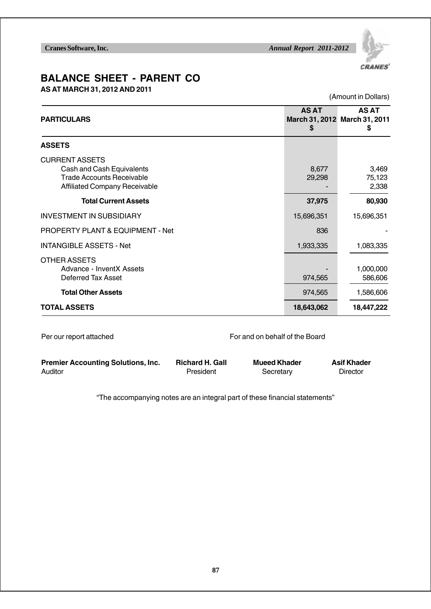*Annual Report 2011-2012*



# **BALANCE SHEET - PARENT CO**

**AS AT MARCH 31, 2012 AND 2011**

(Amount in Dollars)

| <b>AS AT</b><br>S | <b>AS AT</b><br>March 31, 2012 March 31, 2011<br>S |
|-------------------|----------------------------------------------------|
|                   |                                                    |
| 8,677<br>29,298   | 3,469<br>75,123<br>2,338                           |
| 37,975            | 80,930                                             |
| 15,696,351        | 15,696,351                                         |
| 836               |                                                    |
| 1,933,335         | 1,083,335                                          |
| 974,565           | 1,000,000<br>586,606                               |
| 974,565           | 1,586,606                                          |
| 18,643,062        | 18,447,222                                         |
|                   |                                                    |

Per our report attached For and on behalf of the Board

| <b>Premier Accounting Solutions, Inc.</b> | <b>Richard H. Gall</b> | <b>Mueed Khader</b> | <b>Asif Khader</b> |
|-------------------------------------------|------------------------|---------------------|--------------------|
| Auditor                                   | President              | Secretary           | Director           |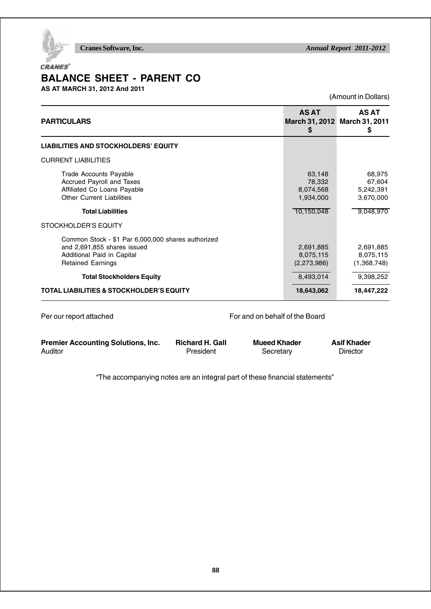*Annual Report 2011-2012*

**Cranes Software, Inc.**

#### **CRANES BALANCE SHEET - PARENT CO**

**AS AT MARCH 31, 2012 And 2011**

| (Amount in Dollars) |  |
|---------------------|--|
|---------------------|--|

| <b>PARTICULARS</b>                                                                                                                          | <b>AS AT</b><br>\$                         | <b>AS AT</b><br>March 31, 2012 March 31, 2011<br>\$ |
|---------------------------------------------------------------------------------------------------------------------------------------------|--------------------------------------------|-----------------------------------------------------|
| <b>LIABILITIES AND STOCKHOLDERS' EQUITY</b>                                                                                                 |                                            |                                                     |
| <b>CURRENT LIABILITIES</b>                                                                                                                  |                                            |                                                     |
| Trade Accounts Payable<br>Accrued Payroll and Taxes<br>Affiliated Co Loans Payable<br><b>Other Current Liabilities</b>                      | 63,148<br>78,332<br>8,074,568<br>1,934,000 | 68,975<br>67,604<br>5,242,391<br>3,670,000          |
| <b>Total Liabilities</b>                                                                                                                    | 10,150,048                                 | 9,048,970                                           |
| STOCKHOLDER'S EQUITY                                                                                                                        |                                            |                                                     |
| Common Stock - \$1 Par 6,000,000 shares authorized<br>and 2,691,855 shares issued<br>Additional Paid in Capital<br><b>Retained Earnings</b> | 2,691,885<br>8,075,115<br>(2,273,986)      | 2,691,885<br>8,075,115<br>(1,368,748)               |
| <b>Total Stockholders Equity</b>                                                                                                            | 8,493,014                                  | 9,398,252                                           |
| TOTAL LIABILITIES & STOCKHOLDER'S EQUITY                                                                                                    | 18,643,062                                 | 18,447,222                                          |

| Per our report attached                   |                        | For and on behalf of the Board |                    |
|-------------------------------------------|------------------------|--------------------------------|--------------------|
| <b>Premier Accounting Solutions, Inc.</b> | <b>Richard H. Gall</b> | <b>Mueed Khader</b>            | <b>Asif Khader</b> |
| Auditor                                   | President              | Secretary                      | Director           |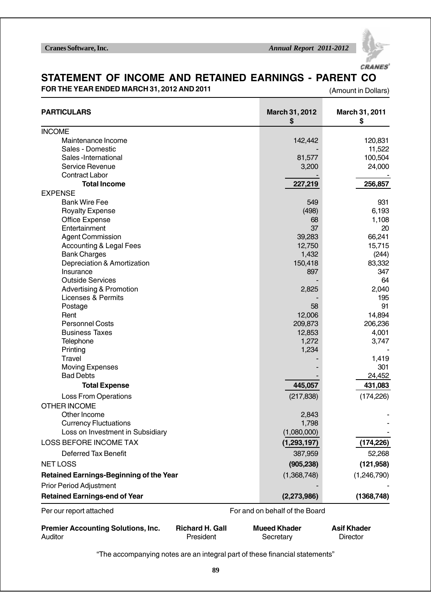

### **STATEMENT OF INCOME AND RETAINED EARNINGS - PARENT CO**

**FOR THE YEAR ENDED MARCH 31, 2012 AND 2011**

(Amount in Dollars)

| <b>PARTICULARS</b>                             | March 31, 2012<br>\$           | March 31, 2011<br>\$ |
|------------------------------------------------|--------------------------------|----------------------|
| <b>INCOME</b>                                  |                                |                      |
| Maintenance Income                             | 142,442                        | 120,831              |
| Sales - Domestic                               |                                | 11,522               |
| Sales-International                            | 81,577                         | 100,504              |
| Service Revenue                                | 3,200                          | 24,000               |
| <b>Contract Labor</b>                          |                                |                      |
| <b>Total Income</b>                            | 227,219                        | 256,857              |
| <b>EXPENSE</b>                                 |                                |                      |
| <b>Bank Wire Fee</b>                           | 549                            | 931                  |
| <b>Royalty Expense</b>                         | (498)                          | 6,193                |
| <b>Office Expense</b>                          | 68                             | 1,108                |
| Entertainment                                  | 37                             | 20                   |
| <b>Agent Commission</b>                        | 39,283                         | 66,241               |
| <b>Accounting &amp; Legal Fees</b>             | 12,750                         | 15,715               |
| <b>Bank Charges</b>                            | 1,432                          | (244)                |
| Depreciation & Amortization                    | 150,418                        | 83,332               |
| Insurance                                      | 897                            | 347                  |
| <b>Outside Services</b>                        |                                | 64                   |
| <b>Advertising &amp; Promotion</b>             | 2,825                          | 2,040                |
| <b>Licenses &amp; Permits</b>                  |                                | 195                  |
| Postage                                        | 58                             | 91                   |
| Rent                                           | 12,006                         | 14,894               |
| <b>Personnel Costs</b>                         | 209,873                        | 206,236              |
| <b>Business Taxes</b>                          | 12,853                         | 4,001                |
| <b>Telephone</b>                               | 1,272                          | 3,747                |
| Printing                                       | 1,234                          |                      |
| Travel                                         |                                | 1,419                |
| <b>Moving Expenses</b>                         |                                | 301                  |
| <b>Bad Debts</b>                               |                                | 24,452               |
| <b>Total Expense</b>                           | 445,057                        | 431,083              |
| Loss From Operations                           | (217, 838)                     | (174, 226)           |
| OTHER INCOME                                   |                                |                      |
| Other Income                                   | 2,843                          |                      |
| <b>Currency Fluctuations</b>                   | 1,798                          |                      |
| Loss on Investment in Subsidiary               | (1,080,000)                    |                      |
| LOSS BEFORE INCOME TAX                         | (1, 293, 197)                  | (174, 226)           |
| <b>Deferred Tax Benefit</b>                    | 387,959                        | 52,268               |
| <b>NET LOSS</b>                                | (905, 238)                     | (121, 958)           |
| <b>Retained Earnings-Beginning of the Year</b> | (1,368,748)                    | (1,246,790)          |
| <b>Prior Period Adjustment</b>                 |                                |                      |
| <b>Retained Earnings-end of Year</b>           | (2,273,986)                    | (1368, 748)          |
| Per our report attached                        | For and on behalf of the Board |                      |

| <b>Premier Accounting Solutions, Inc.</b> | <b>Richard H. Gall</b> | <b>Mueed Khader</b> | <b>Asif Khader</b> |
|-------------------------------------------|------------------------|---------------------|--------------------|
| Auditor                                   | President              | Secretary           | Director           |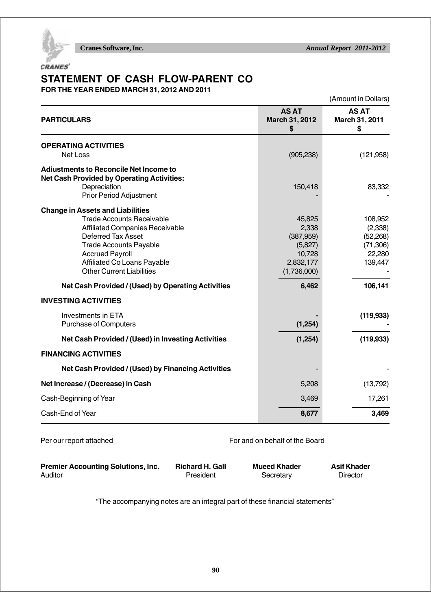*Annual Report 2011-2012*

**Cranes Software, Inc.**

# **CRANES**

# **STATEMENT OF CASH FLOW-PARENT CO**

**FOR THE YEAR ENDED MARCH 31, 2012 AND 2011**

|                                                                                                                                                                                                                                                                                                                                                         |                                                                                         | (Amount in Dollars)                                                          |
|---------------------------------------------------------------------------------------------------------------------------------------------------------------------------------------------------------------------------------------------------------------------------------------------------------------------------------------------------------|-----------------------------------------------------------------------------------------|------------------------------------------------------------------------------|
| <b>PARTICULARS</b>                                                                                                                                                                                                                                                                                                                                      | <b>AS AT</b><br>March 31, 2012<br>\$                                                    | <b>AS AT</b><br>March 31, 2011<br>S                                          |
|                                                                                                                                                                                                                                                                                                                                                         |                                                                                         |                                                                              |
| <b>OPERATING ACTIVITIES</b><br>Net Loss                                                                                                                                                                                                                                                                                                                 | (905, 238)                                                                              | (121, 958)                                                                   |
| Adiustments to Reconcile Net Income to<br><b>Net Cash Provided by Operating Activities:</b><br>Depreciation<br><b>Prior Period Adjustment</b>                                                                                                                                                                                                           | 150,418                                                                                 | 83,332                                                                       |
|                                                                                                                                                                                                                                                                                                                                                         |                                                                                         |                                                                              |
| <b>Change in Assets and Liabilities</b><br><b>Trade Accounts Receivable</b><br>Affiliated Companies Receivable<br>Deferred Tax Asset<br><b>Trade Accounts Payable</b><br><b>Accrued Payroll</b><br>Affiliated Co Loans Payable<br><b>Other Current Liabilities</b><br>Net Cash Provided / (Used) by Operating Activities<br><b>INVESTING ACTIVITIES</b> | 45,825<br>2,338<br>(387, 959)<br>(5,827)<br>10,728<br>2,832,177<br>(1,736,000)<br>6,462 | 108,952<br>(2,338)<br>(52, 268)<br>(71, 306)<br>22,280<br>139,447<br>106,141 |
| <b>Investments in ETA</b><br><b>Purchase of Computers</b>                                                                                                                                                                                                                                                                                               | (1, 254)                                                                                | (119, 933)                                                                   |
|                                                                                                                                                                                                                                                                                                                                                         |                                                                                         |                                                                              |
| Net Cash Provided / (Used) in Investing Activities                                                                                                                                                                                                                                                                                                      | (1, 254)                                                                                | (119, 933)                                                                   |
| <b>FINANCING ACTIVITIES</b>                                                                                                                                                                                                                                                                                                                             |                                                                                         |                                                                              |
| Net Cash Provided / (Used) by Financing Activities                                                                                                                                                                                                                                                                                                      |                                                                                         |                                                                              |
| Net Increase / (Decrease) in Cash                                                                                                                                                                                                                                                                                                                       | 5,208                                                                                   | (13,792)                                                                     |
| Cash-Beginning of Year                                                                                                                                                                                                                                                                                                                                  | 3,469                                                                                   | 17,261                                                                       |
| Cash-End of Year                                                                                                                                                                                                                                                                                                                                        | 8,677                                                                                   | 3,469                                                                        |

| Per our report attached                   |                        | For and on behalf of the Board |                    |
|-------------------------------------------|------------------------|--------------------------------|--------------------|
| <b>Premier Accounting Solutions, Inc.</b> | <b>Richard H. Gall</b> | <b>Mueed Khader</b>            | <b>Asif Khader</b> |
| Auditor                                   | President              | Secretary                      | Director           |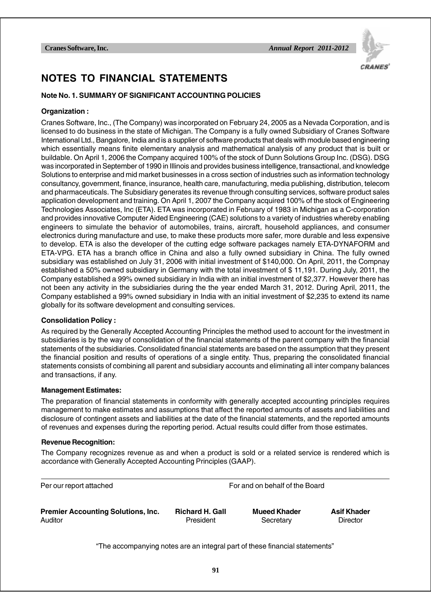

# **NOTES TO FINANCIAL STATEMENTS**

#### **Note No. 1. SUMMARY OF SIGNIFICANT ACCOUNTING POLICIES**

#### **Organization :**

Cranes Software, Inc., (The Company) was incorporated on February 24, 2005 as a Nevada Corporation, and is licensed to do business in the state of Michigan. The Company is a fully owned Subsidiary of Cranes Software International Ltd., Bangalore, India and is a supplier of software products that deals with module based engineering which essentially means finite elementary analysis and mathematical analysis of any product that is built or buildable. On April 1, 2006 the Company acquired 100% of the stock of Dunn Solutions Group Inc. (DSG). DSG was incorporated in September of 1990 in Illinois and provides business intelligence, transactional, and knowledge Solutions to enterprise and mid market businesses in a cross section of industries such as information technology consultancy, government, finance, insurance, health care, manufacturing, media publishing, distribution, telecom and pharmaceuticals. The Subsidiary generates its revenue through consulting services, software product sales application development and training. On April 1, 2007 the Company acquired 100% of the stock of Engineering Technologies Associates, Inc (ETA). ETA was incorporated in February of 1983 in Michigan as a C-corporation and provides innovative Computer Aided Engineering (CAE) solutions to a variety of industries whereby enabling engineers to simulate the behavior of automobiles, trains, aircraft, household appliances, and consumer electronics during manufacture and use, to make these products more safer, more durable and less expensive to develop. ETA is also the developer of the cutting edge software packages namely ETA-DYNAFORM and ETA-VPG. ETA has a branch office in China and also a fully owned subsidiary in China. The fully owned subsidiary was established on July 31, 2006 with initial investment of \$140,000. On April, 2011, the Compnay established a 50% owned subsidiary in Germany with the total investment of \$ 11,191. During July, 2011, the Company established a 99% owned subsidiary in India with an initial investment of \$2,377. However there has not been any activity in the subsidiaries during the the year ended March 31, 2012. During April, 2011, the Company established a 99% owned subsidiary in India with an initial investment of \$2,235 to extend its name globally for its software development and consulting services.

#### **Consolidation Policy :**

As required by the Generally Accepted Accounting Principles the method used to account for the investment in subsidiaries is by the way of consolidation of the financial statements of the parent company with the financial statements of the subsidiaries. Consolidated financial statements are based on the assumption that they present the financial position and results of operations of a single entity. Thus, preparing the consolidated financial statements consists of combining all parent and subsidiary accounts and eliminating all inter company balances and transactions, if any.

#### **Management Estimates:**

The preparation of financial statements in conformity with generally accepted accounting principles requires management to make estimates and assumptions that affect the reported amounts of assets and liabilities and disclosure of contingent assets and liabilities at the date of the financial statements, and the reported amounts of revenues and expenses during the reporting period. Actual results could differ from those estimates.

#### **Revenue Recognition:**

The Company recognizes revenue as and when a product is sold or a related service is rendered which is accordance with Generally Accepted Accounting Principles (GAAP).

| Per our report attached                   | For and on behalf of the Board |                     |                    |  |  |
|-------------------------------------------|--------------------------------|---------------------|--------------------|--|--|
| <b>Premier Accounting Solutions, Inc.</b> | <b>Richard H. Gall</b>         | <b>Mueed Khader</b> | <b>Asif Khader</b> |  |  |
| Auditor                                   | President                      | Secretary           | <b>Director</b>    |  |  |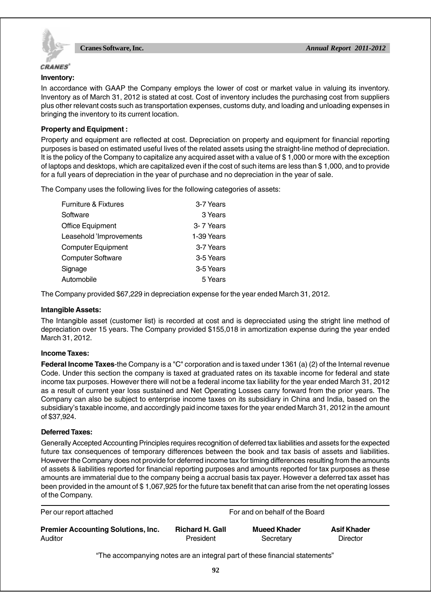

#### **CRANES**

#### **Inventory:**

In accordance with GAAP the Company employs the lower of cost or market value in valuing its inventory. Inventory as of March 31, 2012 is stated at cost. Cost of inventory includes the purchasing cost from suppliers plus other relevant costs such as transportation expenses, customs duty, and loading and unloading expenses in bringing the inventory to its current location.

#### **Property and Equipment :**

Property and equipment are reflected at cost. Depreciation on property and equipment for financial reporting purposes is based on estimated useful lives of the related assets using the straight-line method of depreciation. It is the policy of the Company to capitalize any acquired asset with a value of \$ 1,000 or more with the exception of laptops and desktops, which are capitalized even if the cost of such items are less than \$ 1,000, and to provide for a full years of depreciation in the year of purchase and no depreciation in the year of sale.

The Company uses the following lives for the following categories of assets:

| 3-7 Years  |
|------------|
| 3 Years    |
| 3-7 Years  |
| 1-39 Years |
| 3-7 Years  |
| 3-5 Years  |
| 3-5 Years  |
| 5 Years    |
|            |

The Company provided \$67,229 in depreciation expense for the year ended March 31, 2012.

#### **Intangible Assets:**

The Intangible asset (customer list) is recorded at cost and is deprecciated using the stright line method of depreciation over 15 years. The Company provided \$155,018 in amortization expense during the year ended March 31, 2012.

#### **Income Taxes:**

**Federal Income Taxes**-the Company is a "C" corporation and is taxed under 1361 (a) (2) of the Internal revenue Code. Under this section the company is taxed at graduated rates on its taxable income for federal and state income tax purposes. However there will not be a federal income tax liability for the year ended March 31, 2012 as a result of current year loss sustained and Net Operating Losses carry forward from the prior years. The Company can also be subject to enterprise income taxes on its subsidiary in China and India, based on the subsidiary's taxable income, and accordingly paid income taxes for the year ended March 31, 2012 in the amount of \$37,924.

#### **Deferred Taxes:**

Generally Accepted Accounting Principles requires recognition of deferred tax liabilities and assets for the expected future tax consequences of temporary differences between the book and tax basis of assets and liabilities. However the Company does not provide for deferred income tax for timing differences resulting from the amounts of assets & liabilities reported for financial reporting purposes and amounts reported for tax purposes as these amounts are immaterial due to the company being a accrual basis tax payer. However a deferred tax asset has been provided in the amount of \$ 1,067,925 for the future tax benefit that can arise from the net operating losses of the Company.

| Per our report attached                   |                        | For and on behalf of the Board |             |
|-------------------------------------------|------------------------|--------------------------------|-------------|
| <b>Premier Accounting Solutions, Inc.</b> | <b>Richard H. Gall</b> | <b>Mueed Khader</b>            | Asif Khader |
| Auditor                                   | President              | Secretary                      | Director    |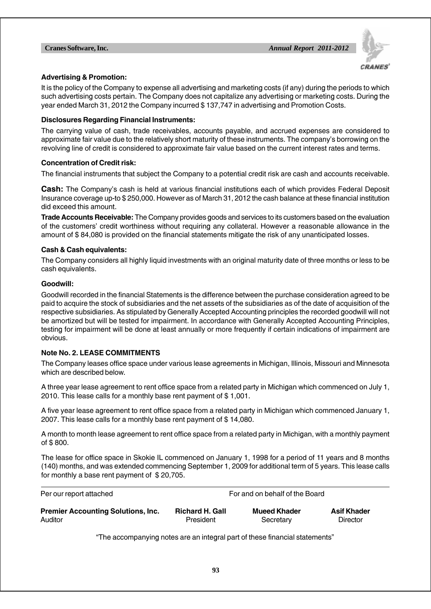

#### **Advertising & Promotion:**

It is the policy of the Company to expense all advertising and marketing costs (if any) during the periods to which such advertising costs pertain. The Company does not capitalize any advertising or marketing costs. During the year ended March 31, 2012 the Company incurred \$ 137,747 in advertising and Promotion Costs.

#### **Disclosures Regarding Financial Instruments:**

The carrying value of cash, trade receivables, accounts payable, and accrued expenses are considered to approximate fair value due to the relatively short maturity of these instruments. The company's borrowing on the revolving line of credit is considered to approximate fair value based on the current interest rates and terms.

#### **Concentration of Credit risk:**

The financial instruments that subject the Company to a potential credit risk are cash and accounts receivable.

**Cash:** The Company's cash is held at various financial institutions each of which provides Federal Deposit Insurance coverage up-to \$ 250,000. However as of March 31, 2012 the cash balance at these financial institution did exceed this amount.

**Trade Accounts Receivable:** The Company provides goods and services to its customers based on the evaluation of the customers' credit worthiness without requiring any collateral. However a reasonable allowance in the amount of \$ 84,080 is provided on the financial statements mitigate the risk of any unanticipated losses.

#### **Cash & Cash equivalents:**

The Company considers all highly liquid investments with an original maturity date of three months or less to be cash equivalents.

#### **Goodwill:**

Goodwill recorded in the financial Statements is the difference between the purchase consideration agreed to be paid to acquire the stock of subsidiaries and the net assets of the subsidiaries as of the date of acquisition of the respective subsidiaries. As stipulated by Generally Accepted Accounting principles the recorded goodwill will not be amortized but will be tested for impairment. In accordance with Generally Accepted Accounting Principles, testing for impairment will be done at least annually or more frequently if certain indications of impairment are obvious.

#### **Note No. 2. LEASE COMMITMENTS**

The Company leases office space under various lease agreements in Michigan, Illinois, Missouri and Minnesota which are described below.

A three year lease agreement to rent office space from a related party in Michigan which commenced on July 1, 2010. This lease calls for a monthly base rent payment of \$ 1,001.

A five year lease agreement to rent office space from a related party in Michigan which commenced January 1, 2007. This lease calls for a monthly base rent payment of \$ 14,080.

A month to month lease agreement to rent office space from a related party in Michigan, with a monthly payment of \$ 800.

The lease for office space in Skokie IL commenced on January 1, 1998 for a period of 11 years and 8 months (140) months, and was extended commencing September 1, 2009 for additional term of 5 years. This lease calls for monthly a base rent payment of \$ 20,705.

| Per our report attached                   |                        | For and on behalf of the Board |                    |
|-------------------------------------------|------------------------|--------------------------------|--------------------|
| <b>Premier Accounting Solutions, Inc.</b> | <b>Richard H. Gall</b> | <b>Mueed Khader</b>            | <b>Asif Khader</b> |
| Auditor                                   | President              | Secretary                      | Director           |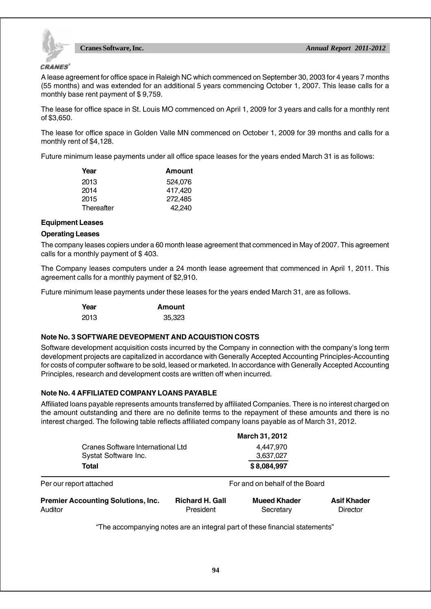

#### *CRANES*

A lease agreement for office space in Raleigh NC which commenced on September 30, 2003 for 4 years 7 months (55 months) and was extended for an additional 5 years commencing October 1, 2007. This lease calls for a monthly base rent payment of \$ 9,759.

The lease for office space in St. Louis MO commenced on April 1, 2009 for 3 years and calls for a monthly rent of \$3,650.

The lease for office space in Golden Valle MN commenced on October 1, 2009 for 39 months and calls for a monthly rent of \$4,128.

Future minimum lease payments under all office space leases for the years ended March 31 is as follows:

| Year       | Amount  |
|------------|---------|
| 2013       | 524.076 |
| 2014       | 417.420 |
| 2015       | 272,485 |
| Thereafter | 42.240  |

#### **Equipment Leases**

#### **Operating Leases**

The company leases copiers under a 60 month lease agreement that commenced in May of 2007. This agreement calls for a monthly payment of \$ 403.

The Company leases computers under a 24 month lease agreement that commenced in April 1, 2011. This agreement calls for a monthly payment of \$2,910.

Future minimum lease payments under these leases for the years ended March 31, are as follows.

| Year | Amount |
|------|--------|
| 2013 | 35,323 |

#### **Note No. 3 SOFTWARE DEVEOPMENT AND ACQUISTION COSTS**

Software development acquisition costs incurred by the Company in connection with the company's long term development projects are capitalized in accordance with Generally Accepted Accounting Principles-Accounting for costs of computer software to be sold, leased or marketed. In accordance with Generally Accepted Accounting Principles, research and development costs are written off when incurred.

#### **Note No. 4 AFFILIATED COMPANY LOANS PAYABLE**

Affiliated loans payable represents amounts transferred by affiliated Companies. There is no interest charged on the amount outstanding and there are no definite terms to the repayment of these amounts and there is no interest charged. The following table reflects affiliated company loans payable as of March 31, 2012.

|                                   | March 31, 2012                    |  |
|-----------------------------------|-----------------------------------|--|
| Cranes Software International Ltd | 4.447.970                         |  |
| Systat Software Inc.              | 3,637,027                         |  |
| Total                             | \$8,084,997                       |  |
| المصاد مقادمات والمتحددة          | Four and an India Highligh Deputy |  |

| Per our report attached |  |
|-------------------------|--|
|-------------------------|--|

Per our report attached For and on behalf of the Board

| <b>Premier Accounting Solutions, Inc.</b> | <b>Richard H. Gall</b> | <b>Mueed Khader</b> | Asif Khader     |
|-------------------------------------------|------------------------|---------------------|-----------------|
| Auditor                                   | President              | Secretary           | <b>Director</b> |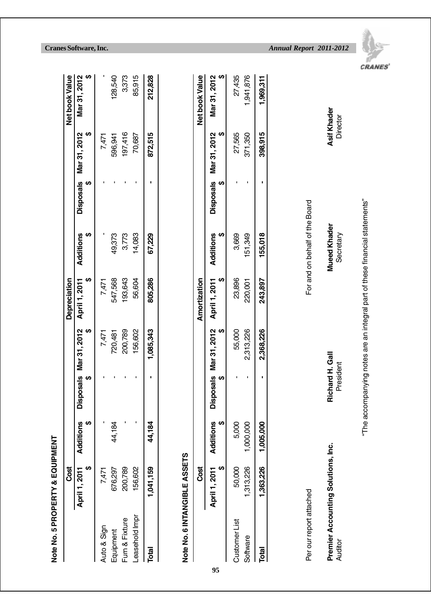|                | Cost                |                 |           |                                               | Depreciation        |                 |                        |                             | Net book Value                         |
|----------------|---------------------|-----------------|-----------|-----------------------------------------------|---------------------|-----------------|------------------------|-----------------------------|----------------------------------------|
|                | မာ<br>April 1, 2011 | Additions<br>မာ | ക<br>jsig | posals Mar 31, 2012<br>$\boldsymbol{\varphi}$ | H)<br>April 1, 2011 | Additions<br>မာ | <b>Disposals</b><br>မာ | Mar 31, 2012<br>↮           | Mar 31, 2012<br>$\theta$               |
| Auto & Sign    | 7,471               |                 |           | 7,471                                         | 7,471               |                 |                        | 7,471                       |                                        |
| Equipment      | 676,297             | 44,184          |           | 720,481                                       | 547,568             | 49,373          |                        | 596,941                     | 128,540                                |
| Furn & Fixture | 200,789             |                 |           | 200,789                                       | 193,643             | 3,773           |                        | 197,416                     | 3,373                                  |
| easehold impr  | 156,602             |                 |           | 156,602                                       | 56,604              | 14,083          |                        | 70,687                      | 85,915                                 |
| Total          | 1,041,159           | 44,184          |           | 1,085,343                                     | 805,286             | 67,229          |                        | 872,515                     | 212,828                                |
|                | Cost                |                 |           |                                               | Amortization        |                 |                        |                             | Net book Value                         |
|                | April 1, 2011<br>မာ | Additions<br>မာ | မာ<br>ja  | posals Mar 31, 2012<br>မာ                     | April 1, 2011<br>မာ | Additions<br>မာ |                        | Disposals Mar 31, 2012<br>↮ | Mar 31, 2012<br>$\boldsymbol{\varphi}$ |
| Customer List  | 50,000              | 5,000           |           | 55,000                                        | 23,896              | 3,669           |                        | 27,565                      | 27,435                                 |
| Software       | 1,313,226           | 1,000,000       |           | 2,313,226                                     | 220,001             | 151,349         |                        | 371,350                     | 1,941,876                              |
| Total          | 1,363,226           | 1,005,000       |           | 2,368,226                                     | 243,897             | 155,018         |                        | 398,915                     | 1,969,311                              |

Per our report attached For and on behalf of the Board Per our report attached

**Premier Accounting Solutions, Inc. Richard H. Gall Mueed Khader Asif Khader** Auditor Director Secretary Secretary Director President Premier Accounting Solutions, Inc.<br>Auditor

**Richard H. Gall**<br>President

"The accompanying notes are an integral part of these financial statements"

"The accompanying notes are an integral part of these financial statements"

For and on behalf of the Board

**Mueed Khader**<br>Secretary

**Asif Khader**<br>Director

*Annual Report 2011-2012*



**Cranes Software, Inc.**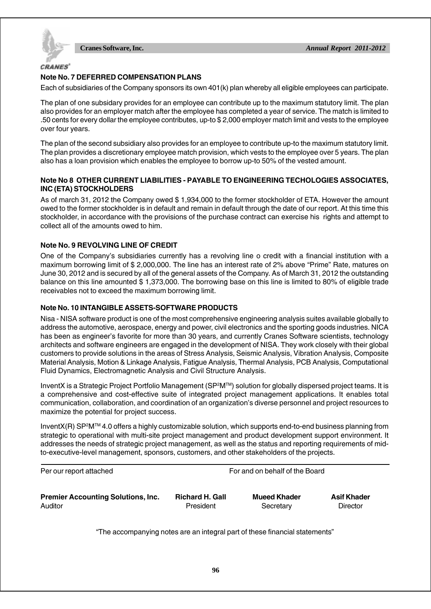



#### **CRANES**

#### **Note No. 7 DEFERRED COMPENSATION PLANS**

Each of subsidiaries of the Company sponsors its own 401(k) plan whereby all eligible employees can participate.

The plan of one subsidary provides for an employee can contribute up to the maximum statutory limit. The plan also provides for an employer match after the employee has completed a year of service. The match is limited to .50 cents for every dollar the employee contributes, up-to \$ 2,000 employer match limit and vests to the employee over four years.

The plan of the second subsidiary also provides for an employee to contribute up-to the maximum statutory limit. The plan provides a discretionary employee match provision, which vests to the employee over 5 years. The plan also has a loan provision which enables the employee to borrow up-to 50% of the vested amount.

#### **Note No 8 OTHER CURRENT LIABILITIES - PAYABLE TO ENGINEERING TECHOLOGIES ASSOCIATES, INC (ETA) STOCKHOLDERS**

As of march 31, 2012 the Company owed \$ 1,934,000 to the former stockholder of ETA. However the amount owed to the former stockholder is in default and remain in default through the date of our report. At this time this stockholder, in accordance with the provisions of the purchase contract can exercise his rights and attempt to collect all of the amounts owed to him.

#### **Note No. 9 REVOLVING LINE OF CREDIT**

One of the Company's subsidiaries currently has a revolving line o credit with a financial institution with a maximum borrowing limit of \$ 2,000,000. The line has an interest rate of 2% above "Prime" Rate, matures on June 30, 2012 and is secured by all of the general assets of the Company. As of March 31, 2012 the outstanding balance on this line amounted \$ 1,373,000. The borrowing base on this line is limited to 80% of eligible trade receivables not to exceed the maximum borrowing limit.

#### **Note No. 10 INTANGIBLE ASSETS-SOFTWARE PRODUCTS**

Nisa - NISA software product is one of the most comprehensive engineering analysis suites available globally to address the automotive, aerospace, energy and power, civil electronics and the sporting goods industries. NICA has been as engineer's favorite for more than 30 years, and currently Cranes Software scientists, technology architects and software engineers are engaged in the development of NISA. They work closely with their global customers to provide solutions in the areas of Stress Analysis, Seismic Analysis, Vibration Analysis, Composite Material Analysis, Motion & Linkage Analysis, Fatigue Analysis, Thermal Analysis, PCB Analysis, Computational Fluid Dynamics, Electromagnetic Analysis and Civil Structure Analysis.

InventX is a Strategic Project Portfolio Management (SP²M™) solution for globally dispersed project teams. It is a comprehensive and cost-effective suite of integrated project management applications. It enables total communication, collaboration, and coordination of an organization's diverse personnel and project resources to maximize the potential for project success.

InventX(R) SP2 MTM 4.0 offers a highly customizable solution, which supports end-to-end business planning from strategic to operational with multi-site project management and product development support environment. It addresses the needs of strategic project management, as well as the status and reporting requirements of midto-executive-level management, sponsors, customers, and other stakeholders of the projects.

| Per our report attached                   |                        | For and on behalf of the Board |                    |
|-------------------------------------------|------------------------|--------------------------------|--------------------|
| <b>Premier Accounting Solutions, Inc.</b> | <b>Richard H. Gall</b> | <b>Mueed Khader</b>            | <b>Asif Khader</b> |
| Auditor                                   | President              | Secretary                      | Director           |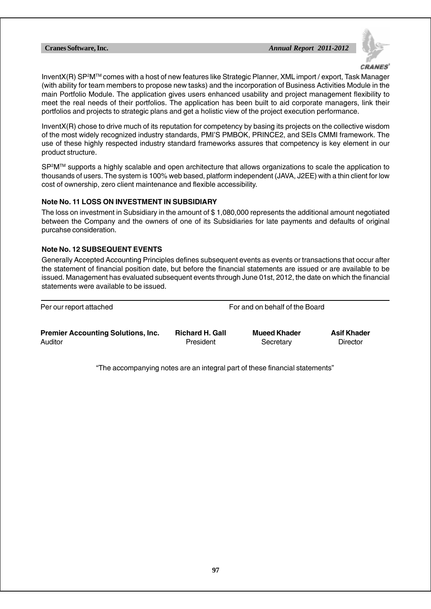#### *Annual Report 2011-2012*



#### **CRANES**

InventX(R) SP2 MTM comes with a host of new features like Strategic Planner, XML import / export, Task Manager (with ability for team members to propose new tasks) and the incorporation of Business Activities Module in the main Portfolio Module. The application gives users enhanced usability and project management flexibility to meet the real needs of their portfolios. The application has been built to aid corporate managers, link their portfolios and projects to strategic plans and get a holistic view of the project execution performance.

InventX(R) chose to drive much of its reputation for competency by basing its projects on the collective wisdom of the most widely recognized industry standards, PMI'S PMBOK, PRINCE2, and SEIs CMMI framework. The use of these highly respected industry standard frameworks assures that competency is key element in our product structure.

SP<sup>2</sup>M™ supports a highly scalable and open architecture that allows organizations to scale the application to thousands of users. The system is 100% web based, platform independent (JAVA, J2EE) with a thin client for low cost of ownership, zero client maintenance and flexible accessibility.

#### **Note No. 11 LOSS ON INVESTMENT IN SUBSIDIARY**

The loss on investment in Subsidiary in the amount of \$ 1,080,000 represents the additional amount negotiated between the Company and the owners of one of its Subsidiaries for late payments and defaults of original purcahse consideration.

#### **Note No. 12 SUBSEQUENT EVENTS**

Generally Accepted Accounting Principles defines subsequent events as events or transactions that occur after the statement of financial position date, but before the financial statements are issued or are available to be issued. Management has evaluated subsequent events through June 01st, 2012, the date on which the financial statements were available to be issued.

| Per our report attached                   |                        | For and on behalf of the Board |                    |
|-------------------------------------------|------------------------|--------------------------------|--------------------|
| <b>Premier Accounting Solutions, Inc.</b> | <b>Richard H. Gall</b> | <b>Mueed Khader</b>            | <b>Asif Khader</b> |
| Auditor                                   | President              | Secretary                      | <b>Director</b>    |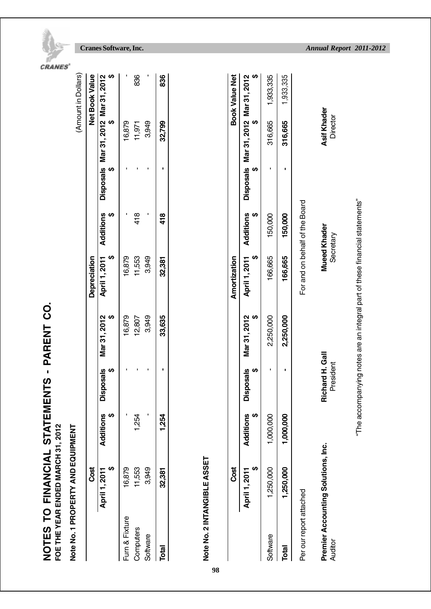| - PARENT CO                      |                                   |
|----------------------------------|-----------------------------------|
| ー<br>0<br>1                      |                                   |
| <b>SINUMBIAL STANGE DI SINUS</b> | FOE THE YEAR ENDED MARCH 31, 2012 |
|                                  |                                   |

Note No. 1 PROPERTY AND EQUIPMENT **Note No. 1 PROPERTY AND EQUIPMENT**

|                |               |       |                                  |                         |     |                                     | (Amount in Dollars)   |
|----------------|---------------|-------|----------------------------------|-------------------------|-----|-------------------------------------|-----------------------|
|                | <b>Cost</b>   |       |                                  | <b>Depreciation</b>     |     |                                     | <b>Net Book Value</b> |
|                | April 1, 2011 |       | Additions Disposals Mar 31, 2012 | April 1, 2011 Additions |     | Disposals Mar 31, 2012 Mar 31, 2012 |                       |
| Furn & Fixture | 16,879        |       | 16,879                           | 16,879                  |     | 16,879                              |                       |
| Computers      | 11,553        | 1,254 | 12,807                           | 11,553                  | 418 | 11,971                              | 88                    |
| Software       | 3,949         |       | 3,949                            | 3,949                   |     | 3,949                               |                       |
| Total          | 32,381        | 1,254 | 33,635                           | 32,381                  | 418 | 32,799                              | 836                   |
|                |               |       |                                  |                         |     |                                     |                       |

# Note No. 2 INTANGIBLE ASSET **Note No. 2 INTANGIBLE ASSET**

|                         | <b>Cost</b>                        |              |                              |                       | Amortization            |                                  |                                     | Book Value Net |
|-------------------------|------------------------------------|--------------|------------------------------|-----------------------|-------------------------|----------------------------------|-------------------------------------|----------------|
|                         | April 1, 2011                      | Additions Di |                              | isposals Mar 31, 2012 | April 1, 2011 Additions |                                  | Disposals Mar 31, 2012 Mar 31, 2012 |                |
| Software                | 1,250,000                          | 1,000,000    |                              | 2,250,000             | 166.665                 | 150,000                          | 316,665                             | 1,933,335      |
| <b>Total</b>            | 1,250,000                          | 1,000,000    |                              | 2,250,000             | 166.665                 | 150,000                          | 316.65                              | 1,933,335      |
| Per our report attached |                                    |              |                              |                       |                         | For and on behalf of the Board   |                                     |                |
| Auditor                 | Premier Accounting Solutions, Inc. |              | Richard H. Gall<br>President |                       |                         | <b>Mueed Khader</b><br>Secretary | Asif Khader<br>Director             |                |

"The accompanying notes are an integral part of these financial statements" "The accompanying notes are an integral part of these financial statements"

**CRANES**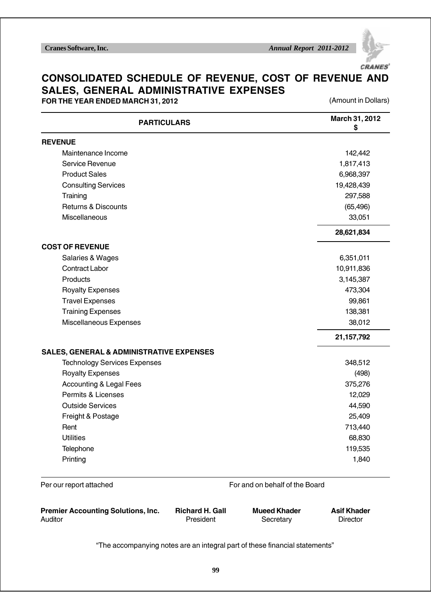# **CRANES**

# **CONSOLIDATED SCHEDULE OF REVENUE, COST OF REVENUE AND SALES, GENERAL ADMINISTRATIVE EXPENSES**

**FOR THE YEAR ENDED MARCH 31, 2012**

(Amount in Dollars)

| March 31, 2012<br>S            |
|--------------------------------|
|                                |
| 142,442                        |
| 1,817,413                      |
| 6,968,397                      |
| 19,428,439                     |
| 297,588                        |
| (65, 496)                      |
| 33,051                         |
| 28,621,834                     |
|                                |
| 6,351,011                      |
| 10,911,836                     |
| 3,145,387                      |
| 473,304                        |
| 99,861                         |
| 138,381                        |
| 38,012                         |
| 21, 157, 792                   |
|                                |
| 348,512                        |
| (498)                          |
| 375,276                        |
| 12,029                         |
| 44,590                         |
| 25,409                         |
| 713,440                        |
| 68,830                         |
| 119,535                        |
| 1,840                          |
| For and on behalf of the Board |
| <b>Mueed Khader</b>            |

"The accompanying notes are an integral part of these financial statements"

Auditor President Secretary Director